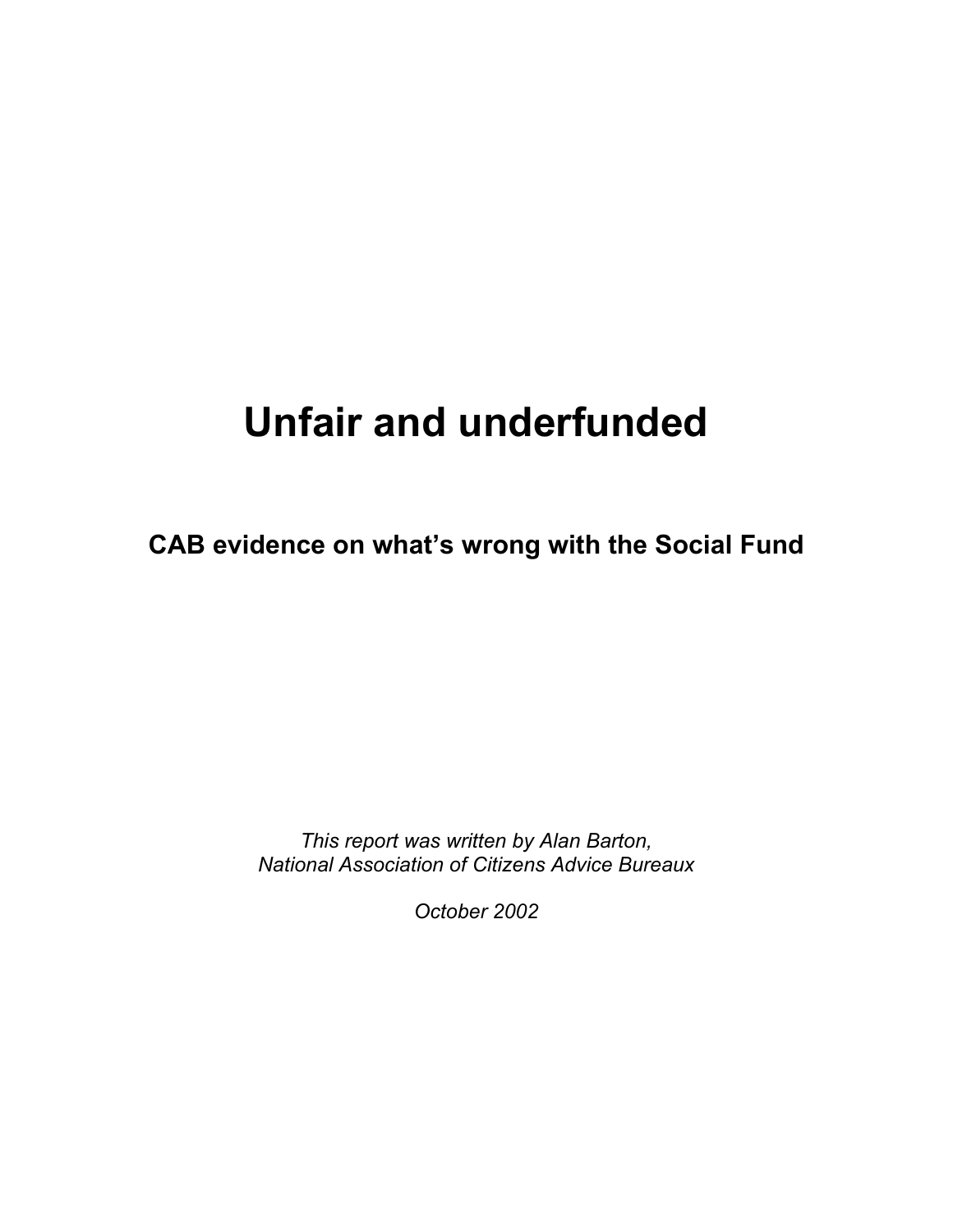# **Unfair and underfunded**

**CAB evidence on what's wrong with the Social Fund** 

*This report was written by Alan Barton, National Association of Citizens Advice Bureaux* 

*October 2002*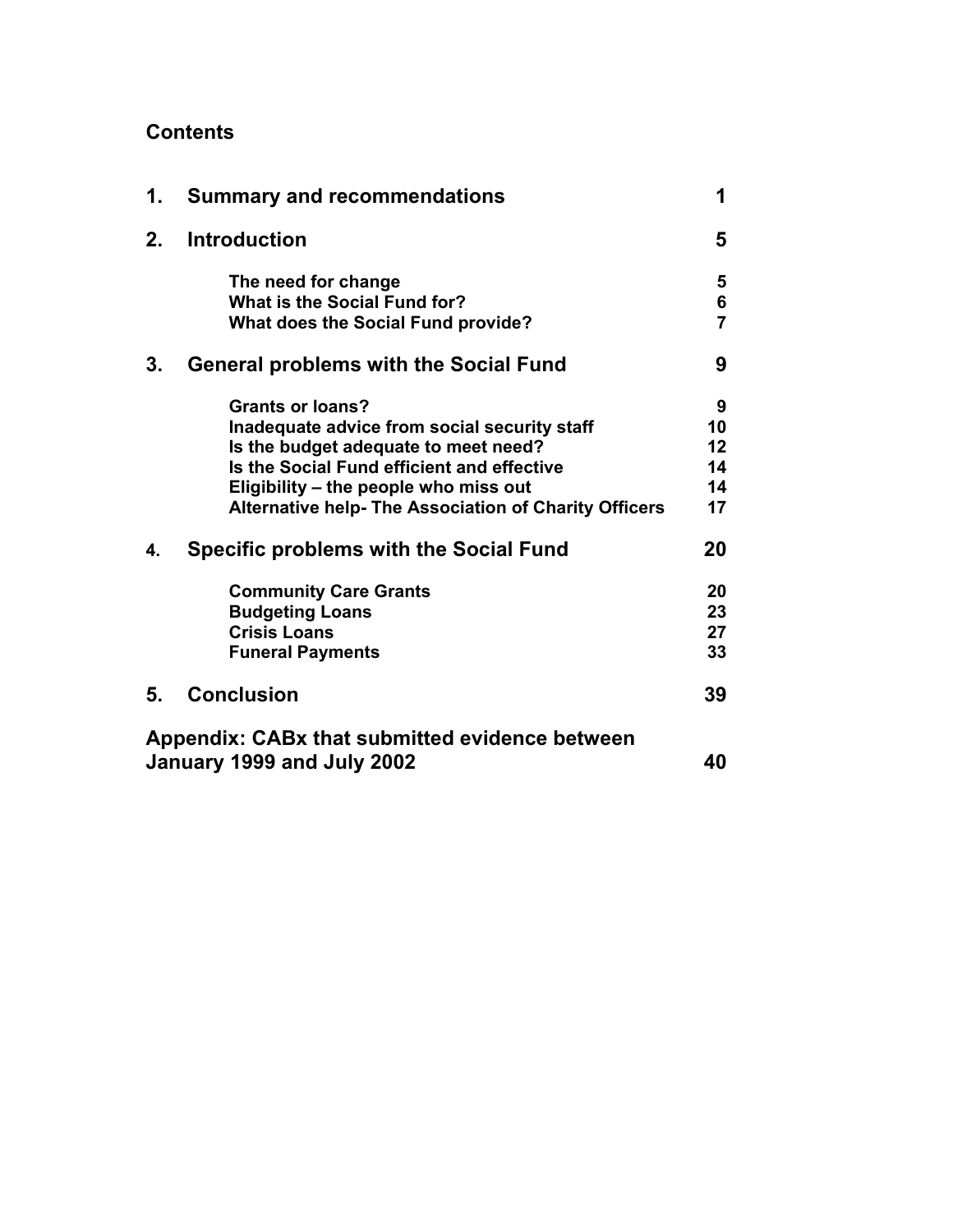# **Contents**

| 1.                         | <b>Summary and recommendations</b>                           | 1                   |
|----------------------------|--------------------------------------------------------------|---------------------|
| 2.                         | <b>Introduction</b>                                          | 5                   |
|                            | The need for change<br>What is the Social Fund for?          | 5                   |
|                            | <b>What does the Social Fund provide?</b>                    | 6<br>$\overline{7}$ |
| 3.                         | <b>General problems with the Social Fund</b>                 | 9                   |
|                            | <b>Grants or loans?</b>                                      | 9                   |
|                            | Inadequate advice from social security staff                 | 10                  |
|                            | Is the budget adequate to meet need?                         | 12                  |
|                            | Is the Social Fund efficient and effective                   | 14                  |
|                            | Eligibility - the people who miss out                        | 14                  |
|                            | <b>Alternative help- The Association of Charity Officers</b> | 17                  |
| 4.                         | <b>Specific problems with the Social Fund</b>                | 20                  |
|                            | <b>Community Care Grants</b>                                 | 20                  |
|                            | <b>Budgeting Loans</b>                                       | 23                  |
|                            | <b>Crisis Loans</b>                                          | 27                  |
|                            | <b>Funeral Payments</b>                                      | 33                  |
| 5.                         | <b>Conclusion</b>                                            | 39                  |
|                            | Appendix: CABx that submitted evidence between               |                     |
| January 1999 and July 2002 |                                                              | 40                  |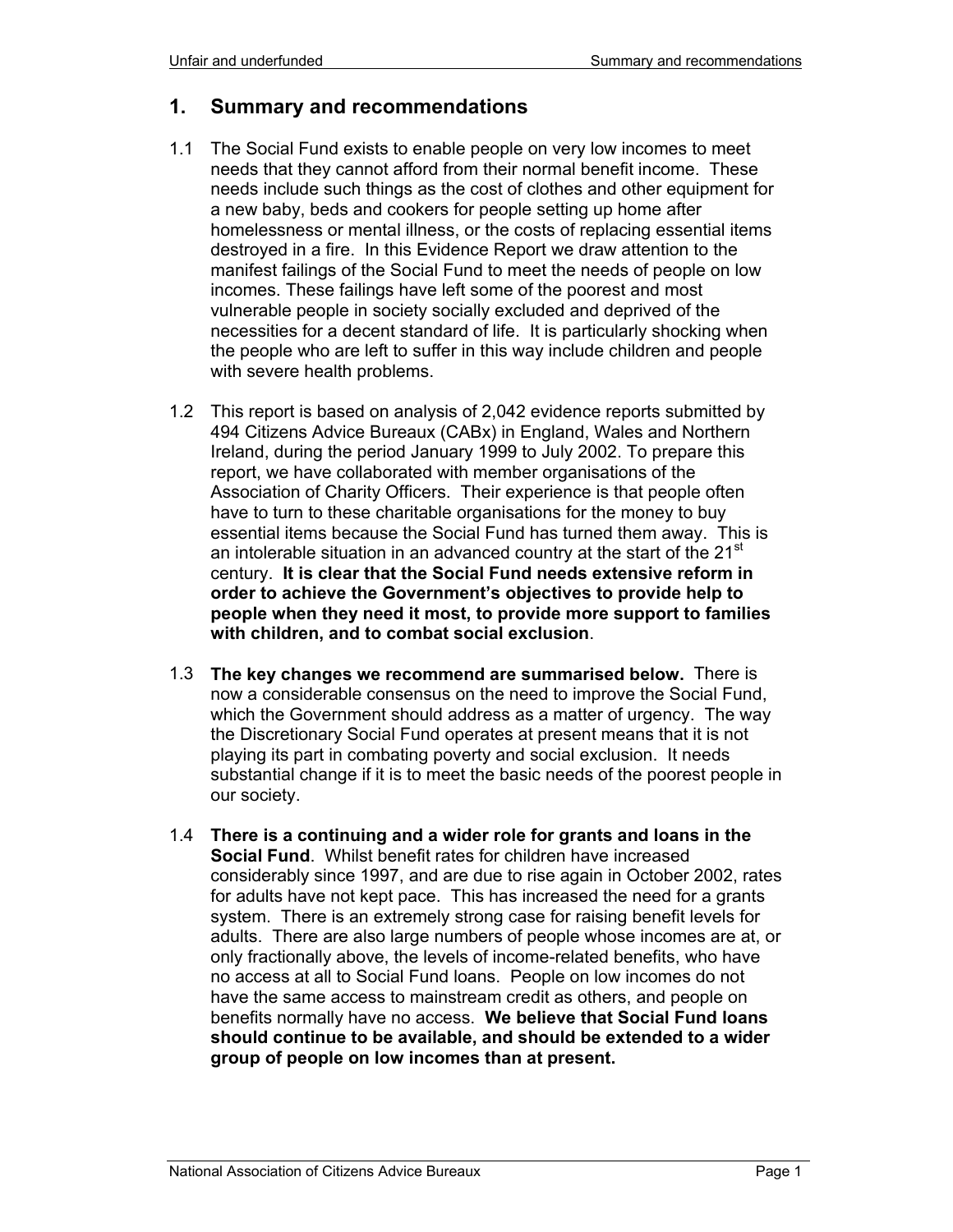# **1. Summary and recommendations**

- 1.1 The Social Fund exists to enable people on very low incomes to meet needs that they cannot afford from their normal benefit income. These needs include such things as the cost of clothes and other equipment for a new baby, beds and cookers for people setting up home after homelessness or mental illness, or the costs of replacing essential items destroyed in a fire. In this Evidence Report we draw attention to the manifest failings of the Social Fund to meet the needs of people on low incomes. These failings have left some of the poorest and most vulnerable people in society socially excluded and deprived of the necessities for a decent standard of life. It is particularly shocking when the people who are left to suffer in this way include children and people with severe health problems.
- 1.2 This report is based on analysis of 2,042 evidence reports submitted by 494 Citizens Advice Bureaux (CABx) in England, Wales and Northern Ireland, during the period January 1999 to July 2002. To prepare this report, we have collaborated with member organisations of the Association of Charity Officers. Their experience is that people often have to turn to these charitable organisations for the money to buy essential items because the Social Fund has turned them away. This is an intolerable situation in an advanced country at the start of the 21<sup>st</sup> century. **It is clear that the Social Fund needs extensive reform in order to achieve the Government's objectives to provide help to people when they need it most, to provide more support to families with children, and to combat social exclusion**.
- 1.3 **The key changes we recommend are summarised below.** There is now a considerable consensus on the need to improve the Social Fund, which the Government should address as a matter of urgency. The way the Discretionary Social Fund operates at present means that it is not playing its part in combating poverty and social exclusion. It needs substantial change if it is to meet the basic needs of the poorest people in our society.
- 1.4 **There is a continuing and a wider role for grants and loans in the Social Fund**. Whilst benefit rates for children have increased considerably since 1997, and are due to rise again in October 2002, rates for adults have not kept pace. This has increased the need for a grants system. There is an extremely strong case for raising benefit levels for adults. There are also large numbers of people whose incomes are at, or only fractionally above, the levels of income-related benefits, who have no access at all to Social Fund loans. People on low incomes do not have the same access to mainstream credit as others, and people on benefits normally have no access. **We believe that Social Fund loans should continue to be available, and should be extended to a wider group of people on low incomes than at present.**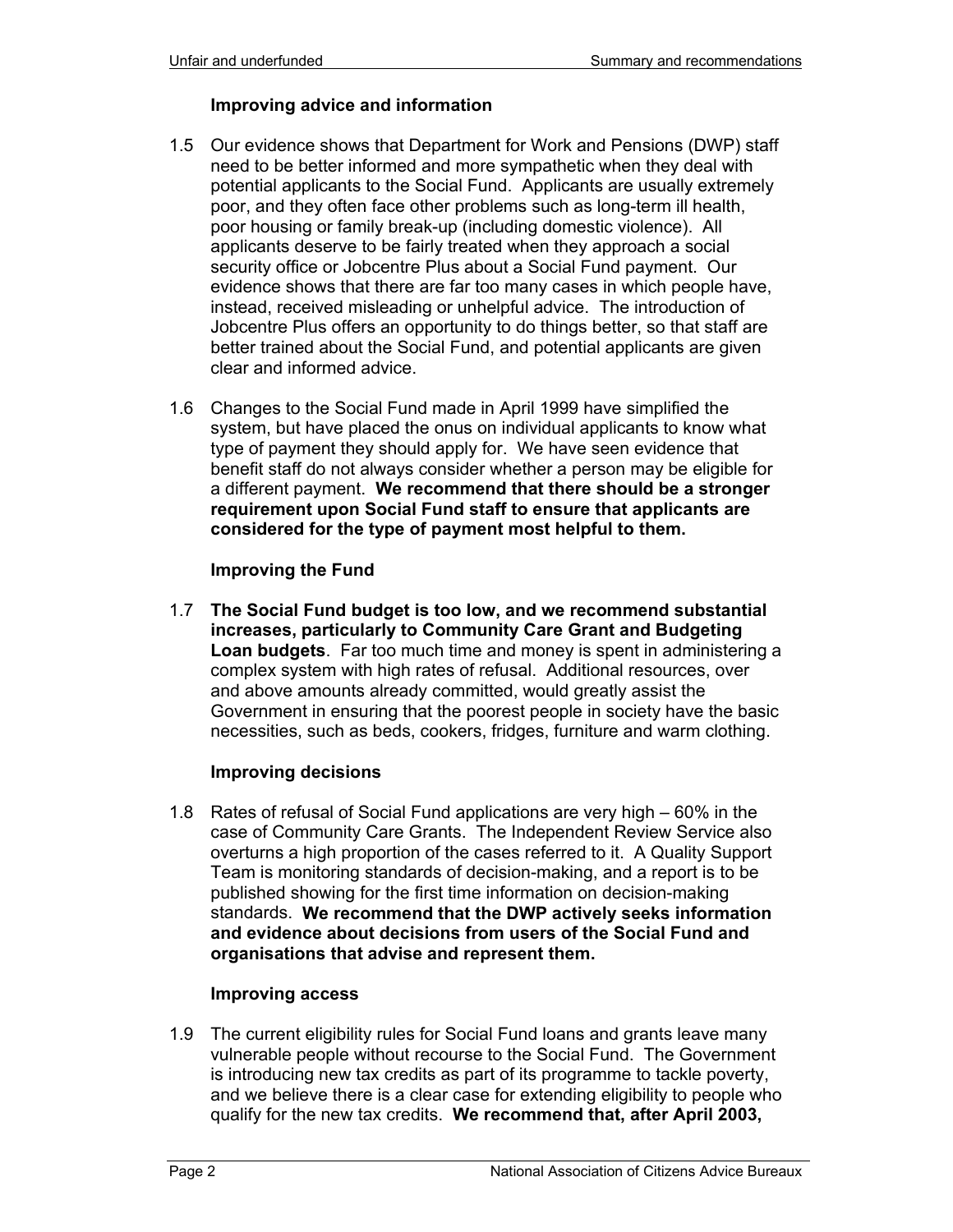## **Improving advice and information**

- 1.5 Our evidence shows that Department for Work and Pensions (DWP) staff need to be better informed and more sympathetic when they deal with potential applicants to the Social Fund. Applicants are usually extremely poor, and they often face other problems such as long-term ill health, poor housing or family break-up (including domestic violence). All applicants deserve to be fairly treated when they approach a social security office or Jobcentre Plus about a Social Fund payment. Our evidence shows that there are far too many cases in which people have, instead, received misleading or unhelpful advice. The introduction of Jobcentre Plus offers an opportunity to do things better, so that staff are better trained about the Social Fund, and potential applicants are given clear and informed advice.
- 1.6 Changes to the Social Fund made in April 1999 have simplified the system, but have placed the onus on individual applicants to know what type of payment they should apply for. We have seen evidence that benefit staff do not always consider whether a person may be eligible for a different payment. **We recommend that there should be a stronger requirement upon Social Fund staff to ensure that applicants are considered for the type of payment most helpful to them.**

## **Improving the Fund**

1.7 **The Social Fund budget is too low, and we recommend substantial increases, particularly to Community Care Grant and Budgeting Loan budgets**. Far too much time and money is spent in administering a complex system with high rates of refusal. Additional resources, over and above amounts already committed, would greatly assist the Government in ensuring that the poorest people in society have the basic necessities, such as beds, cookers, fridges, furniture and warm clothing.

#### **Improving decisions**

1.8 Rates of refusal of Social Fund applications are very high – 60% in the case of Community Care Grants. The Independent Review Service also overturns a high proportion of the cases referred to it. A Quality Support Team is monitoring standards of decision-making, and a report is to be published showing for the first time information on decision-making standards. **We recommend that the DWP actively seeks information and evidence about decisions from users of the Social Fund and organisations that advise and represent them.** 

## **Improving access**

1.9 The current eligibility rules for Social Fund loans and grants leave many vulnerable people without recourse to the Social Fund. The Government is introducing new tax credits as part of its programme to tackle poverty, and we believe there is a clear case for extending eligibility to people who qualify for the new tax credits. **We recommend that, after April 2003,**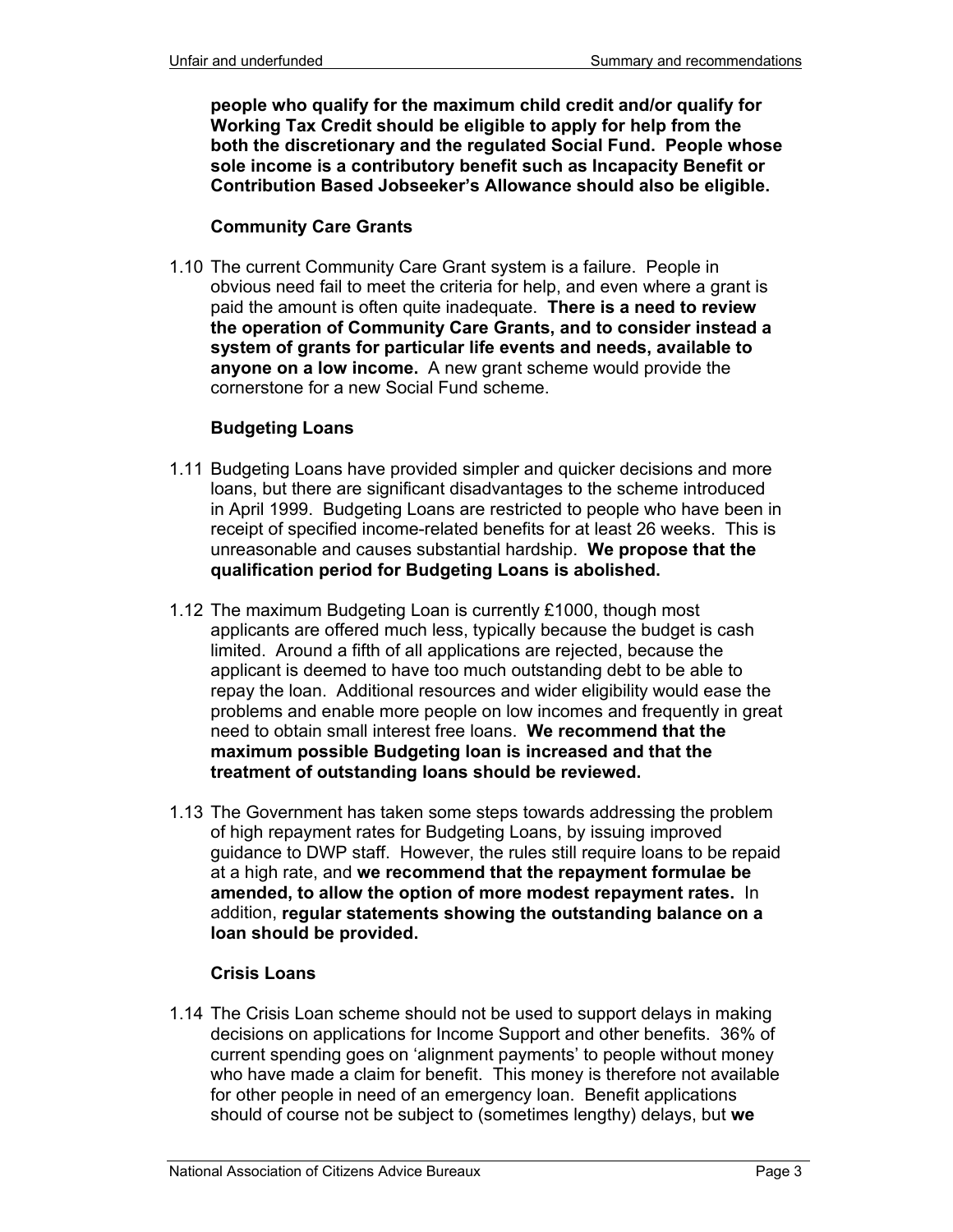**people who qualify for the maximum child credit and/or qualify for Working Tax Credit should be eligible to apply for help from the both the discretionary and the regulated Social Fund. People whose sole income is a contributory benefit such as Incapacity Benefit or Contribution Based Jobseeker's Allowance should also be eligible.**

#### **Community Care Grants**

1.10 The current Community Care Grant system is a failure. People in obvious need fail to meet the criteria for help, and even where a grant is paid the amount is often quite inadequate. **There is a need to review the operation of Community Care Grants, and to consider instead a system of grants for particular life events and needs, available to anyone on a low income.** A new grant scheme would provide the cornerstone for a new Social Fund scheme.

## **Budgeting Loans**

- 1.11 Budgeting Loans have provided simpler and quicker decisions and more loans, but there are significant disadvantages to the scheme introduced in April 1999. Budgeting Loans are restricted to people who have been in receipt of specified income-related benefits for at least 26 weeks. This is unreasonable and causes substantial hardship. **We propose that the qualification period for Budgeting Loans is abolished.**
- 1.12 The maximum Budgeting Loan is currently £1000, though most applicants are offered much less, typically because the budget is cash limited. Around a fifth of all applications are rejected, because the applicant is deemed to have too much outstanding debt to be able to repay the loan. Additional resources and wider eligibility would ease the problems and enable more people on low incomes and frequently in great need to obtain small interest free loans. **We recommend that the maximum possible Budgeting loan is increased and that the treatment of outstanding loans should be reviewed.**
- 1.13 The Government has taken some steps towards addressing the problem of high repayment rates for Budgeting Loans, by issuing improved guidance to DWP staff. However, the rules still require loans to be repaid at a high rate, and **we recommend that the repayment formulae be amended, to allow the option of more modest repayment rates.** In addition, **regular statements showing the outstanding balance on a loan should be provided.**

## **Crisis Loans**

1.14 The Crisis Loan scheme should not be used to support delays in making decisions on applications for Income Support and other benefits. 36% of current spending goes on 'alignment payments' to people without money who have made a claim for benefit. This money is therefore not available for other people in need of an emergency loan. Benefit applications should of course not be subject to (sometimes lengthy) delays, but **we**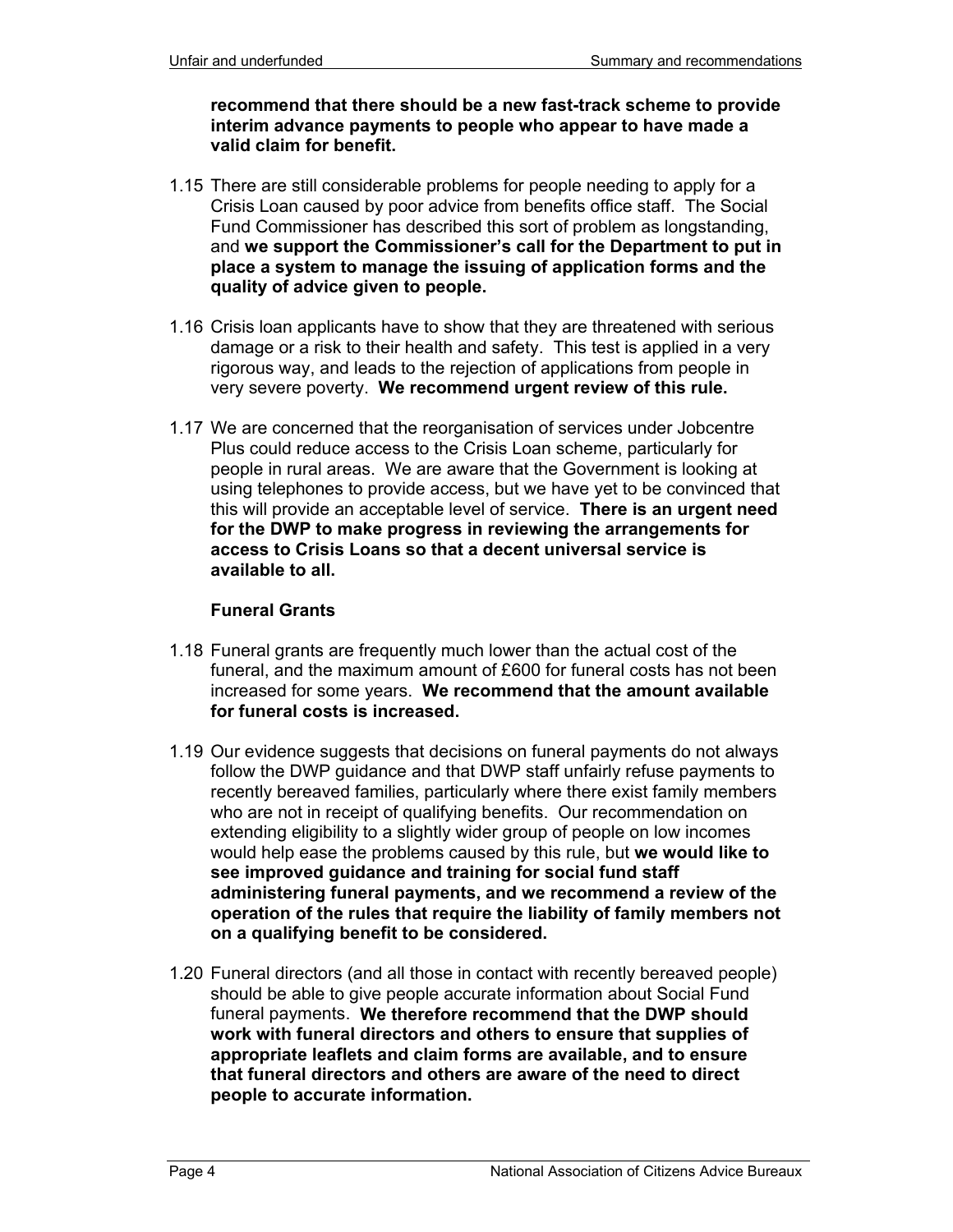**recommend that there should be a new fast-track scheme to provide interim advance payments to people who appear to have made a valid claim for benefit.**

- 1.15 There are still considerable problems for people needing to apply for a Crisis Loan caused by poor advice from benefits office staff. The Social Fund Commissioner has described this sort of problem as longstanding, and **we support the Commissioner's call for the Department to put in place a system to manage the issuing of application forms and the quality of advice given to people.**
- 1.16 Crisis loan applicants have to show that they are threatened with serious damage or a risk to their health and safety. This test is applied in a very rigorous way, and leads to the rejection of applications from people in very severe poverty. **We recommend urgent review of this rule.**
- 1.17 We are concerned that the reorganisation of services under Jobcentre Plus could reduce access to the Crisis Loan scheme, particularly for people in rural areas. We are aware that the Government is looking at using telephones to provide access, but we have yet to be convinced that this will provide an acceptable level of service. **There is an urgent need for the DWP to make progress in reviewing the arrangements for access to Crisis Loans so that a decent universal service is available to all.**

#### **Funeral Grants**

- 1.18 Funeral grants are frequently much lower than the actual cost of the funeral, and the maximum amount of £600 for funeral costs has not been increased for some years. **We recommend that the amount available for funeral costs is increased.**
- 1.19 Our evidence suggests that decisions on funeral payments do not always follow the DWP guidance and that DWP staff unfairly refuse payments to recently bereaved families, particularly where there exist family members who are not in receipt of qualifying benefits. Our recommendation on extending eligibility to a slightly wider group of people on low incomes would help ease the problems caused by this rule, but **we would like to see improved guidance and training for social fund staff administering funeral payments, and we recommend a review of the operation of the rules that require the liability of family members not on a qualifying benefit to be considered.**
- 1.20 Funeral directors (and all those in contact with recently bereaved people) should be able to give people accurate information about Social Fund funeral payments. **We therefore recommend that the DWP should work with funeral directors and others to ensure that supplies of appropriate leaflets and claim forms are available, and to ensure that funeral directors and others are aware of the need to direct people to accurate information.**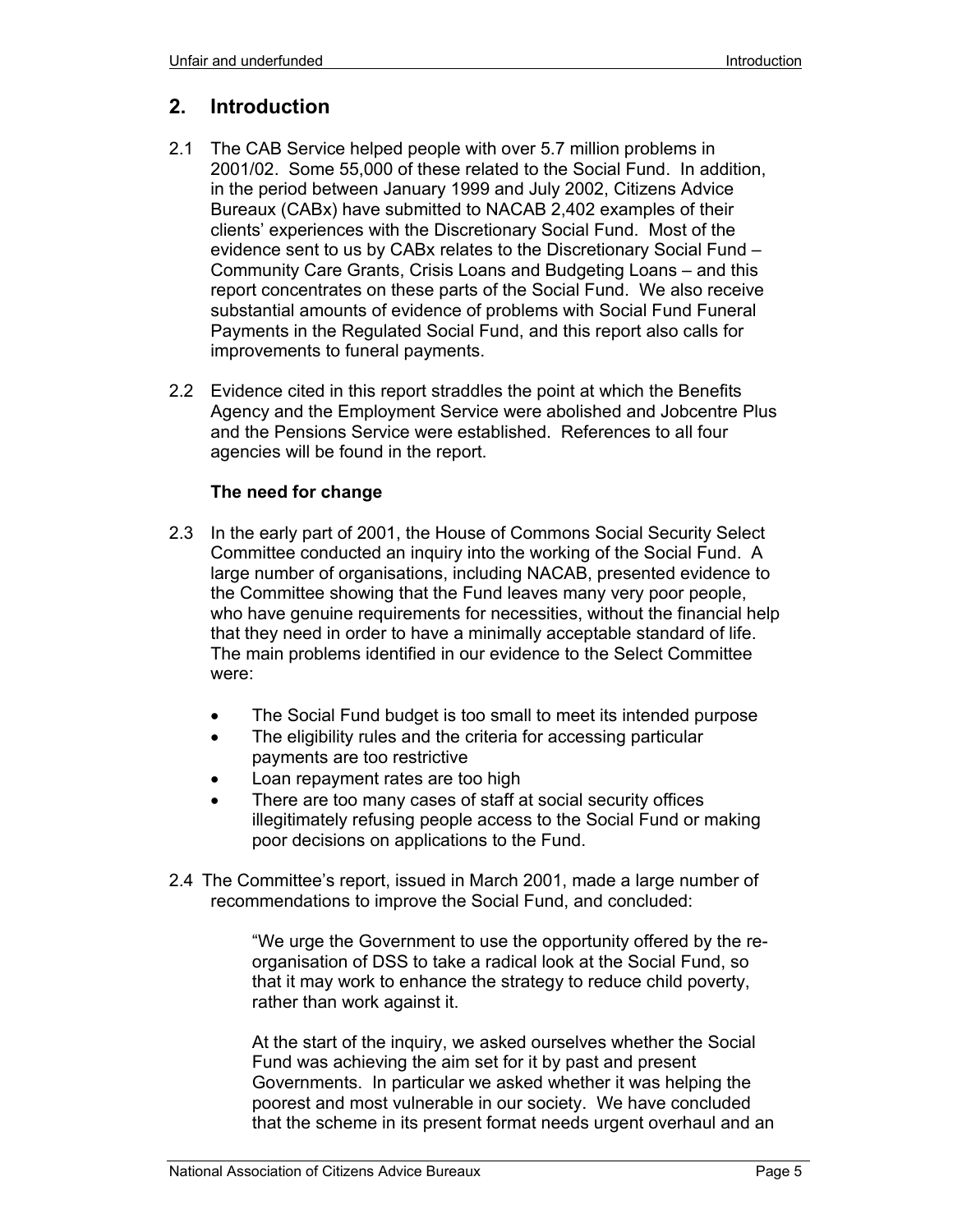# **2. Introduction**

- 2.1 The CAB Service helped people with over 5.7 million problems in 2001/02. Some 55,000 of these related to the Social Fund. In addition, in the period between January 1999 and July 2002, Citizens Advice Bureaux (CABx) have submitted to NACAB 2,402 examples of their clients' experiences with the Discretionary Social Fund. Most of the evidence sent to us by CABx relates to the Discretionary Social Fund – Community Care Grants, Crisis Loans and Budgeting Loans – and this report concentrates on these parts of the Social Fund. We also receive substantial amounts of evidence of problems with Social Fund Funeral Payments in the Regulated Social Fund, and this report also calls for improvements to funeral payments.
- 2.2 Evidence cited in this report straddles the point at which the Benefits Agency and the Employment Service were abolished and Jobcentre Plus and the Pensions Service were established. References to all four agencies will be found in the report.

## **The need for change**

- 2.3 In the early part of 2001, the House of Commons Social Security Select Committee conducted an inquiry into the working of the Social Fund. A large number of organisations, including NACAB, presented evidence to the Committee showing that the Fund leaves many very poor people, who have genuine requirements for necessities, without the financial help that they need in order to have a minimally acceptable standard of life. The main problems identified in our evidence to the Select Committee were:
	- The Social Fund budget is too small to meet its intended purpose
	- The eligibility rules and the criteria for accessing particular payments are too restrictive
	- Loan repayment rates are too high
	- There are too many cases of staff at social security offices illegitimately refusing people access to the Social Fund or making poor decisions on applications to the Fund.
- 2.4 The Committee's report, issued in March 2001, made a large number of recommendations to improve the Social Fund, and concluded:

"We urge the Government to use the opportunity offered by the reorganisation of DSS to take a radical look at the Social Fund, so that it may work to enhance the strategy to reduce child poverty, rather than work against it.

At the start of the inquiry, we asked ourselves whether the Social Fund was achieving the aim set for it by past and present Governments. In particular we asked whether it was helping the poorest and most vulnerable in our society. We have concluded that the scheme in its present format needs urgent overhaul and an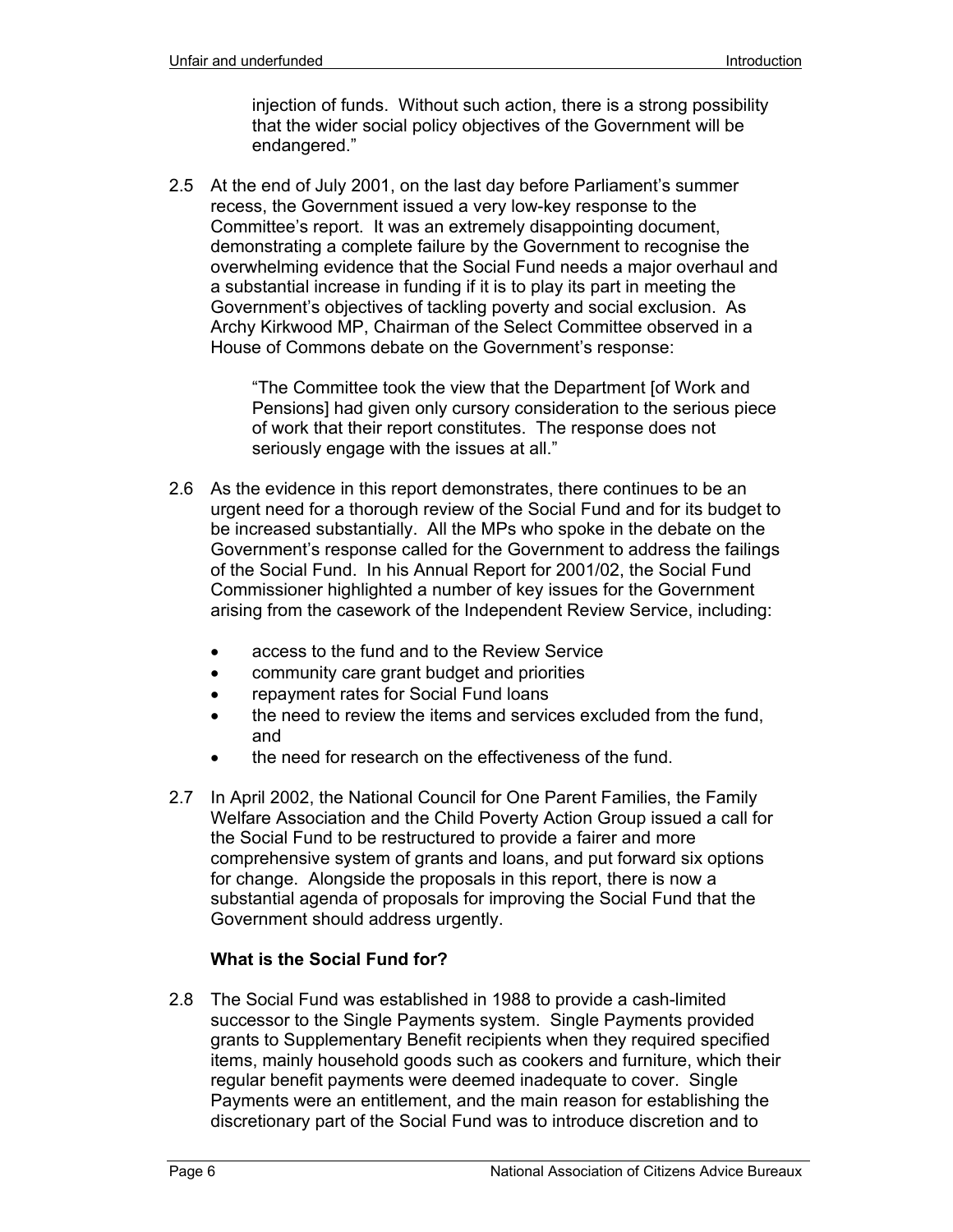injection of funds. Without such action, there is a strong possibility that the wider social policy objectives of the Government will be endangered."

2.5 At the end of July 2001, on the last day before Parliament's summer recess, the Government issued a very low-key response to the Committee's report. It was an extremely disappointing document, demonstrating a complete failure by the Government to recognise the overwhelming evidence that the Social Fund needs a major overhaul and a substantial increase in funding if it is to play its part in meeting the Government's objectives of tackling poverty and social exclusion. As Archy Kirkwood MP, Chairman of the Select Committee observed in a House of Commons debate on the Government's response:

> "The Committee took the view that the Department [of Work and Pensions] had given only cursory consideration to the serious piece of work that their report constitutes. The response does not seriously engage with the issues at all."

- 2.6 As the evidence in this report demonstrates, there continues to be an urgent need for a thorough review of the Social Fund and for its budget to be increased substantially. All the MPs who spoke in the debate on the Government's response called for the Government to address the failings of the Social Fund. In his Annual Report for 2001/02, the Social Fund Commissioner highlighted a number of key issues for the Government arising from the casework of the Independent Review Service, including:
	- access to the fund and to the Review Service
	- community care grant budget and priorities
	- repayment rates for Social Fund loans
	- the need to review the items and services excluded from the fund, and
	- the need for research on the effectiveness of the fund.
- 2.7 In April 2002, the National Council for One Parent Families, the Family Welfare Association and the Child Poverty Action Group issued a call for the Social Fund to be restructured to provide a fairer and more comprehensive system of grants and loans, and put forward six options for change. Alongside the proposals in this report, there is now a substantial agenda of proposals for improving the Social Fund that the Government should address urgently.

## **What is the Social Fund for?**

2.8 The Social Fund was established in 1988 to provide a cash-limited successor to the Single Payments system. Single Payments provided grants to Supplementary Benefit recipients when they required specified items, mainly household goods such as cookers and furniture, which their regular benefit payments were deemed inadequate to cover. Single Payments were an entitlement, and the main reason for establishing the discretionary part of the Social Fund was to introduce discretion and to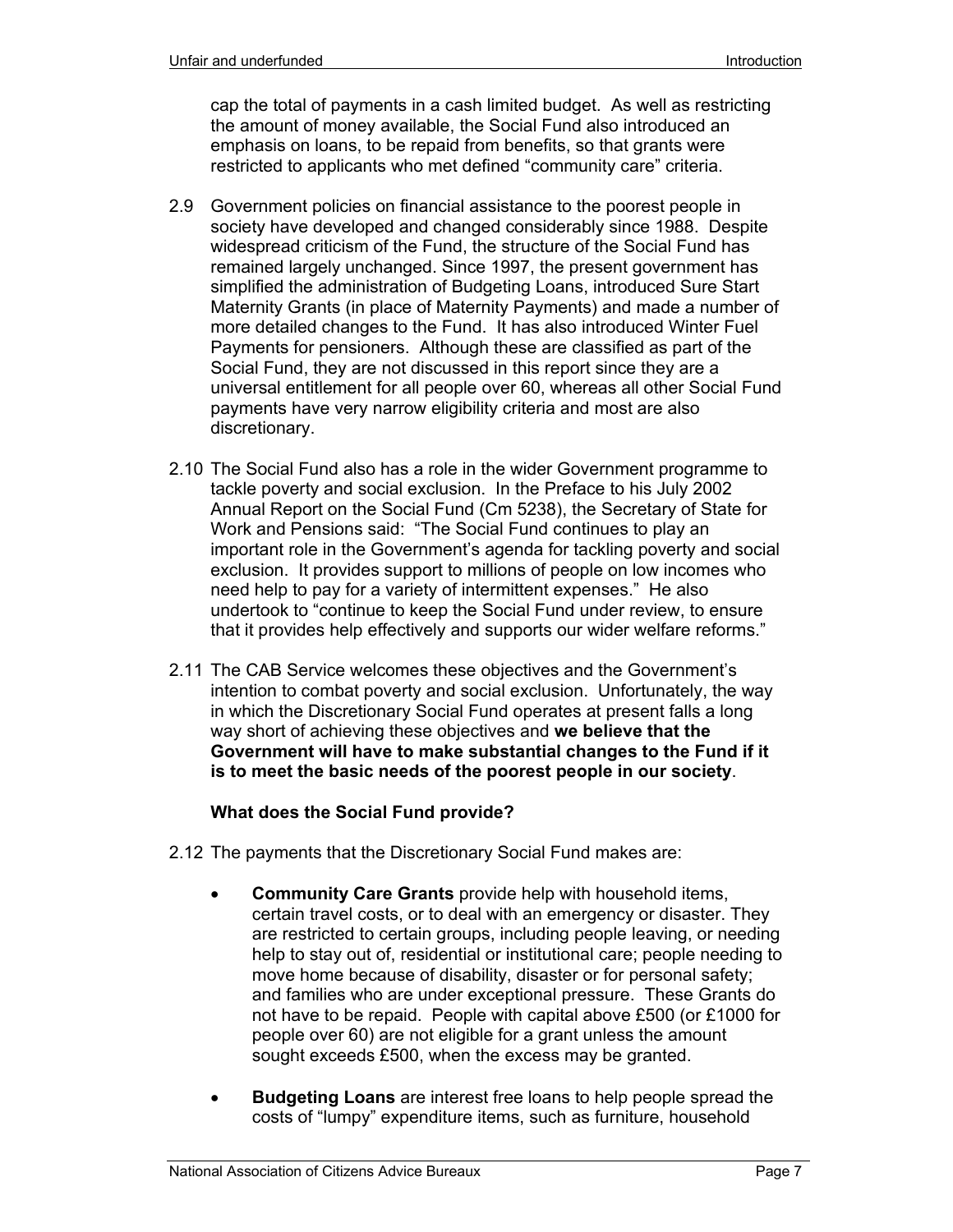cap the total of payments in a cash limited budget. As well as restricting the amount of money available, the Social Fund also introduced an emphasis on loans, to be repaid from benefits, so that grants were restricted to applicants who met defined "community care" criteria.

- 2.9 Government policies on financial assistance to the poorest people in society have developed and changed considerably since 1988. Despite widespread criticism of the Fund, the structure of the Social Fund has remained largely unchanged. Since 1997, the present government has simplified the administration of Budgeting Loans, introduced Sure Start Maternity Grants (in place of Maternity Payments) and made a number of more detailed changes to the Fund. It has also introduced Winter Fuel Payments for pensioners. Although these are classified as part of the Social Fund, they are not discussed in this report since they are a universal entitlement for all people over 60, whereas all other Social Fund payments have very narrow eligibility criteria and most are also discretionary.
- 2.10 The Social Fund also has a role in the wider Government programme to tackle poverty and social exclusion. In the Preface to his July 2002 Annual Report on the Social Fund (Cm 5238), the Secretary of State for Work and Pensions said: "The Social Fund continues to play an important role in the Government's agenda for tackling poverty and social exclusion. It provides support to millions of people on low incomes who need help to pay for a variety of intermittent expenses." He also undertook to "continue to keep the Social Fund under review, to ensure that it provides help effectively and supports our wider welfare reforms."
- 2.11 The CAB Service welcomes these objectives and the Government's intention to combat poverty and social exclusion. Unfortunately, the way in which the Discretionary Social Fund operates at present falls a long way short of achieving these objectives and **we believe that the Government will have to make substantial changes to the Fund if it is to meet the basic needs of the poorest people in our society**.

## **What does the Social Fund provide?**

- 2.12 The payments that the Discretionary Social Fund makes are:
	- **Community Care Grants** provide help with household items, certain travel costs, or to deal with an emergency or disaster. They are restricted to certain groups, including people leaving, or needing help to stay out of, residential or institutional care; people needing to move home because of disability, disaster or for personal safety; and families who are under exceptional pressure. These Grants do not have to be repaid. People with capital above £500 (or £1000 for people over 60) are not eligible for a grant unless the amount sought exceeds £500, when the excess may be granted.
	- **Budgeting Loans** are interest free loans to help people spread the costs of "lumpy" expenditure items, such as furniture, household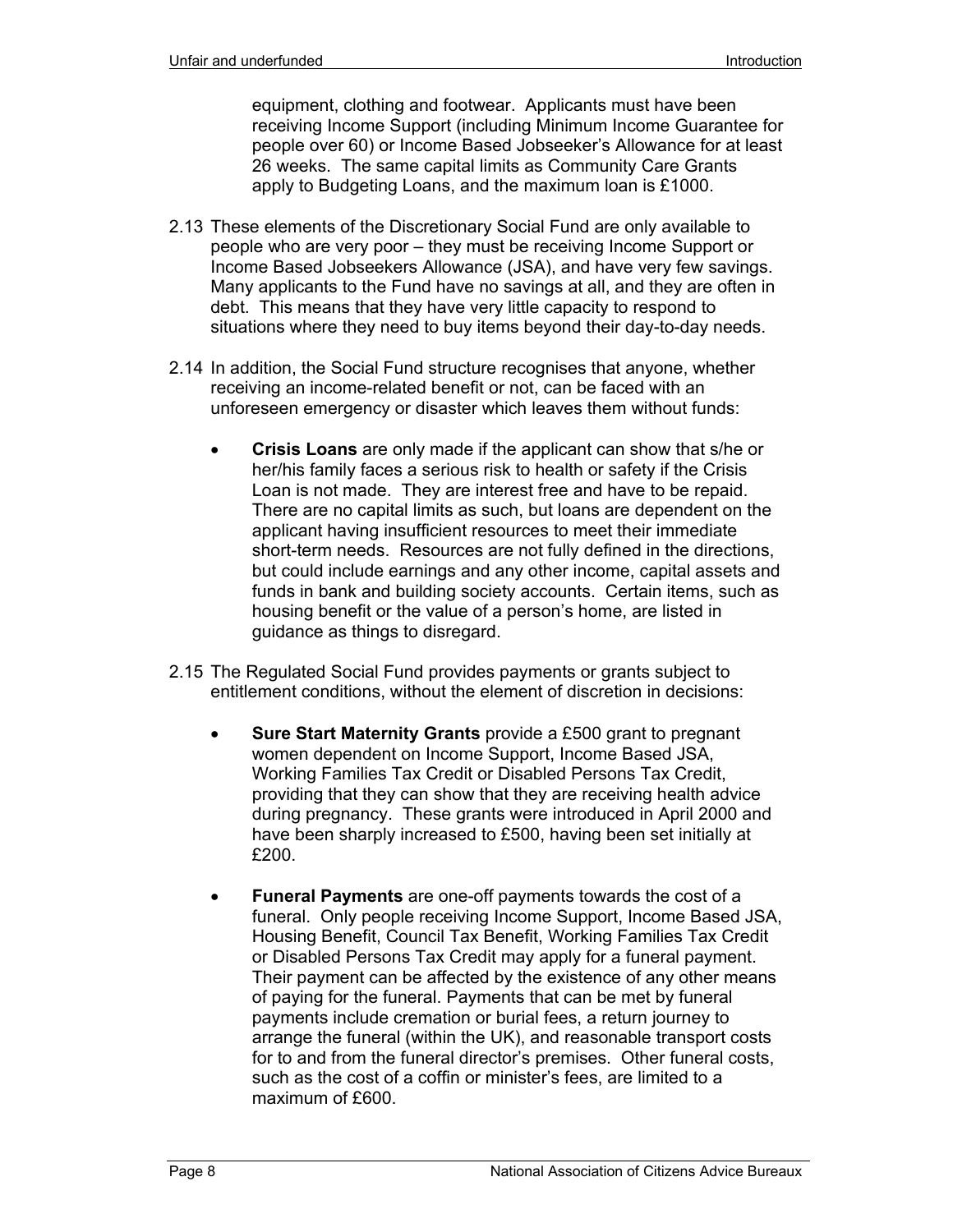equipment, clothing and footwear. Applicants must have been receiving Income Support (including Minimum Income Guarantee for people over 60) or Income Based Jobseeker's Allowance for at least 26 weeks. The same capital limits as Community Care Grants apply to Budgeting Loans, and the maximum loan is £1000.

- 2.13 These elements of the Discretionary Social Fund are only available to people who are very poor – they must be receiving Income Support or Income Based Jobseekers Allowance (JSA), and have very few savings. Many applicants to the Fund have no savings at all, and they are often in debt. This means that they have very little capacity to respond to situations where they need to buy items beyond their day-to-day needs.
- 2.14 In addition, the Social Fund structure recognises that anyone, whether receiving an income-related benefit or not, can be faced with an unforeseen emergency or disaster which leaves them without funds:
	- **Crisis Loans** are only made if the applicant can show that s/he or her/his family faces a serious risk to health or safety if the Crisis Loan is not made. They are interest free and have to be repaid. There are no capital limits as such, but loans are dependent on the applicant having insufficient resources to meet their immediate short-term needs. Resources are not fully defined in the directions, but could include earnings and any other income, capital assets and funds in bank and building society accounts. Certain items, such as housing benefit or the value of a person's home, are listed in guidance as things to disregard.
- 2.15 The Regulated Social Fund provides payments or grants subject to entitlement conditions, without the element of discretion in decisions:
	- **Sure Start Maternity Grants** provide a £500 grant to pregnant women dependent on Income Support, Income Based JSA, Working Families Tax Credit or Disabled Persons Tax Credit, providing that they can show that they are receiving health advice during pregnancy. These grants were introduced in April 2000 and have been sharply increased to £500, having been set initially at £200.
	- **Funeral Payments** are one-off payments towards the cost of a funeral. Only people receiving Income Support, Income Based JSA, Housing Benefit, Council Tax Benefit, Working Families Tax Credit or Disabled Persons Tax Credit may apply for a funeral payment. Their payment can be affected by the existence of any other means of paying for the funeral. Payments that can be met by funeral payments include cremation or burial fees, a return journey to arrange the funeral (within the UK), and reasonable transport costs for to and from the funeral director's premises. Other funeral costs, such as the cost of a coffin or minister's fees, are limited to a maximum of £600.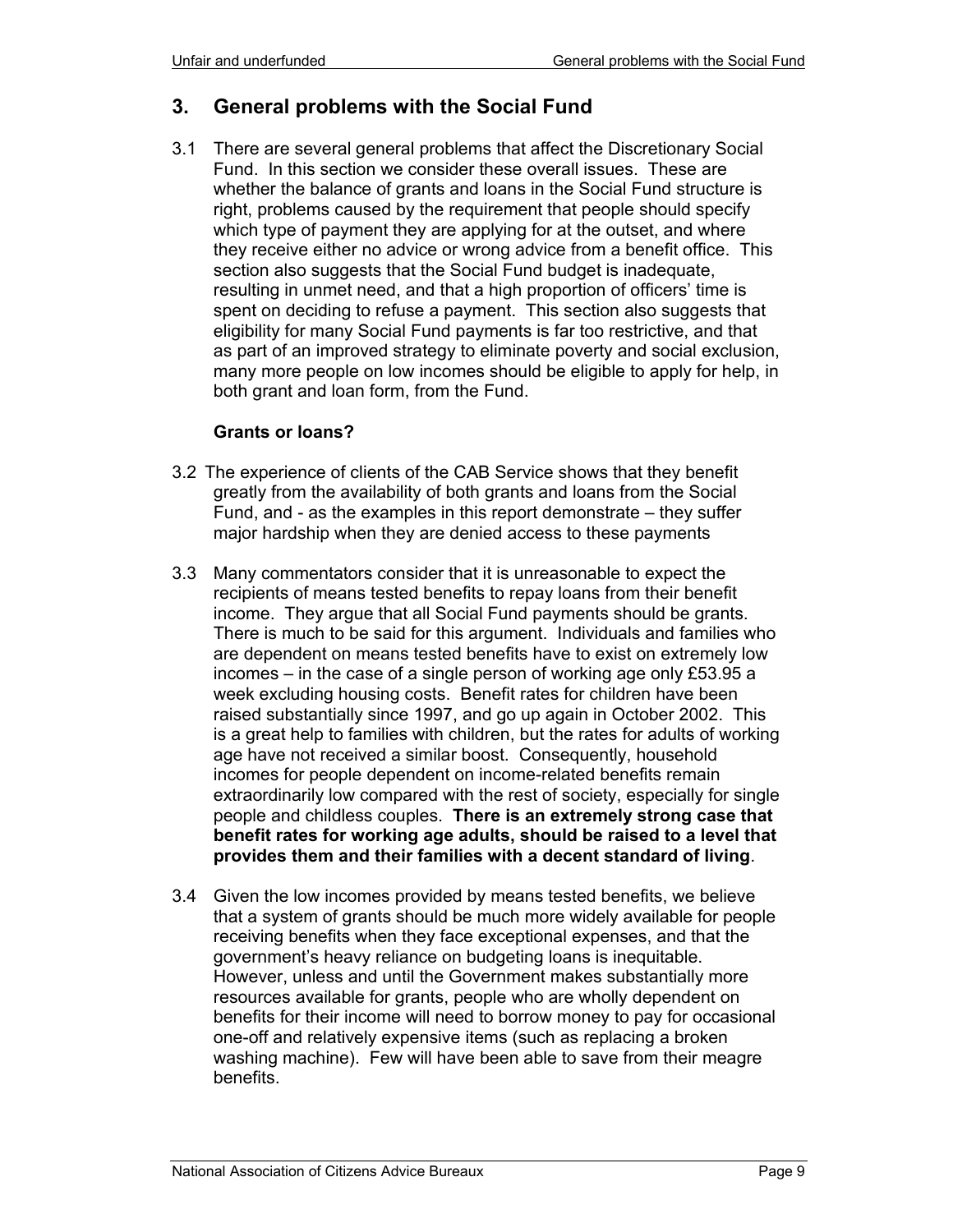# **3. General problems with the Social Fund**

3.1 There are several general problems that affect the Discretionary Social Fund. In this section we consider these overall issues. These are whether the balance of grants and loans in the Social Fund structure is right, problems caused by the requirement that people should specify which type of payment they are applying for at the outset, and where they receive either no advice or wrong advice from a benefit office. This section also suggests that the Social Fund budget is inadequate, resulting in unmet need, and that a high proportion of officers' time is spent on deciding to refuse a payment. This section also suggests that eligibility for many Social Fund payments is far too restrictive, and that as part of an improved strategy to eliminate poverty and social exclusion, many more people on low incomes should be eligible to apply for help, in both grant and loan form, from the Fund.

#### **Grants or loans?**

- 3.2 The experience of clients of the CAB Service shows that they benefit greatly from the availability of both grants and loans from the Social Fund, and - as the examples in this report demonstrate – they suffer major hardship when they are denied access to these payments
- 3.3 Many commentators consider that it is unreasonable to expect the recipients of means tested benefits to repay loans from their benefit income. They argue that all Social Fund payments should be grants. There is much to be said for this argument. Individuals and families who are dependent on means tested benefits have to exist on extremely low incomes – in the case of a single person of working age only £53.95 a week excluding housing costs. Benefit rates for children have been raised substantially since 1997, and go up again in October 2002. This is a great help to families with children, but the rates for adults of working age have not received a similar boost. Consequently, household incomes for people dependent on income-related benefits remain extraordinarily low compared with the rest of society, especially for single people and childless couples. **There is an extremely strong case that benefit rates for working age adults, should be raised to a level that provides them and their families with a decent standard of living**.
- 3.4 Given the low incomes provided by means tested benefits, we believe that a system of grants should be much more widely available for people receiving benefits when they face exceptional expenses, and that the government's heavy reliance on budgeting loans is inequitable. However, unless and until the Government makes substantially more resources available for grants, people who are wholly dependent on benefits for their income will need to borrow money to pay for occasional one-off and relatively expensive items (such as replacing a broken washing machine). Few will have been able to save from their meagre benefits.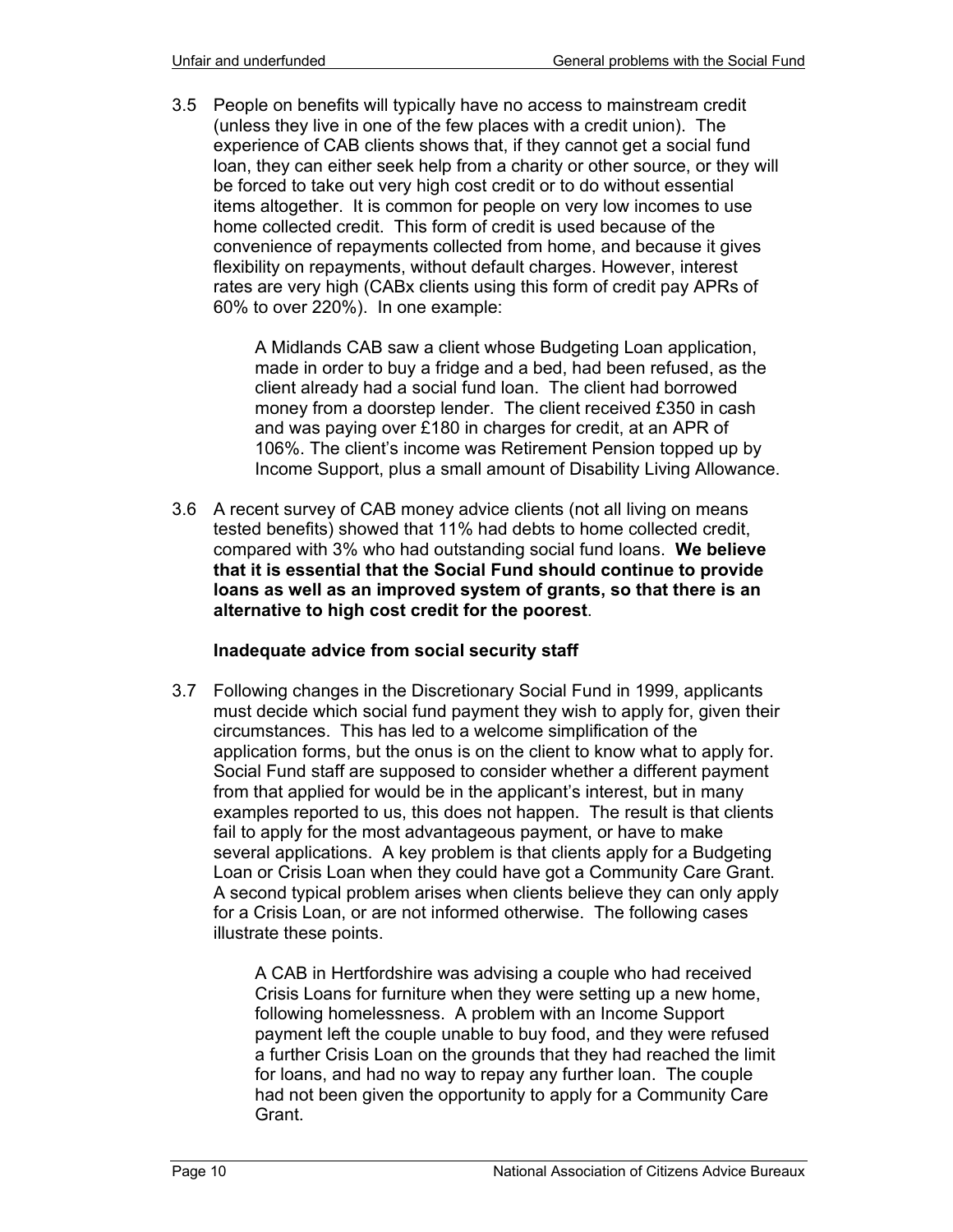3.5 People on benefits will typically have no access to mainstream credit (unless they live in one of the few places with a credit union). The experience of CAB clients shows that, if they cannot get a social fund loan, they can either seek help from a charity or other source, or they will be forced to take out very high cost credit or to do without essential items altogether. It is common for people on very low incomes to use home collected credit. This form of credit is used because of the convenience of repayments collected from home, and because it gives flexibility on repayments, without default charges. However, interest rates are very high (CABx clients using this form of credit pay APRs of 60% to over 220%). In one example:

> A Midlands CAB saw a client whose Budgeting Loan application, made in order to buy a fridge and a bed, had been refused, as the client already had a social fund loan. The client had borrowed money from a doorstep lender. The client received £350 in cash and was paying over £180 in charges for credit, at an APR of 106%. The client's income was Retirement Pension topped up by Income Support, plus a small amount of Disability Living Allowance.

3.6 A recent survey of CAB money advice clients (not all living on means tested benefits) showed that 11% had debts to home collected credit, compared with 3% who had outstanding social fund loans. **We believe that it is essential that the Social Fund should continue to provide loans as well as an improved system of grants, so that there is an alternative to high cost credit for the poorest**.

## **Inadequate advice from social security staff**

3.7 Following changes in the Discretionary Social Fund in 1999, applicants must decide which social fund payment they wish to apply for, given their circumstances. This has led to a welcome simplification of the application forms, but the onus is on the client to know what to apply for. Social Fund staff are supposed to consider whether a different payment from that applied for would be in the applicant's interest, but in many examples reported to us, this does not happen. The result is that clients fail to apply for the most advantageous payment, or have to make several applications. A key problem is that clients apply for a Budgeting Loan or Crisis Loan when they could have got a Community Care Grant. A second typical problem arises when clients believe they can only apply for a Crisis Loan, or are not informed otherwise. The following cases illustrate these points.

> A CAB in Hertfordshire was advising a couple who had received Crisis Loans for furniture when they were setting up a new home, following homelessness. A problem with an Income Support payment left the couple unable to buy food, and they were refused a further Crisis Loan on the grounds that they had reached the limit for loans, and had no way to repay any further loan. The couple had not been given the opportunity to apply for a Community Care Grant.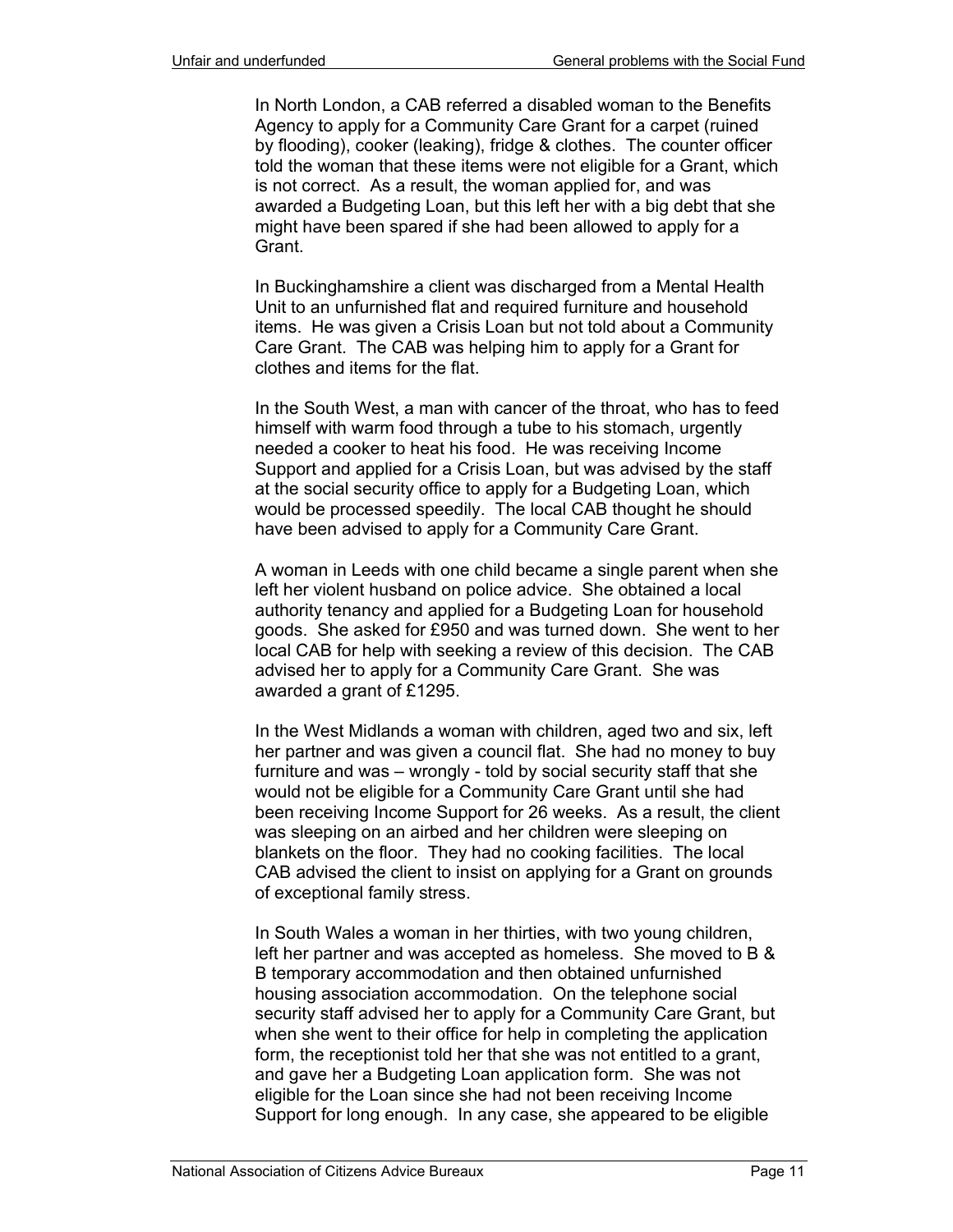In North London, a CAB referred a disabled woman to the Benefits Agency to apply for a Community Care Grant for a carpet (ruined by flooding), cooker (leaking), fridge & clothes. The counter officer told the woman that these items were not eligible for a Grant, which is not correct. As a result, the woman applied for, and was awarded a Budgeting Loan, but this left her with a big debt that she might have been spared if she had been allowed to apply for a Grant.

In Buckinghamshire a client was discharged from a Mental Health Unit to an unfurnished flat and required furniture and household items. He was given a Crisis Loan but not told about a Community Care Grant. The CAB was helping him to apply for a Grant for clothes and items for the flat.

In the South West, a man with cancer of the throat, who has to feed himself with warm food through a tube to his stomach, urgently needed a cooker to heat his food. He was receiving Income Support and applied for a Crisis Loan, but was advised by the staff at the social security office to apply for a Budgeting Loan, which would be processed speedily. The local CAB thought he should have been advised to apply for a Community Care Grant.

A woman in Leeds with one child became a single parent when she left her violent husband on police advice. She obtained a local authority tenancy and applied for a Budgeting Loan for household goods. She asked for £950 and was turned down. She went to her local CAB for help with seeking a review of this decision. The CAB advised her to apply for a Community Care Grant. She was awarded a grant of £1295.

In the West Midlands a woman with children, aged two and six, left her partner and was given a council flat. She had no money to buy furniture and was – wrongly - told by social security staff that she would not be eligible for a Community Care Grant until she had been receiving Income Support for 26 weeks. As a result, the client was sleeping on an airbed and her children were sleeping on blankets on the floor. They had no cooking facilities. The local CAB advised the client to insist on applying for a Grant on grounds of exceptional family stress.

In South Wales a woman in her thirties, with two young children, left her partner and was accepted as homeless. She moved to B & B temporary accommodation and then obtained unfurnished housing association accommodation. On the telephone social security staff advised her to apply for a Community Care Grant, but when she went to their office for help in completing the application form, the receptionist told her that she was not entitled to a grant, and gave her a Budgeting Loan application form. She was not eligible for the Loan since she had not been receiving Income Support for long enough. In any case, she appeared to be eligible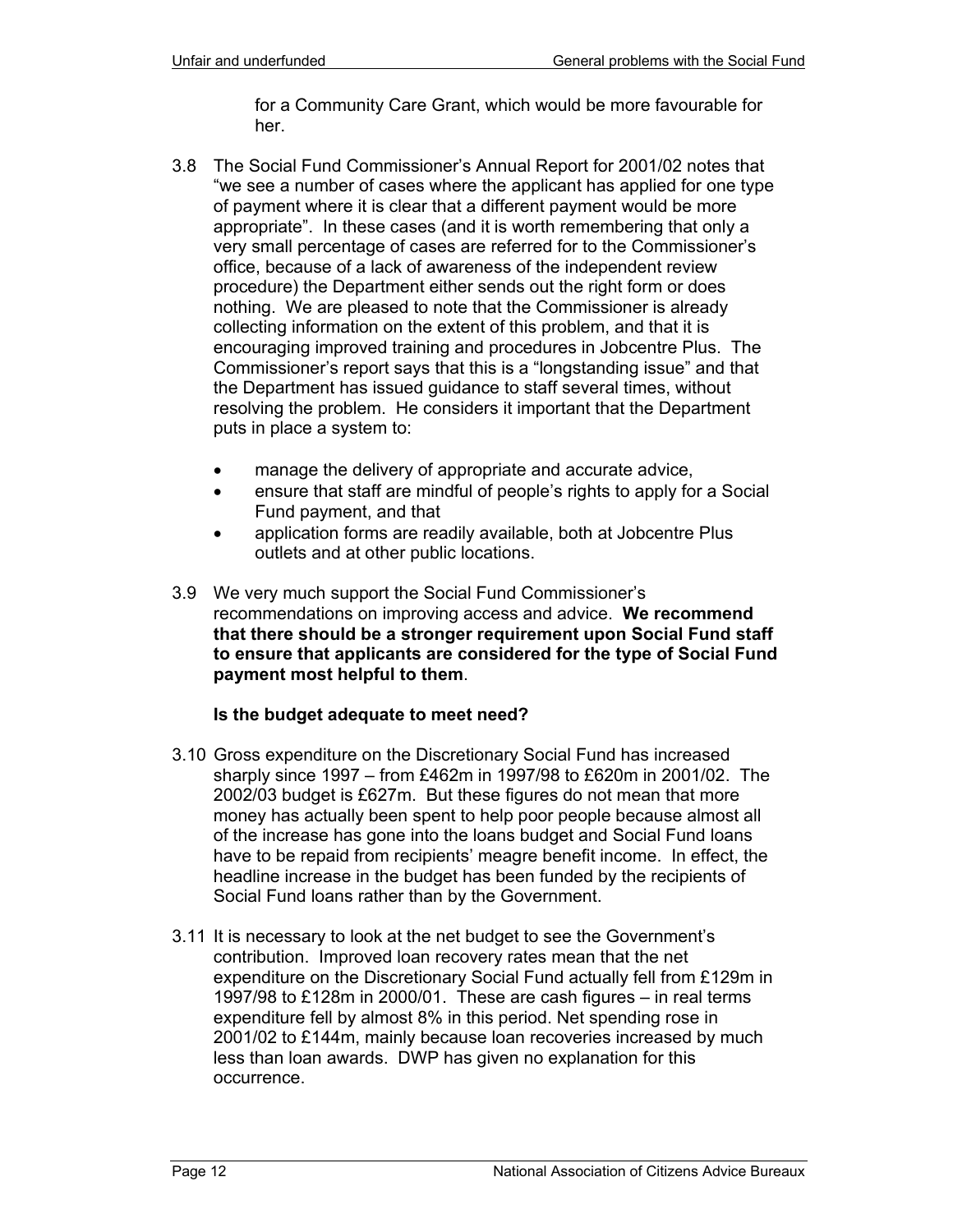for a Community Care Grant, which would be more favourable for her.

- 3.8 The Social Fund Commissioner's Annual Report for 2001/02 notes that "we see a number of cases where the applicant has applied for one type of payment where it is clear that a different payment would be more appropriate". In these cases (and it is worth remembering that only a very small percentage of cases are referred for to the Commissioner's office, because of a lack of awareness of the independent review procedure) the Department either sends out the right form or does nothing. We are pleased to note that the Commissioner is already collecting information on the extent of this problem, and that it is encouraging improved training and procedures in Jobcentre Plus. The Commissioner's report says that this is a "longstanding issue" and that the Department has issued guidance to staff several times, without resolving the problem. He considers it important that the Department puts in place a system to:
	- manage the delivery of appropriate and accurate advice,
	- ensure that staff are mindful of people's rights to apply for a Social Fund payment, and that
	- application forms are readily available, both at Jobcentre Plus outlets and at other public locations.
- 3.9 We very much support the Social Fund Commissioner's recommendations on improving access and advice. **We recommend that there should be a stronger requirement upon Social Fund staff to ensure that applicants are considered for the type of Social Fund payment most helpful to them**.

#### **Is the budget adequate to meet need?**

- 3.10 Gross expenditure on the Discretionary Social Fund has increased sharply since 1997 – from £462m in 1997/98 to £620m in 2001/02. The 2002/03 budget is £627m. But these figures do not mean that more money has actually been spent to help poor people because almost all of the increase has gone into the loans budget and Social Fund loans have to be repaid from recipients' meagre benefit income. In effect, the headline increase in the budget has been funded by the recipients of Social Fund loans rather than by the Government.
- 3.11 It is necessary to look at the net budget to see the Government's contribution. Improved loan recovery rates mean that the net expenditure on the Discretionary Social Fund actually fell from £129m in 1997/98 to £128m in 2000/01. These are cash figures – in real terms expenditure fell by almost 8% in this period. Net spending rose in 2001/02 to £144m, mainly because loan recoveries increased by much less than loan awards. DWP has given no explanation for this occurrence.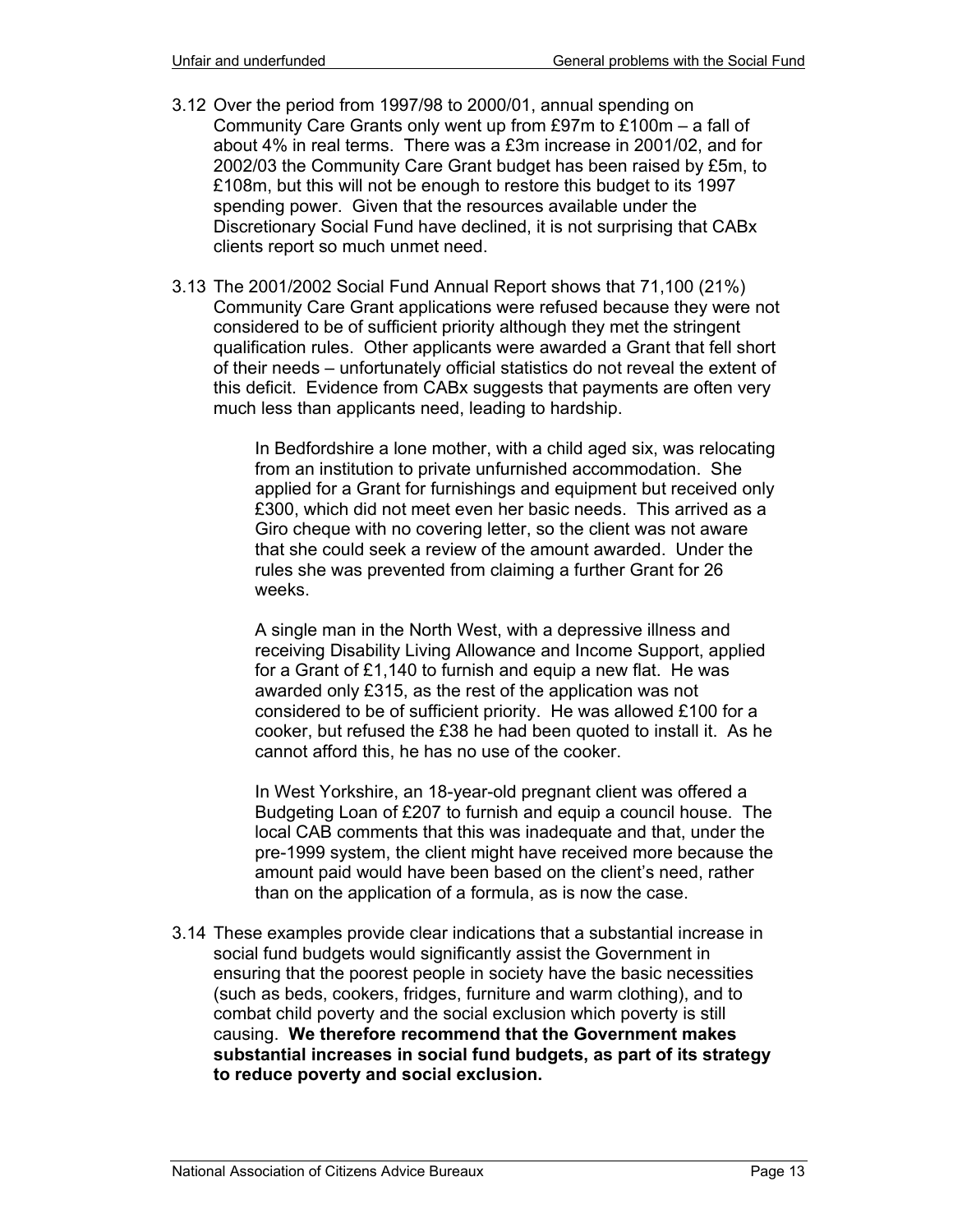- 3.12 Over the period from 1997/98 to 2000/01, annual spending on Community Care Grants only went up from £97m to £100m – a fall of about 4% in real terms. There was a £3m increase in 2001/02, and for 2002/03 the Community Care Grant budget has been raised by £5m, to £108m, but this will not be enough to restore this budget to its 1997 spending power. Given that the resources available under the Discretionary Social Fund have declined, it is not surprising that CABx clients report so much unmet need.
- 3.13 The 2001/2002 Social Fund Annual Report shows that 71,100 (21%) Community Care Grant applications were refused because they were not considered to be of sufficient priority although they met the stringent qualification rules. Other applicants were awarded a Grant that fell short of their needs – unfortunately official statistics do not reveal the extent of this deficit. Evidence from CABx suggests that payments are often very much less than applicants need, leading to hardship.

In Bedfordshire a lone mother, with a child aged six, was relocating from an institution to private unfurnished accommodation. She applied for a Grant for furnishings and equipment but received only £300, which did not meet even her basic needs. This arrived as a Giro cheque with no covering letter, so the client was not aware that she could seek a review of the amount awarded. Under the rules she was prevented from claiming a further Grant for 26 weeks.

A single man in the North West, with a depressive illness and receiving Disability Living Allowance and Income Support, applied for a Grant of £1,140 to furnish and equip a new flat. He was awarded only £315, as the rest of the application was not considered to be of sufficient priority. He was allowed £100 for a cooker, but refused the £38 he had been quoted to install it. As he cannot afford this, he has no use of the cooker.

In West Yorkshire, an 18-year-old pregnant client was offered a Budgeting Loan of £207 to furnish and equip a council house. The local CAB comments that this was inadequate and that, under the pre-1999 system, the client might have received more because the amount paid would have been based on the client's need, rather than on the application of a formula, as is now the case.

3.14 These examples provide clear indications that a substantial increase in social fund budgets would significantly assist the Government in ensuring that the poorest people in society have the basic necessities (such as beds, cookers, fridges, furniture and warm clothing), and to combat child poverty and the social exclusion which poverty is still causing. **We therefore recommend that the Government makes substantial increases in social fund budgets, as part of its strategy to reduce poverty and social exclusion.**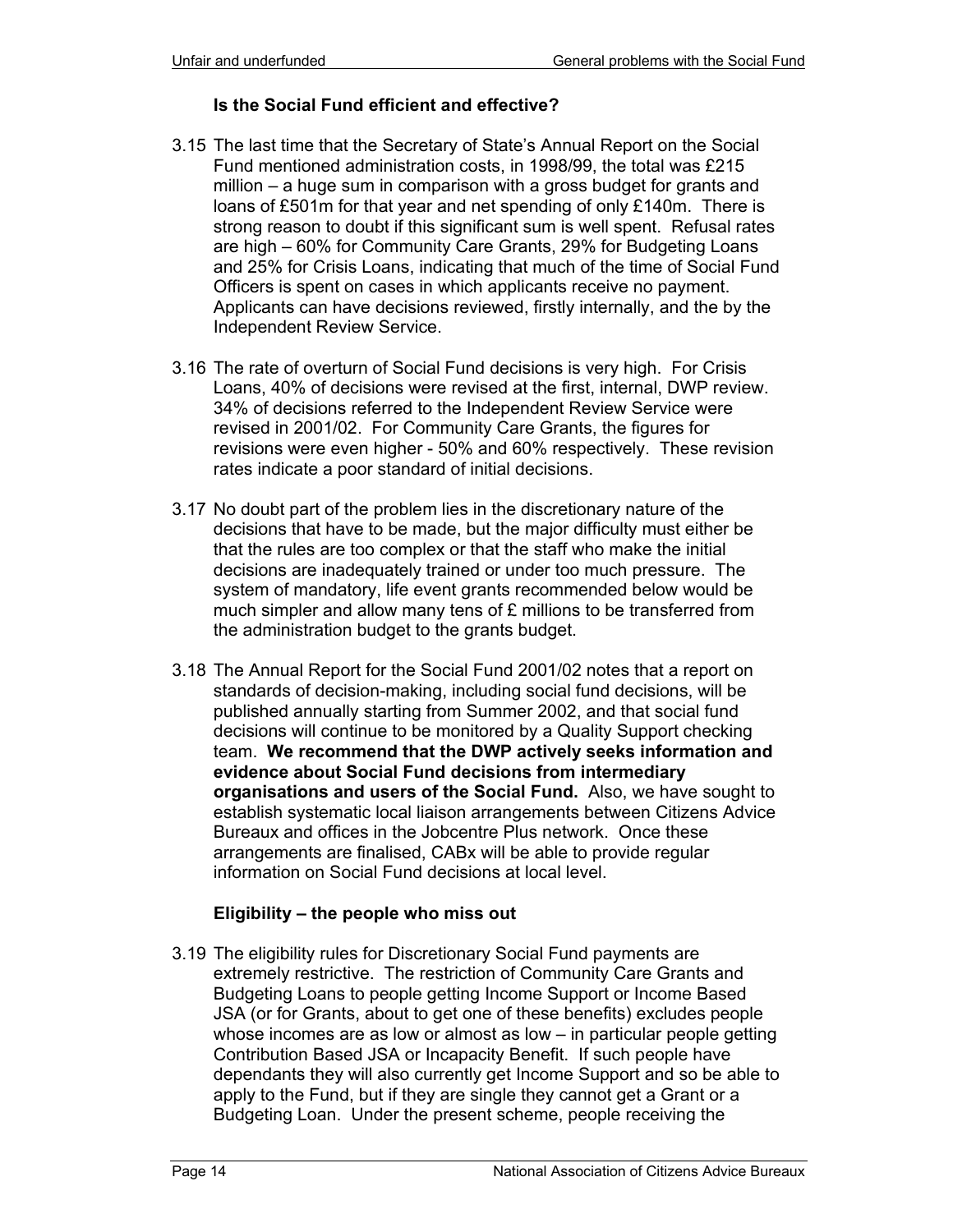#### **Is the Social Fund efficient and effective?**

- 3.15 The last time that the Secretary of State's Annual Report on the Social Fund mentioned administration costs, in 1998/99, the total was £215 million – a huge sum in comparison with a gross budget for grants and loans of £501m for that year and net spending of only £140m. There is strong reason to doubt if this significant sum is well spent. Refusal rates are high – 60% for Community Care Grants, 29% for Budgeting Loans and 25% for Crisis Loans, indicating that much of the time of Social Fund Officers is spent on cases in which applicants receive no payment. Applicants can have decisions reviewed, firstly internally, and the by the Independent Review Service.
- 3.16 The rate of overturn of Social Fund decisions is very high. For Crisis Loans, 40% of decisions were revised at the first, internal, DWP review. 34% of decisions referred to the Independent Review Service were revised in 2001/02. For Community Care Grants, the figures for revisions were even higher - 50% and 60% respectively. These revision rates indicate a poor standard of initial decisions.
- 3.17 No doubt part of the problem lies in the discretionary nature of the decisions that have to be made, but the major difficulty must either be that the rules are too complex or that the staff who make the initial decisions are inadequately trained or under too much pressure. The system of mandatory, life event grants recommended below would be much simpler and allow many tens of £ millions to be transferred from the administration budget to the grants budget.
- 3.18 The Annual Report for the Social Fund 2001/02 notes that a report on standards of decision-making, including social fund decisions, will be published annually starting from Summer 2002, and that social fund decisions will continue to be monitored by a Quality Support checking team. **We recommend that the DWP actively seeks information and evidence about Social Fund decisions from intermediary organisations and users of the Social Fund.** Also, we have sought to establish systematic local liaison arrangements between Citizens Advice Bureaux and offices in the Jobcentre Plus network. Once these arrangements are finalised, CABx will be able to provide regular information on Social Fund decisions at local level.

## **Eligibility – the people who miss out**

3.19 The eligibility rules for Discretionary Social Fund payments are extremely restrictive. The restriction of Community Care Grants and Budgeting Loans to people getting Income Support or Income Based JSA (or for Grants, about to get one of these benefits) excludes people whose incomes are as low or almost as low – in particular people getting Contribution Based JSA or Incapacity Benefit. If such people have dependants they will also currently get Income Support and so be able to apply to the Fund, but if they are single they cannot get a Grant or a Budgeting Loan. Under the present scheme, people receiving the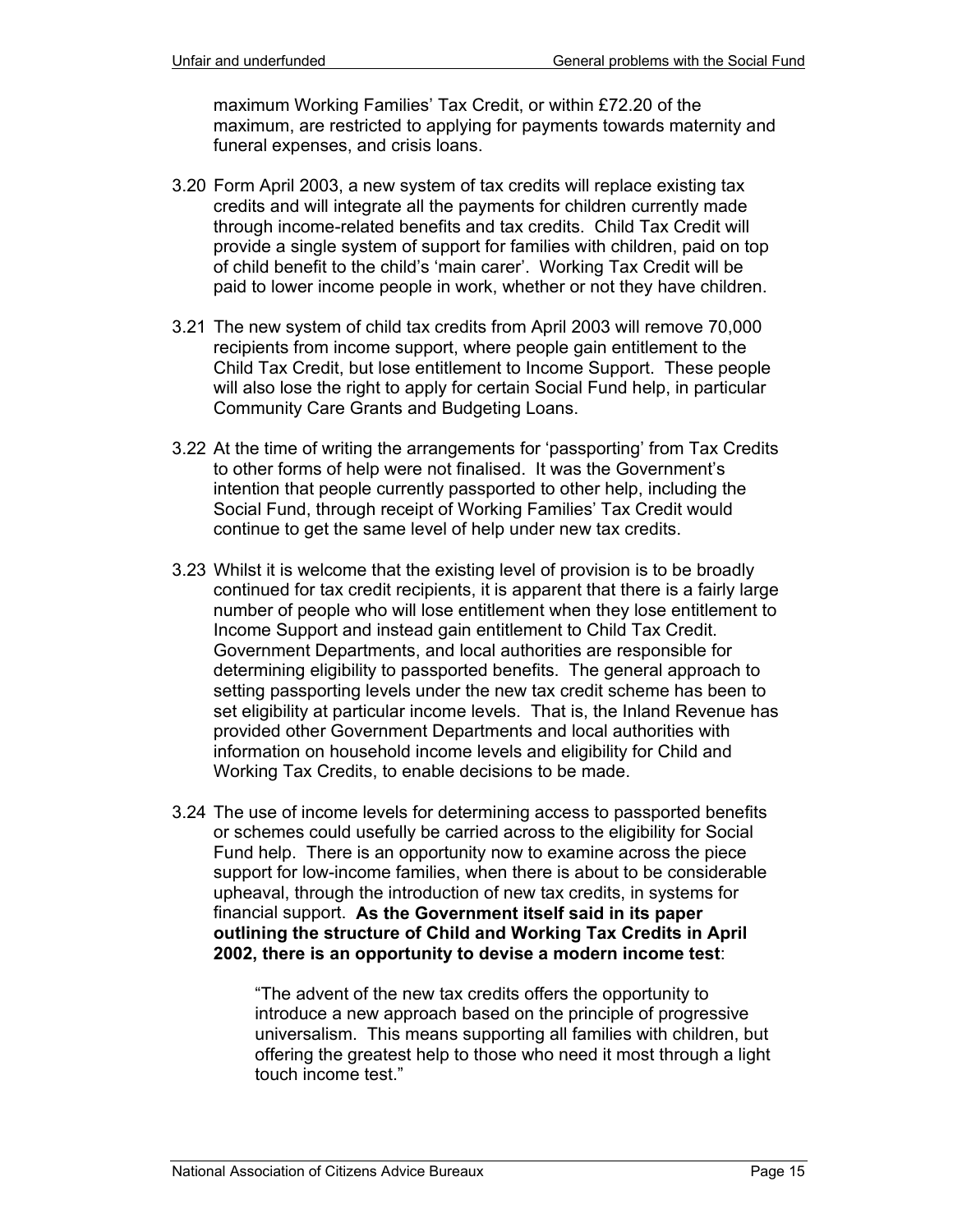maximum Working Families' Tax Credit, or within £72.20 of the maximum, are restricted to applying for payments towards maternity and funeral expenses, and crisis loans.

- 3.20 Form April 2003, a new system of tax credits will replace existing tax credits and will integrate all the payments for children currently made through income-related benefits and tax credits. Child Tax Credit will provide a single system of support for families with children, paid on top of child benefit to the child's 'main carer'. Working Tax Credit will be paid to lower income people in work, whether or not they have children.
- 3.21 The new system of child tax credits from April 2003 will remove 70,000 recipients from income support, where people gain entitlement to the Child Tax Credit, but lose entitlement to Income Support. These people will also lose the right to apply for certain Social Fund help, in particular Community Care Grants and Budgeting Loans.
- 3.22 At the time of writing the arrangements for 'passporting' from Tax Credits to other forms of help were not finalised. It was the Government's intention that people currently passported to other help, including the Social Fund, through receipt of Working Families' Tax Credit would continue to get the same level of help under new tax credits.
- 3.23 Whilst it is welcome that the existing level of provision is to be broadly continued for tax credit recipients, it is apparent that there is a fairly large number of people who will lose entitlement when they lose entitlement to Income Support and instead gain entitlement to Child Tax Credit. Government Departments, and local authorities are responsible for determining eligibility to passported benefits. The general approach to setting passporting levels under the new tax credit scheme has been to set eligibility at particular income levels. That is, the Inland Revenue has provided other Government Departments and local authorities with information on household income levels and eligibility for Child and Working Tax Credits, to enable decisions to be made.
- 3.24 The use of income levels for determining access to passported benefits or schemes could usefully be carried across to the eligibility for Social Fund help. There is an opportunity now to examine across the piece support for low-income families, when there is about to be considerable upheaval, through the introduction of new tax credits, in systems for financial support. **As the Government itself said in its paper outlining the structure of Child and Working Tax Credits in April 2002, there is an opportunity to devise a modern income test**:

"The advent of the new tax credits offers the opportunity to introduce a new approach based on the principle of progressive universalism. This means supporting all families with children, but offering the greatest help to those who need it most through a light touch income test."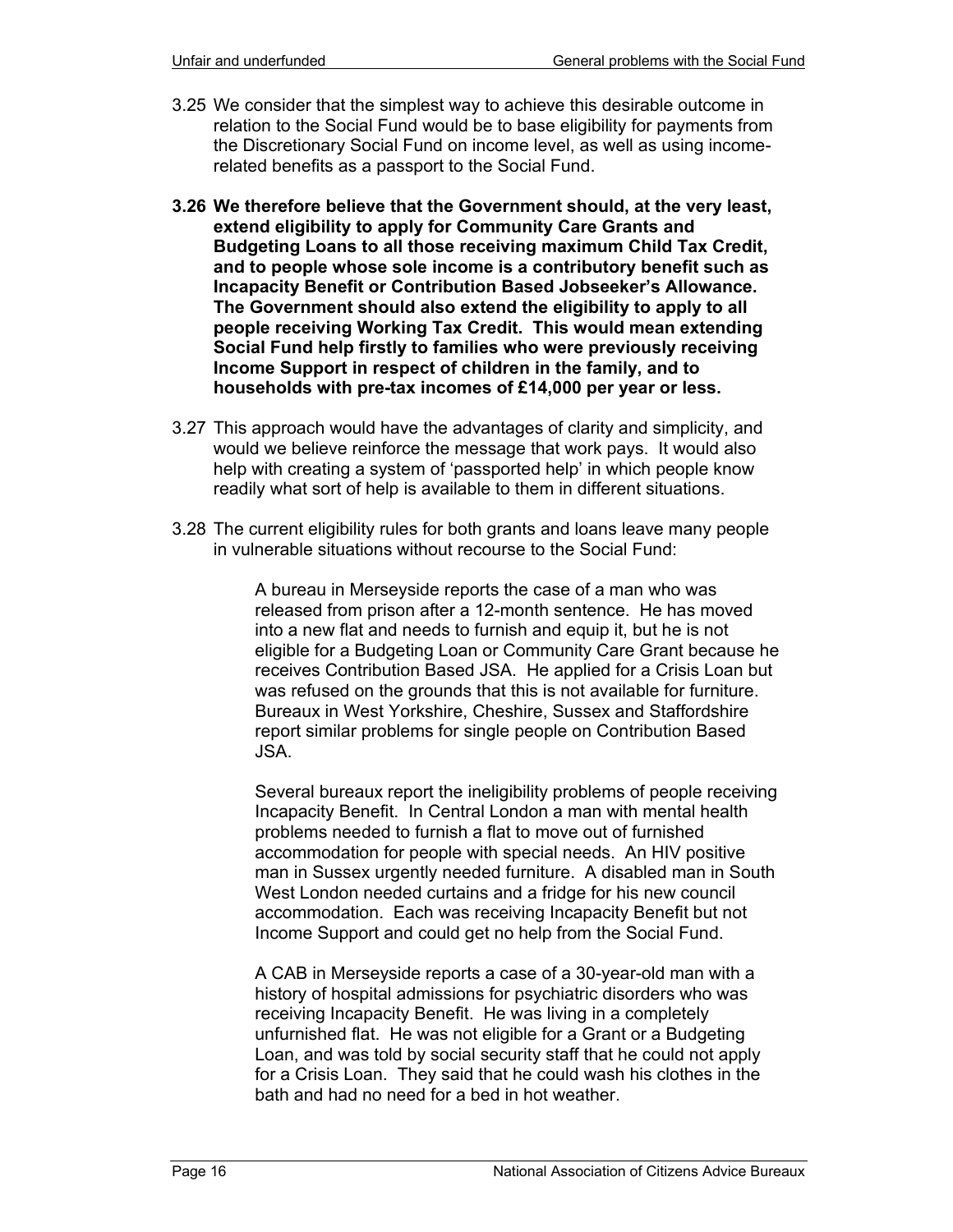- 3.25 We consider that the simplest way to achieve this desirable outcome in relation to the Social Fund would be to base eligibility for payments from the Discretionary Social Fund on income level, as well as using incomerelated benefits as a passport to the Social Fund.
- **3.26 We therefore believe that the Government should, at the very least, extend eligibility to apply for Community Care Grants and Budgeting Loans to all those receiving maximum Child Tax Credit, and to people whose sole income is a contributory benefit such as Incapacity Benefit or Contribution Based Jobseeker's Allowance. The Government should also extend the eligibility to apply to all people receiving Working Tax Credit. This would mean extending Social Fund help firstly to families who were previously receiving Income Support in respect of children in the family, and to households with pre-tax incomes of £14,000 per year or less.**
- 3.27 This approach would have the advantages of clarity and simplicity, and would we believe reinforce the message that work pays. It would also help with creating a system of 'passported help' in which people know readily what sort of help is available to them in different situations.
- 3.28 The current eligibility rules for both grants and loans leave many people in vulnerable situations without recourse to the Social Fund:

A bureau in Merseyside reports the case of a man who was released from prison after a 12-month sentence. He has moved into a new flat and needs to furnish and equip it, but he is not eligible for a Budgeting Loan or Community Care Grant because he receives Contribution Based JSA. He applied for a Crisis Loan but was refused on the grounds that this is not available for furniture. Bureaux in West Yorkshire, Cheshire, Sussex and Staffordshire report similar problems for single people on Contribution Based JSA.

Several bureaux report the ineligibility problems of people receiving Incapacity Benefit. In Central London a man with mental health problems needed to furnish a flat to move out of furnished accommodation for people with special needs. An HIV positive man in Sussex urgently needed furniture. A disabled man in South West London needed curtains and a fridge for his new council accommodation. Each was receiving Incapacity Benefit but not Income Support and could get no help from the Social Fund.

A CAB in Merseyside reports a case of a 30-year-old man with a history of hospital admissions for psychiatric disorders who was receiving Incapacity Benefit. He was living in a completely unfurnished flat. He was not eligible for a Grant or a Budgeting Loan, and was told by social security staff that he could not apply for a Crisis Loan. They said that he could wash his clothes in the bath and had no need for a bed in hot weather.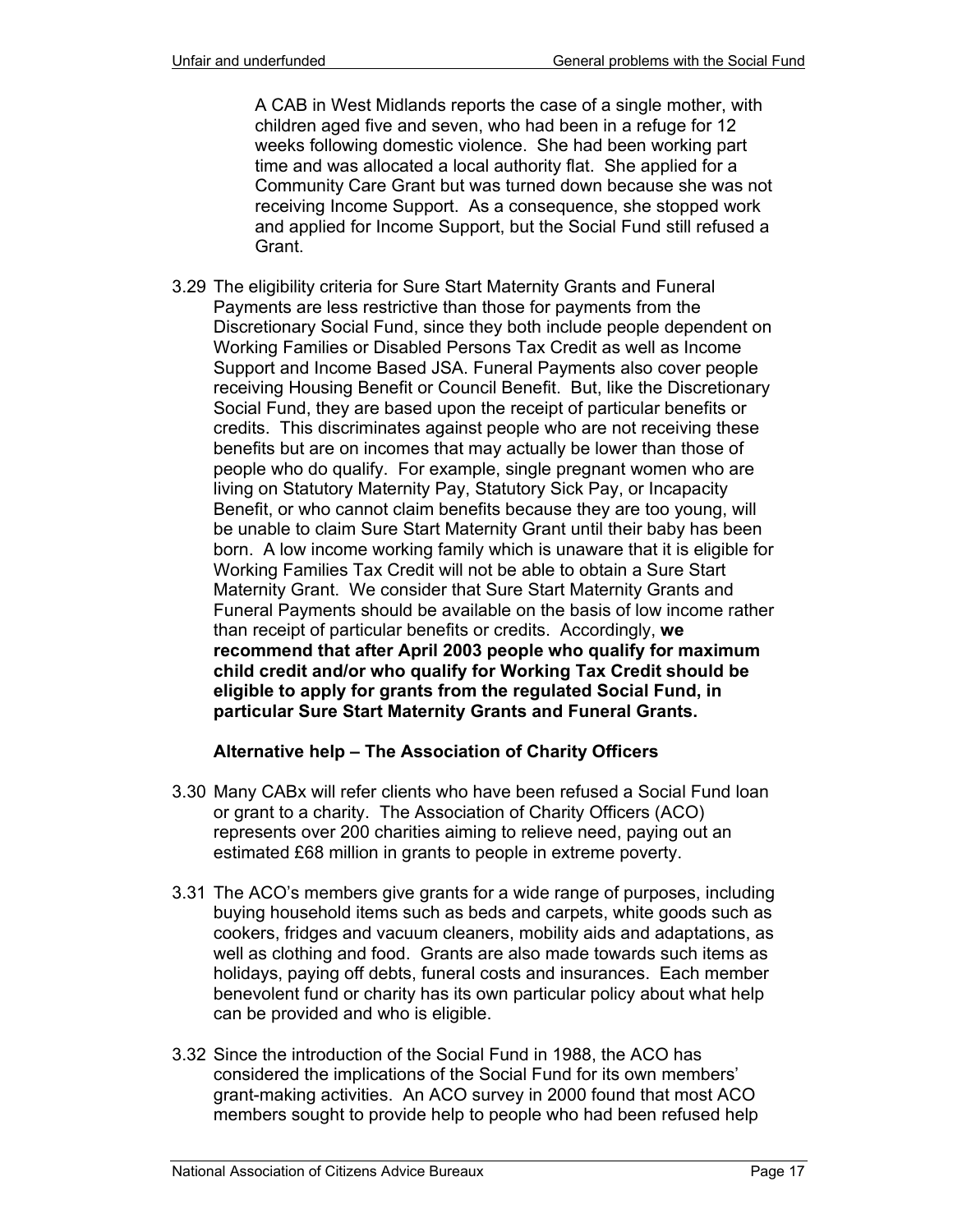A CAB in West Midlands reports the case of a single mother, with children aged five and seven, who had been in a refuge for 12 weeks following domestic violence. She had been working part time and was allocated a local authority flat. She applied for a Community Care Grant but was turned down because she was not receiving Income Support. As a consequence, she stopped work and applied for Income Support, but the Social Fund still refused a Grant.

3.29 The eligibility criteria for Sure Start Maternity Grants and Funeral Payments are less restrictive than those for payments from the Discretionary Social Fund, since they both include people dependent on Working Families or Disabled Persons Tax Credit as well as Income Support and Income Based JSA. Funeral Payments also cover people receiving Housing Benefit or Council Benefit. But, like the Discretionary Social Fund, they are based upon the receipt of particular benefits or credits. This discriminates against people who are not receiving these benefits but are on incomes that may actually be lower than those of people who do qualify. For example, single pregnant women who are living on Statutory Maternity Pay, Statutory Sick Pay, or Incapacity Benefit, or who cannot claim benefits because they are too young, will be unable to claim Sure Start Maternity Grant until their baby has been born. A low income working family which is unaware that it is eligible for Working Families Tax Credit will not be able to obtain a Sure Start Maternity Grant. We consider that Sure Start Maternity Grants and Funeral Payments should be available on the basis of low income rather than receipt of particular benefits or credits. Accordingly, **we recommend that after April 2003 people who qualify for maximum child credit and/or who qualify for Working Tax Credit should be eligible to apply for grants from the regulated Social Fund, in particular Sure Start Maternity Grants and Funeral Grants.**

## **Alternative help – The Association of Charity Officers**

- 3.30 Many CABx will refer clients who have been refused a Social Fund loan or grant to a charity. The Association of Charity Officers (ACO) represents over 200 charities aiming to relieve need, paying out an estimated £68 million in grants to people in extreme poverty.
- 3.31 The ACO's members give grants for a wide range of purposes, including buying household items such as beds and carpets, white goods such as cookers, fridges and vacuum cleaners, mobility aids and adaptations, as well as clothing and food. Grants are also made towards such items as holidays, paying off debts, funeral costs and insurances. Each member benevolent fund or charity has its own particular policy about what help can be provided and who is eligible.
- 3.32 Since the introduction of the Social Fund in 1988, the ACO has considered the implications of the Social Fund for its own members' grant-making activities. An ACO survey in 2000 found that most ACO members sought to provide help to people who had been refused help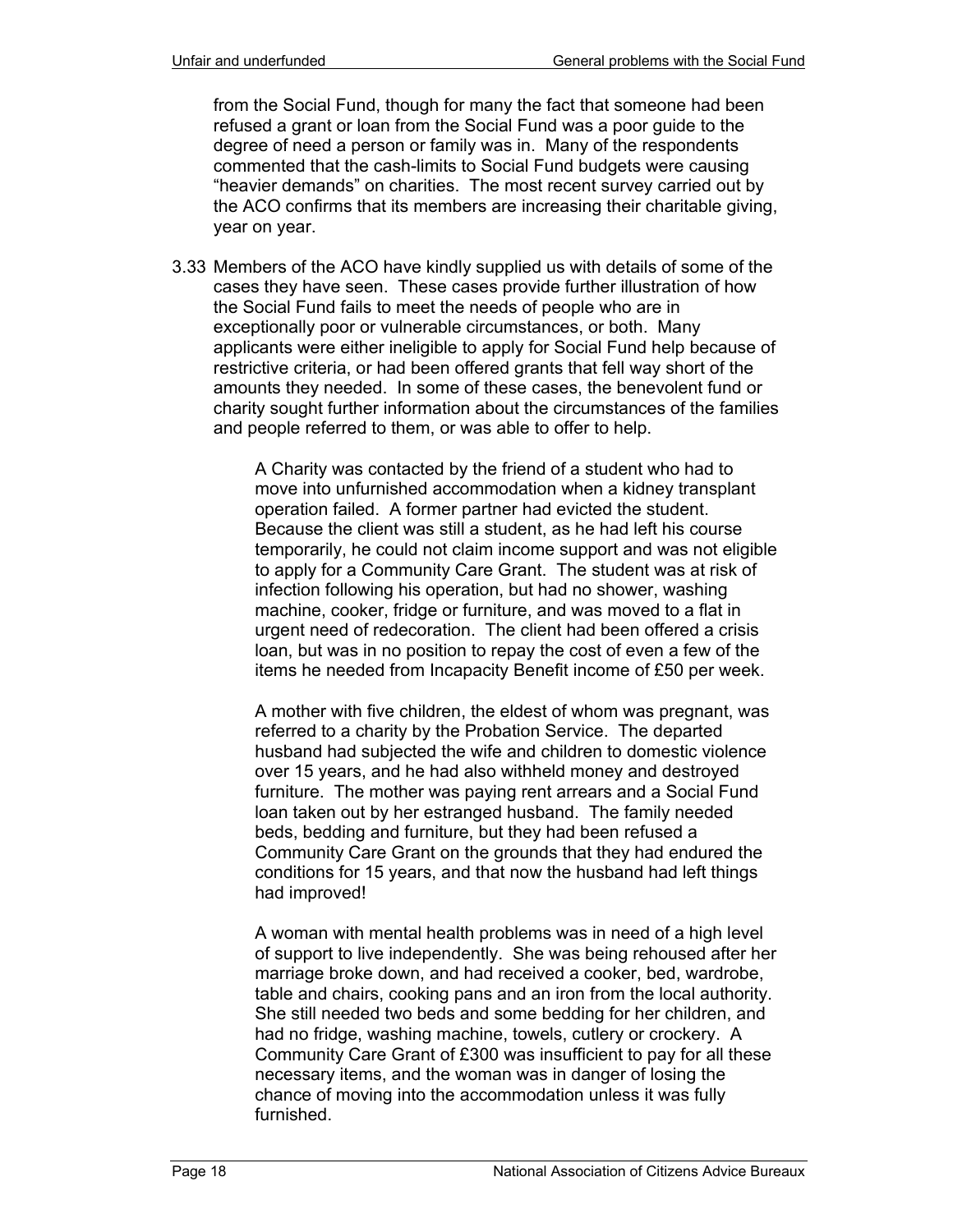from the Social Fund, though for many the fact that someone had been refused a grant or loan from the Social Fund was a poor guide to the degree of need a person or family was in. Many of the respondents commented that the cash-limits to Social Fund budgets were causing "heavier demands" on charities. The most recent survey carried out by the ACO confirms that its members are increasing their charitable giving, year on year.

3.33 Members of the ACO have kindly supplied us with details of some of the cases they have seen. These cases provide further illustration of how the Social Fund fails to meet the needs of people who are in exceptionally poor or vulnerable circumstances, or both. Many applicants were either ineligible to apply for Social Fund help because of restrictive criteria, or had been offered grants that fell way short of the amounts they needed. In some of these cases, the benevolent fund or charity sought further information about the circumstances of the families and people referred to them, or was able to offer to help.

> A Charity was contacted by the friend of a student who had to move into unfurnished accommodation when a kidney transplant operation failed. A former partner had evicted the student. Because the client was still a student, as he had left his course temporarily, he could not claim income support and was not eligible to apply for a Community Care Grant. The student was at risk of infection following his operation, but had no shower, washing machine, cooker, fridge or furniture, and was moved to a flat in urgent need of redecoration. The client had been offered a crisis loan, but was in no position to repay the cost of even a few of the items he needed from Incapacity Benefit income of £50 per week.

A mother with five children, the eldest of whom was pregnant, was referred to a charity by the Probation Service. The departed husband had subjected the wife and children to domestic violence over 15 years, and he had also withheld money and destroyed furniture. The mother was paying rent arrears and a Social Fund loan taken out by her estranged husband. The family needed beds, bedding and furniture, but they had been refused a Community Care Grant on the grounds that they had endured the conditions for 15 years, and that now the husband had left things had improved!

A woman with mental health problems was in need of a high level of support to live independently. She was being rehoused after her marriage broke down, and had received a cooker, bed, wardrobe, table and chairs, cooking pans and an iron from the local authority. She still needed two beds and some bedding for her children, and had no fridge, washing machine, towels, cutlery or crockery. A Community Care Grant of £300 was insufficient to pay for all these necessary items, and the woman was in danger of losing the chance of moving into the accommodation unless it was fully furnished.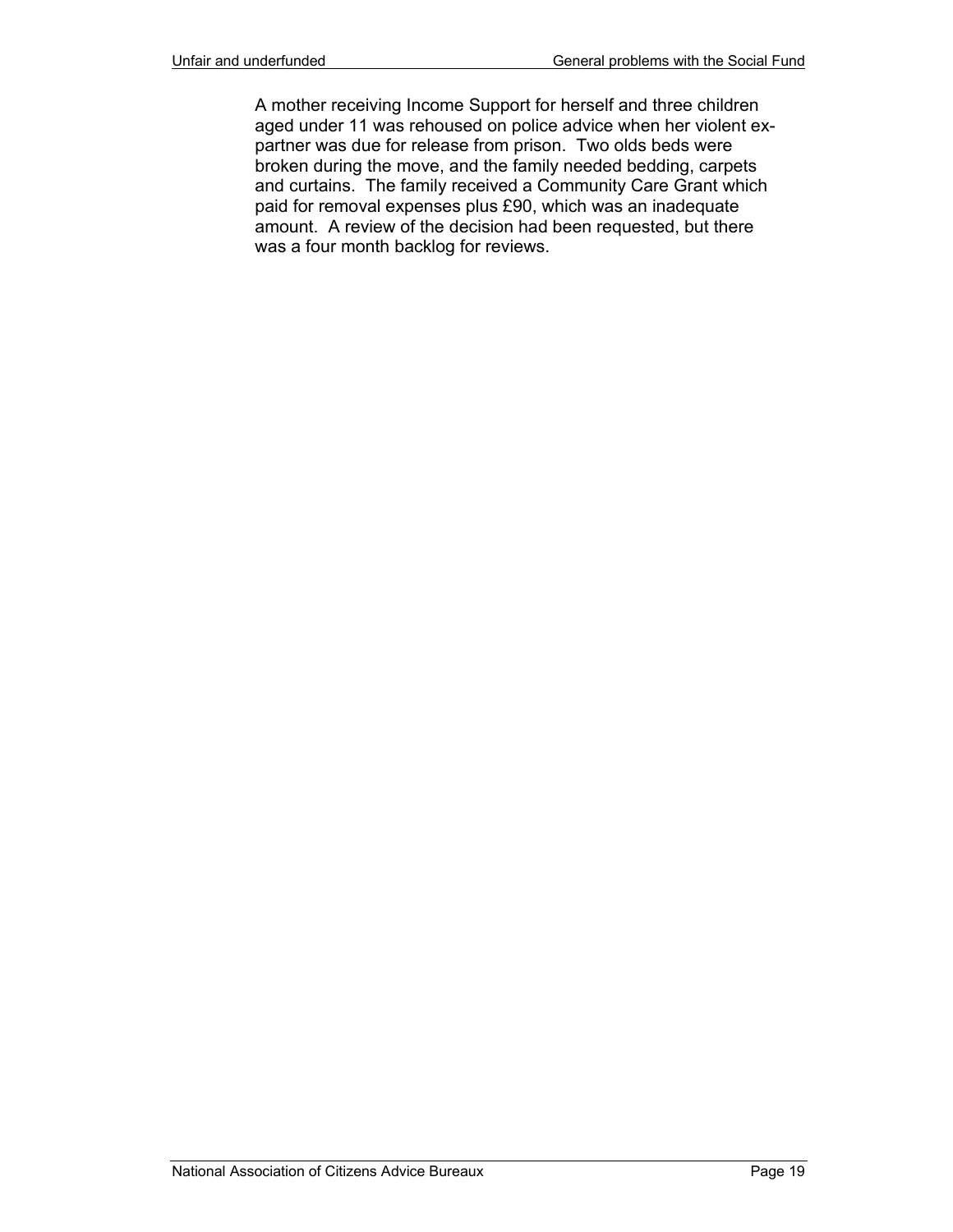A mother receiving Income Support for herself and three children aged under 11 was rehoused on police advice when her violent expartner was due for release from prison. Two olds beds were broken during the move, and the family needed bedding, carpets and curtains. The family received a Community Care Grant which paid for removal expenses plus £90, which was an inadequate amount. A review of the decision had been requested, but there was a four month backlog for reviews.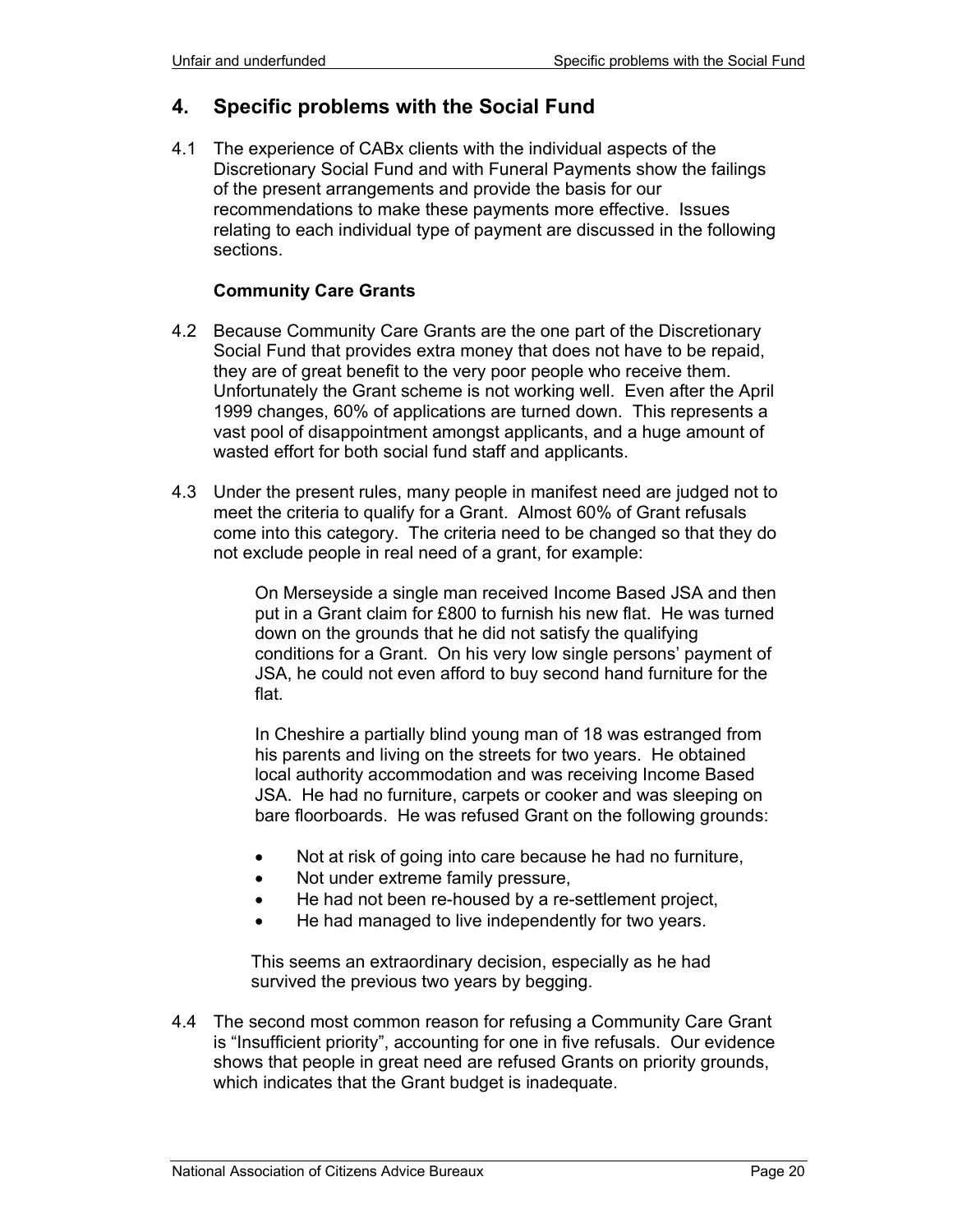# **4. Specific problems with the Social Fund**

4.1 The experience of CABx clients with the individual aspects of the Discretionary Social Fund and with Funeral Payments show the failings of the present arrangements and provide the basis for our recommendations to make these payments more effective. Issues relating to each individual type of payment are discussed in the following sections.

#### **Community Care Grants**

- 4.2 Because Community Care Grants are the one part of the Discretionary Social Fund that provides extra money that does not have to be repaid, they are of great benefit to the very poor people who receive them. Unfortunately the Grant scheme is not working well. Even after the April 1999 changes, 60% of applications are turned down. This represents a vast pool of disappointment amongst applicants, and a huge amount of wasted effort for both social fund staff and applicants.
- 4.3 Under the present rules, many people in manifest need are judged not to meet the criteria to qualify for a Grant. Almost 60% of Grant refusals come into this category. The criteria need to be changed so that they do not exclude people in real need of a grant, for example:

On Merseyside a single man received Income Based JSA and then put in a Grant claim for £800 to furnish his new flat. He was turned down on the grounds that he did not satisfy the qualifying conditions for a Grant. On his very low single persons' payment of JSA, he could not even afford to buy second hand furniture for the flat.

In Cheshire a partially blind young man of 18 was estranged from his parents and living on the streets for two years. He obtained local authority accommodation and was receiving Income Based JSA. He had no furniture, carpets or cooker and was sleeping on bare floorboards. He was refused Grant on the following grounds:

- Not at risk of going into care because he had no furniture,
- Not under extreme family pressure,
- He had not been re-housed by a re-settlement project,
- He had managed to live independently for two years.

This seems an extraordinary decision, especially as he had survived the previous two years by begging.

4.4 The second most common reason for refusing a Community Care Grant is "Insufficient priority", accounting for one in five refusals. Our evidence shows that people in great need are refused Grants on priority grounds, which indicates that the Grant budget is inadequate.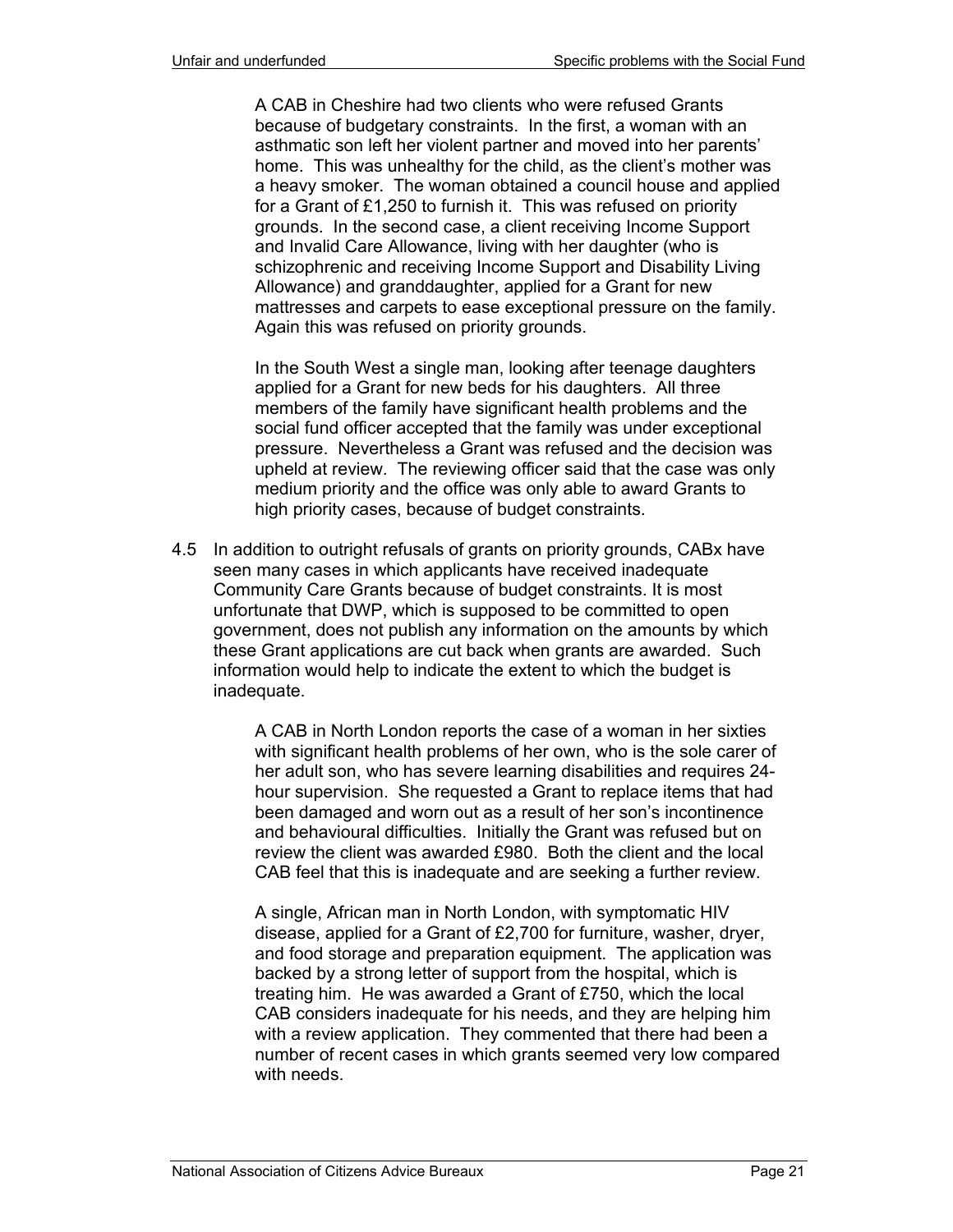A CAB in Cheshire had two clients who were refused Grants because of budgetary constraints. In the first, a woman with an asthmatic son left her violent partner and moved into her parents' home. This was unhealthy for the child, as the client's mother was a heavy smoker. The woman obtained a council house and applied for a Grant of £1,250 to furnish it. This was refused on priority grounds. In the second case, a client receiving Income Support and Invalid Care Allowance, living with her daughter (who is schizophrenic and receiving Income Support and Disability Living Allowance) and granddaughter, applied for a Grant for new mattresses and carpets to ease exceptional pressure on the family. Again this was refused on priority grounds.

In the South West a single man, looking after teenage daughters applied for a Grant for new beds for his daughters. All three members of the family have significant health problems and the social fund officer accepted that the family was under exceptional pressure. Nevertheless a Grant was refused and the decision was upheld at review. The reviewing officer said that the case was only medium priority and the office was only able to award Grants to high priority cases, because of budget constraints.

4.5 In addition to outright refusals of grants on priority grounds, CABx have seen many cases in which applicants have received inadequate Community Care Grants because of budget constraints. It is most unfortunate that DWP, which is supposed to be committed to open government, does not publish any information on the amounts by which these Grant applications are cut back when grants are awarded. Such information would help to indicate the extent to which the budget is inadequate.

> A CAB in North London reports the case of a woman in her sixties with significant health problems of her own, who is the sole carer of her adult son, who has severe learning disabilities and requires 24 hour supervision. She requested a Grant to replace items that had been damaged and worn out as a result of her son's incontinence and behavioural difficulties. Initially the Grant was refused but on review the client was awarded £980. Both the client and the local CAB feel that this is inadequate and are seeking a further review.

> A single, African man in North London, with symptomatic HIV disease, applied for a Grant of £2,700 for furniture, washer, dryer, and food storage and preparation equipment. The application was backed by a strong letter of support from the hospital, which is treating him. He was awarded a Grant of £750, which the local CAB considers inadequate for his needs, and they are helping him with a review application. They commented that there had been a number of recent cases in which grants seemed very low compared with needs.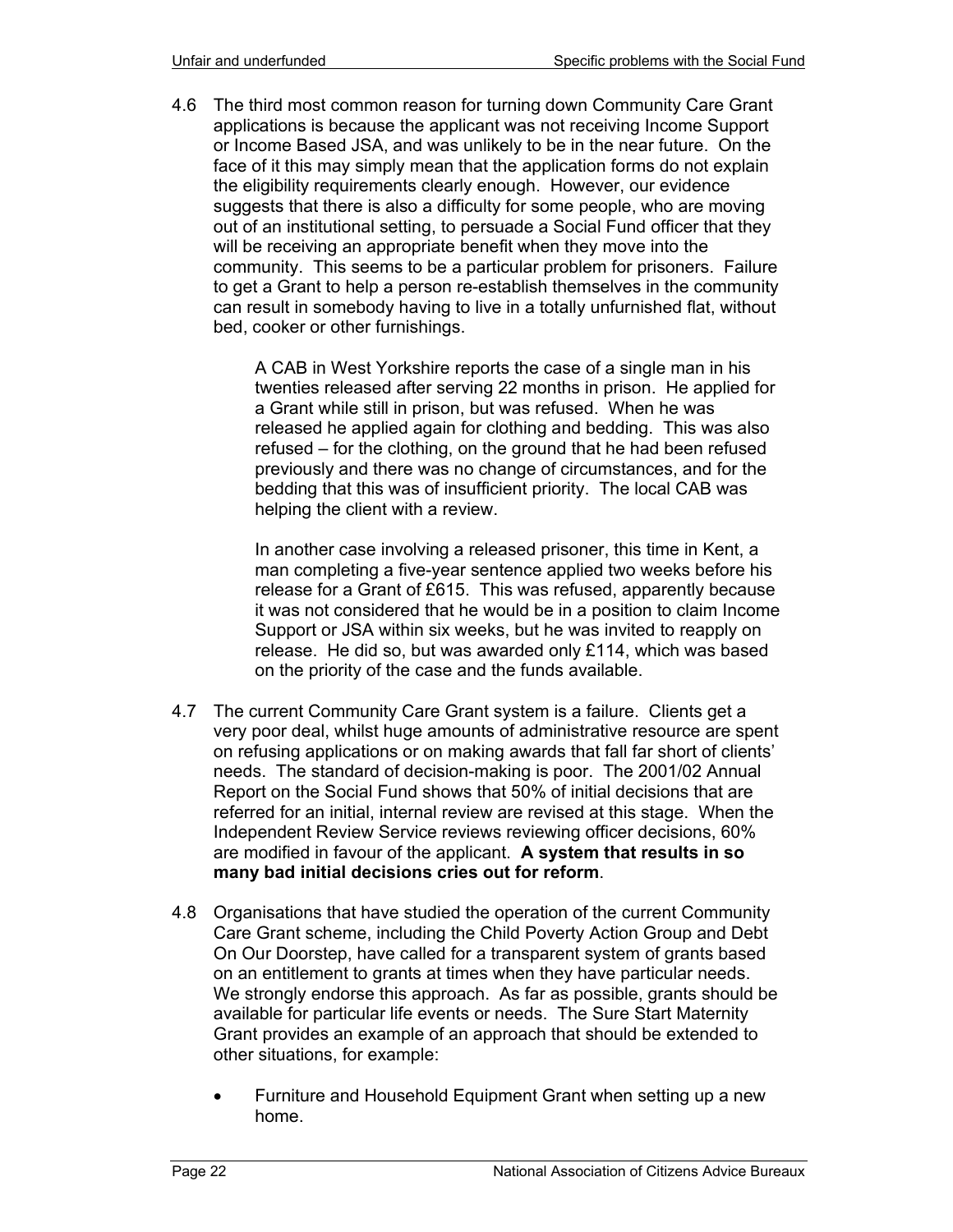4.6 The third most common reason for turning down Community Care Grant applications is because the applicant was not receiving Income Support or Income Based JSA, and was unlikely to be in the near future. On the face of it this may simply mean that the application forms do not explain the eligibility requirements clearly enough. However, our evidence suggests that there is also a difficulty for some people, who are moving out of an institutional setting, to persuade a Social Fund officer that they will be receiving an appropriate benefit when they move into the community. This seems to be a particular problem for prisoners. Failure to get a Grant to help a person re-establish themselves in the community can result in somebody having to live in a totally unfurnished flat, without bed, cooker or other furnishings.

> A CAB in West Yorkshire reports the case of a single man in his twenties released after serving 22 months in prison. He applied for a Grant while still in prison, but was refused. When he was released he applied again for clothing and bedding. This was also refused – for the clothing, on the ground that he had been refused previously and there was no change of circumstances, and for the bedding that this was of insufficient priority. The local CAB was helping the client with a review.

> In another case involving a released prisoner, this time in Kent, a man completing a five-year sentence applied two weeks before his release for a Grant of £615. This was refused, apparently because it was not considered that he would be in a position to claim Income Support or JSA within six weeks, but he was invited to reapply on release. He did so, but was awarded only £114, which was based on the priority of the case and the funds available.

- 4.7 The current Community Care Grant system is a failure. Clients get a very poor deal, whilst huge amounts of administrative resource are spent on refusing applications or on making awards that fall far short of clients' needs. The standard of decision-making is poor. The 2001/02 Annual Report on the Social Fund shows that 50% of initial decisions that are referred for an initial, internal review are revised at this stage. When the Independent Review Service reviews reviewing officer decisions, 60% are modified in favour of the applicant. **A system that results in so many bad initial decisions cries out for reform**.
- 4.8 Organisations that have studied the operation of the current Community Care Grant scheme, including the Child Poverty Action Group and Debt On Our Doorstep, have called for a transparent system of grants based on an entitlement to grants at times when they have particular needs. We strongly endorse this approach. As far as possible, grants should be available for particular life events or needs. The Sure Start Maternity Grant provides an example of an approach that should be extended to other situations, for example:
	- Furniture and Household Equipment Grant when setting up a new home.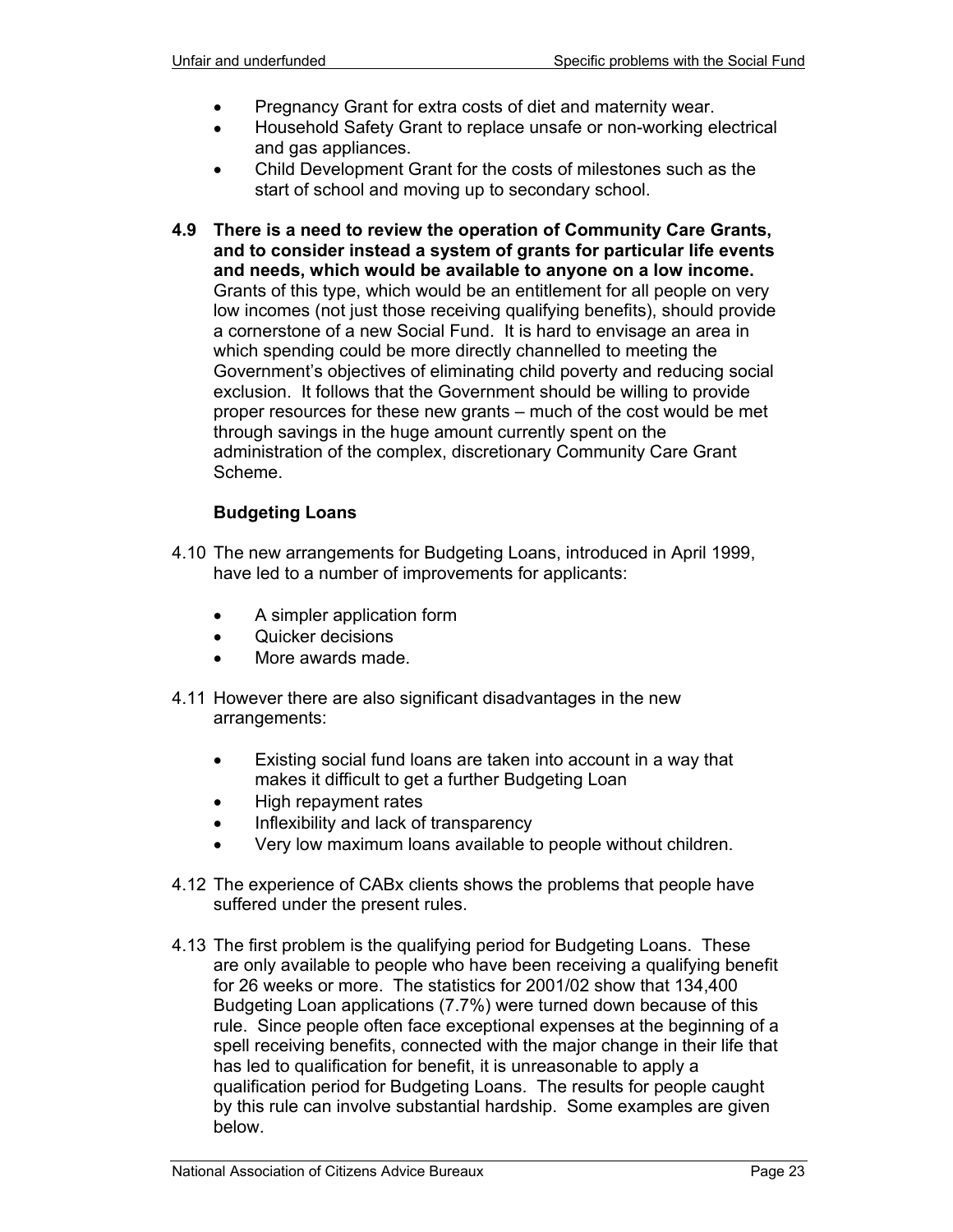- Pregnancy Grant for extra costs of diet and maternity wear.
- Household Safety Grant to replace unsafe or non-working electrical and gas appliances.
- Child Development Grant for the costs of milestones such as the start of school and moving up to secondary school.
- **4.9 There is a need to review the operation of Community Care Grants, and to consider instead a system of grants for particular life events and needs, which would be available to anyone on a low income.** Grants of this type, which would be an entitlement for all people on very low incomes (not just those receiving qualifying benefits), should provide a cornerstone of a new Social Fund. It is hard to envisage an area in which spending could be more directly channelled to meeting the Government's objectives of eliminating child poverty and reducing social exclusion. It follows that the Government should be willing to provide proper resources for these new grants – much of the cost would be met through savings in the huge amount currently spent on the administration of the complex, discretionary Community Care Grant Scheme.

## **Budgeting Loans**

- 4.10 The new arrangements for Budgeting Loans, introduced in April 1999, have led to a number of improvements for applicants:
	- A simpler application form
	- Quicker decisions
	- More awards made.
- 4.11 However there are also significant disadvantages in the new arrangements:
	- Existing social fund loans are taken into account in a way that makes it difficult to get a further Budgeting Loan
	- High repayment rates
	- Inflexibility and lack of transparency
	- Very low maximum loans available to people without children.
- 4.12 The experience of CABx clients shows the problems that people have suffered under the present rules.
- 4.13 The first problem is the qualifying period for Budgeting Loans. These are only available to people who have been receiving a qualifying benefit for 26 weeks or more. The statistics for 2001/02 show that 134,400 Budgeting Loan applications (7.7%) were turned down because of this rule. Since people often face exceptional expenses at the beginning of a spell receiving benefits, connected with the major change in their life that has led to qualification for benefit, it is unreasonable to apply a qualification period for Budgeting Loans. The results for people caught by this rule can involve substantial hardship. Some examples are given below.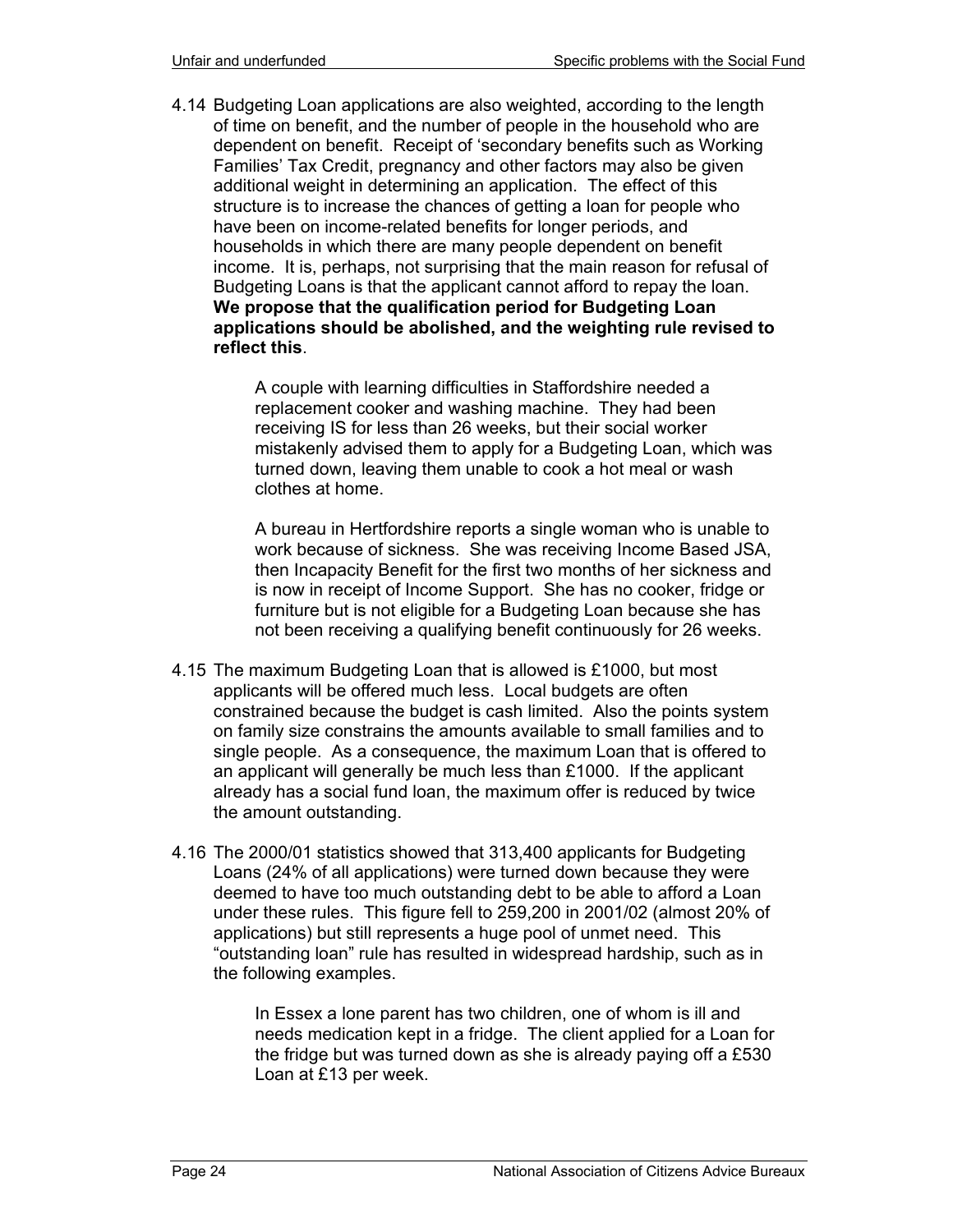4.14 Budgeting Loan applications are also weighted, according to the length of time on benefit, and the number of people in the household who are dependent on benefit. Receipt of 'secondary benefits such as Working Families' Tax Credit, pregnancy and other factors may also be given additional weight in determining an application. The effect of this structure is to increase the chances of getting a loan for people who have been on income-related benefits for longer periods, and households in which there are many people dependent on benefit income. It is, perhaps, not surprising that the main reason for refusal of Budgeting Loans is that the applicant cannot afford to repay the loan. **We propose that the qualification period for Budgeting Loan applications should be abolished, and the weighting rule revised to reflect this**.

> A couple with learning difficulties in Staffordshire needed a replacement cooker and washing machine. They had been receiving IS for less than 26 weeks, but their social worker mistakenly advised them to apply for a Budgeting Loan, which was turned down, leaving them unable to cook a hot meal or wash clothes at home.

> A bureau in Hertfordshire reports a single woman who is unable to work because of sickness. She was receiving Income Based JSA, then Incapacity Benefit for the first two months of her sickness and is now in receipt of Income Support. She has no cooker, fridge or furniture but is not eligible for a Budgeting Loan because she has not been receiving a qualifying benefit continuously for 26 weeks.

- 4.15 The maximum Budgeting Loan that is allowed is £1000, but most applicants will be offered much less. Local budgets are often constrained because the budget is cash limited. Also the points system on family size constrains the amounts available to small families and to single people. As a consequence, the maximum Loan that is offered to an applicant will generally be much less than £1000. If the applicant already has a social fund loan, the maximum offer is reduced by twice the amount outstanding.
- 4.16 The 2000/01 statistics showed that 313,400 applicants for Budgeting Loans (24% of all applications) were turned down because they were deemed to have too much outstanding debt to be able to afford a Loan under these rules. This figure fell to 259,200 in 2001/02 (almost 20% of applications) but still represents a huge pool of unmet need. This "outstanding loan" rule has resulted in widespread hardship, such as in the following examples.

In Essex a lone parent has two children, one of whom is ill and needs medication kept in a fridge. The client applied for a Loan for the fridge but was turned down as she is already paying off a £530 Loan at £13 per week.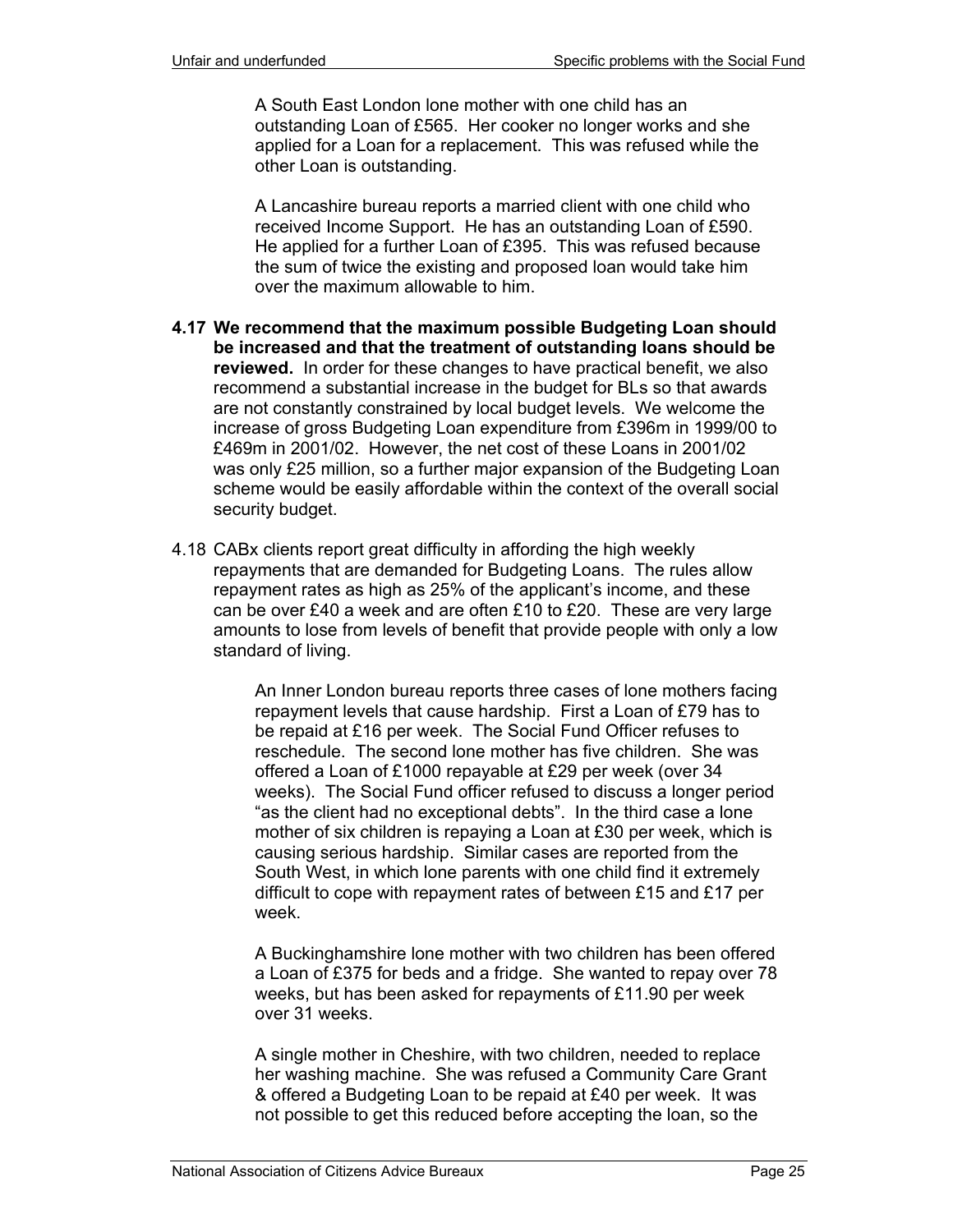A South East London lone mother with one child has an outstanding Loan of £565. Her cooker no longer works and she applied for a Loan for a replacement. This was refused while the other Loan is outstanding.

A Lancashire bureau reports a married client with one child who received Income Support. He has an outstanding Loan of £590. He applied for a further Loan of £395. This was refused because the sum of twice the existing and proposed loan would take him over the maximum allowable to him.

- **4.17 We recommend that the maximum possible Budgeting Loan should be increased and that the treatment of outstanding loans should be reviewed.** In order for these changes to have practical benefit, we also recommend a substantial increase in the budget for BLs so that awards are not constantly constrained by local budget levels. We welcome the increase of gross Budgeting Loan expenditure from £396m in 1999/00 to £469m in 2001/02. However, the net cost of these Loans in 2001/02 was only £25 million, so a further major expansion of the Budgeting Loan scheme would be easily affordable within the context of the overall social security budget.
- 4.18 CABx clients report great difficulty in affording the high weekly repayments that are demanded for Budgeting Loans. The rules allow repayment rates as high as 25% of the applicant's income, and these can be over £40 a week and are often £10 to £20. These are very large amounts to lose from levels of benefit that provide people with only a low standard of living.

An Inner London bureau reports three cases of lone mothers facing repayment levels that cause hardship. First a Loan of £79 has to be repaid at £16 per week. The Social Fund Officer refuses to reschedule. The second lone mother has five children. She was offered a Loan of £1000 repayable at £29 per week (over 34 weeks). The Social Fund officer refused to discuss a longer period "as the client had no exceptional debts". In the third case a lone mother of six children is repaying a Loan at £30 per week, which is causing serious hardship. Similar cases are reported from the South West, in which lone parents with one child find it extremely difficult to cope with repayment rates of between £15 and £17 per week.

A Buckinghamshire lone mother with two children has been offered a Loan of £375 for beds and a fridge. She wanted to repay over 78 weeks, but has been asked for repayments of £11.90 per week over 31 weeks.

A single mother in Cheshire, with two children, needed to replace her washing machine. She was refused a Community Care Grant & offered a Budgeting Loan to be repaid at £40 per week. It was not possible to get this reduced before accepting the loan, so the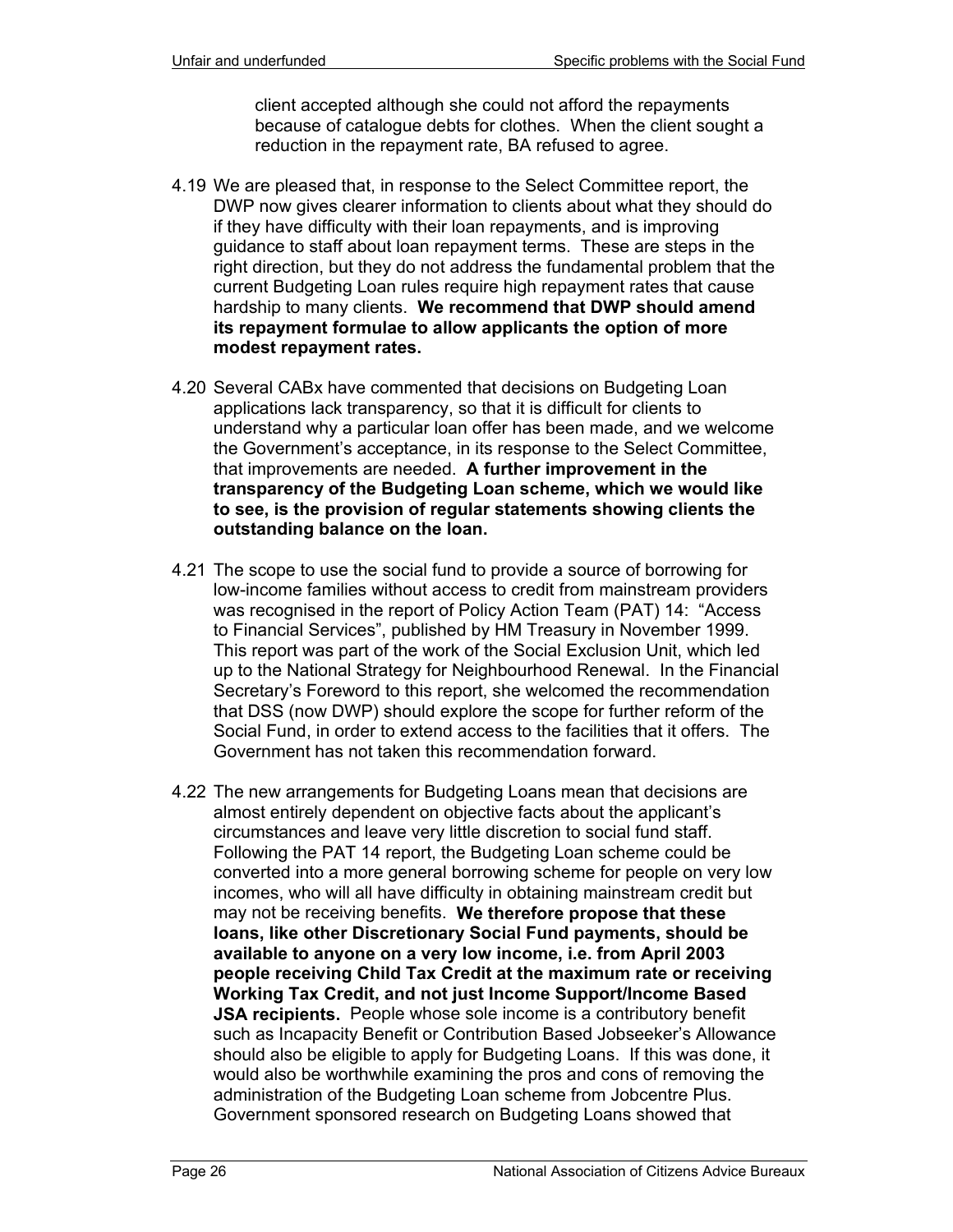client accepted although she could not afford the repayments because of catalogue debts for clothes. When the client sought a reduction in the repayment rate, BA refused to agree.

- 4.19 We are pleased that, in response to the Select Committee report, the DWP now gives clearer information to clients about what they should do if they have difficulty with their loan repayments, and is improving guidance to staff about loan repayment terms. These are steps in the right direction, but they do not address the fundamental problem that the current Budgeting Loan rules require high repayment rates that cause hardship to many clients. **We recommend that DWP should amend its repayment formulae to allow applicants the option of more modest repayment rates.**
- 4.20 Several CABx have commented that decisions on Budgeting Loan applications lack transparency, so that it is difficult for clients to understand why a particular loan offer has been made, and we welcome the Government's acceptance, in its response to the Select Committee, that improvements are needed. **A further improvement in the transparency of the Budgeting Loan scheme, which we would like to see, is the provision of regular statements showing clients the outstanding balance on the loan.**
- 4.21 The scope to use the social fund to provide a source of borrowing for low-income families without access to credit from mainstream providers was recognised in the report of Policy Action Team (PAT) 14: "Access to Financial Services", published by HM Treasury in November 1999. This report was part of the work of the Social Exclusion Unit, which led up to the National Strategy for Neighbourhood Renewal. In the Financial Secretary's Foreword to this report, she welcomed the recommendation that DSS (now DWP) should explore the scope for further reform of the Social Fund, in order to extend access to the facilities that it offers. The Government has not taken this recommendation forward.
- 4.22 The new arrangements for Budgeting Loans mean that decisions are almost entirely dependent on objective facts about the applicant's circumstances and leave very little discretion to social fund staff. Following the PAT 14 report, the Budgeting Loan scheme could be converted into a more general borrowing scheme for people on very low incomes, who will all have difficulty in obtaining mainstream credit but may not be receiving benefits. **We therefore propose that these loans, like other Discretionary Social Fund payments, should be available to anyone on a very low income, i.e. from April 2003 people receiving Child Tax Credit at the maximum rate or receiving Working Tax Credit, and not just Income Support/Income Based JSA recipients.** People whose sole income is a contributory benefit such as Incapacity Benefit or Contribution Based Jobseeker's Allowance should also be eligible to apply for Budgeting Loans. If this was done, it would also be worthwhile examining the pros and cons of removing the administration of the Budgeting Loan scheme from Jobcentre Plus. Government sponsored research on Budgeting Loans showed that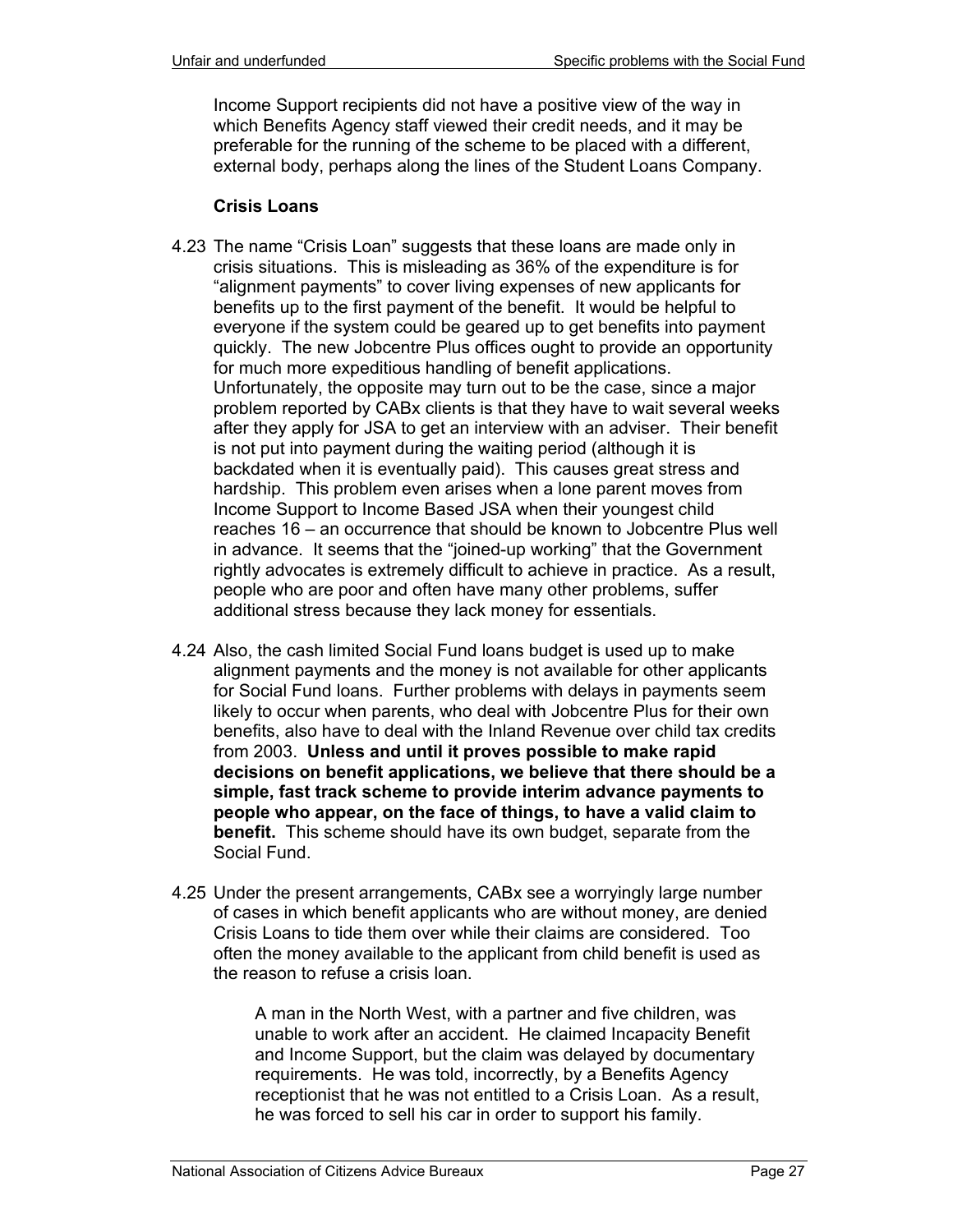Income Support recipients did not have a positive view of the way in which Benefits Agency staff viewed their credit needs, and it may be preferable for the running of the scheme to be placed with a different, external body, perhaps along the lines of the Student Loans Company.

#### **Crisis Loans**

- 4.23 The name "Crisis Loan" suggests that these loans are made only in crisis situations. This is misleading as 36% of the expenditure is for "alignment payments" to cover living expenses of new applicants for benefits up to the first payment of the benefit. It would be helpful to everyone if the system could be geared up to get benefits into payment quickly. The new Jobcentre Plus offices ought to provide an opportunity for much more expeditious handling of benefit applications. Unfortunately, the opposite may turn out to be the case, since a major problem reported by CABx clients is that they have to wait several weeks after they apply for JSA to get an interview with an adviser. Their benefit is not put into payment during the waiting period (although it is backdated when it is eventually paid). This causes great stress and hardship. This problem even arises when a lone parent moves from Income Support to Income Based JSA when their youngest child reaches 16 – an occurrence that should be known to Jobcentre Plus well in advance. It seems that the "joined-up working" that the Government rightly advocates is extremely difficult to achieve in practice. As a result, people who are poor and often have many other problems, suffer additional stress because they lack money for essentials.
- 4.24 Also, the cash limited Social Fund loans budget is used up to make alignment payments and the money is not available for other applicants for Social Fund loans. Further problems with delays in payments seem likely to occur when parents, who deal with Jobcentre Plus for their own benefits, also have to deal with the Inland Revenue over child tax credits from 2003. **Unless and until it proves possible to make rapid decisions on benefit applications, we believe that there should be a simple, fast track scheme to provide interim advance payments to people who appear, on the face of things, to have a valid claim to benefit.** This scheme should have its own budget, separate from the Social Fund.
- 4.25 Under the present arrangements, CABx see a worryingly large number of cases in which benefit applicants who are without money, are denied Crisis Loans to tide them over while their claims are considered. Too often the money available to the applicant from child benefit is used as the reason to refuse a crisis loan.

A man in the North West, with a partner and five children, was unable to work after an accident. He claimed Incapacity Benefit and Income Support, but the claim was delayed by documentary requirements. He was told, incorrectly, by a Benefits Agency receptionist that he was not entitled to a Crisis Loan. As a result, he was forced to sell his car in order to support his family.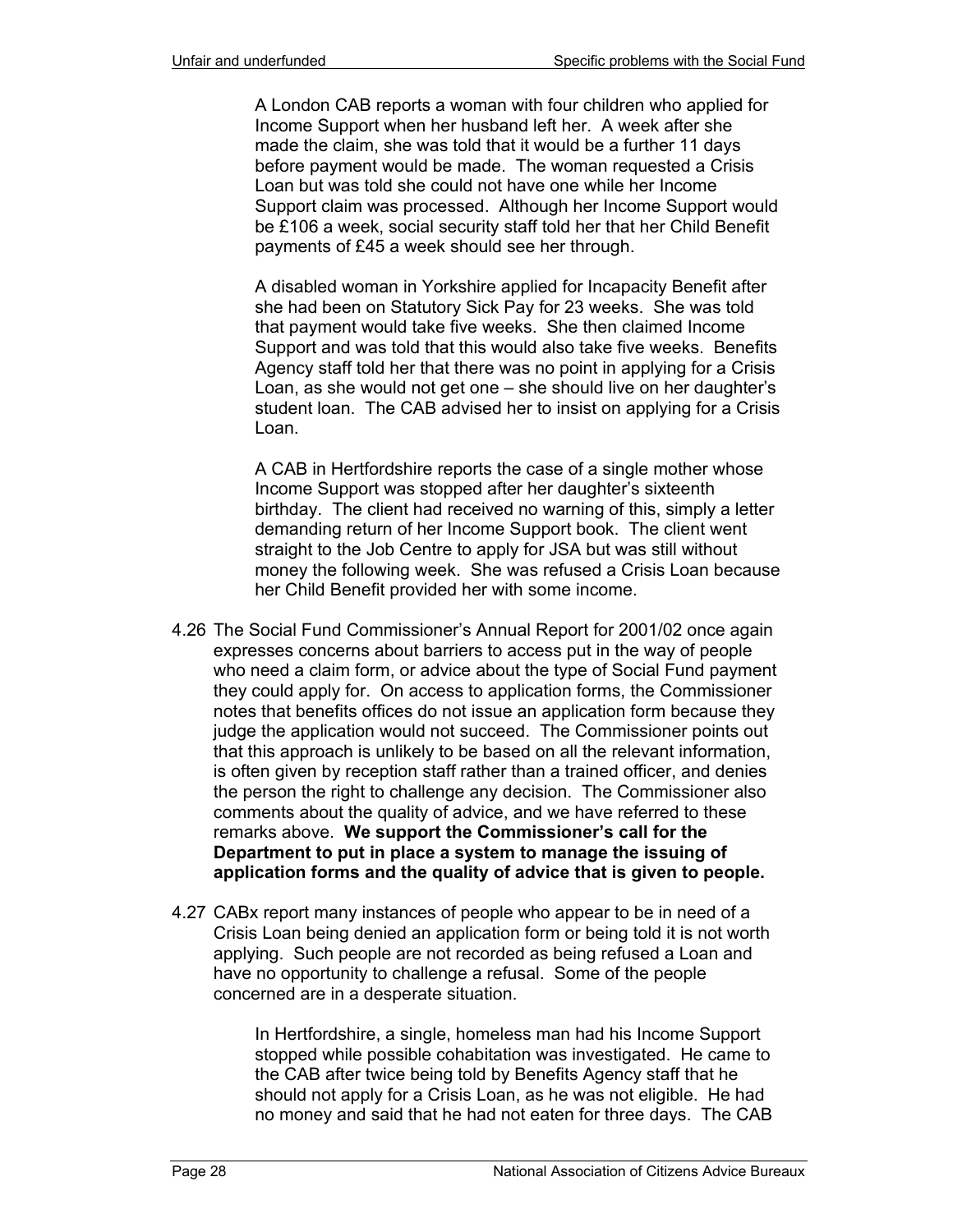A London CAB reports a woman with four children who applied for Income Support when her husband left her. A week after she made the claim, she was told that it would be a further 11 days before payment would be made. The woman requested a Crisis Loan but was told she could not have one while her Income Support claim was processed. Although her Income Support would be £106 a week, social security staff told her that her Child Benefit payments of £45 a week should see her through.

A disabled woman in Yorkshire applied for Incapacity Benefit after she had been on Statutory Sick Pay for 23 weeks. She was told that payment would take five weeks. She then claimed Income Support and was told that this would also take five weeks. Benefits Agency staff told her that there was no point in applying for a Crisis Loan, as she would not get one – she should live on her daughter's student loan. The CAB advised her to insist on applying for a Crisis Loan.

A CAB in Hertfordshire reports the case of a single mother whose Income Support was stopped after her daughter's sixteenth birthday. The client had received no warning of this, simply a letter demanding return of her Income Support book. The client went straight to the Job Centre to apply for JSA but was still without money the following week. She was refused a Crisis Loan because her Child Benefit provided her with some income.

- 4.26 The Social Fund Commissioner's Annual Report for 2001/02 once again expresses concerns about barriers to access put in the way of people who need a claim form, or advice about the type of Social Fund payment they could apply for. On access to application forms, the Commissioner notes that benefits offices do not issue an application form because they judge the application would not succeed. The Commissioner points out that this approach is unlikely to be based on all the relevant information, is often given by reception staff rather than a trained officer, and denies the person the right to challenge any decision. The Commissioner also comments about the quality of advice, and we have referred to these remarks above. **We support the Commissioner's call for the Department to put in place a system to manage the issuing of application forms and the quality of advice that is given to people.**
- 4.27 CABx report many instances of people who appear to be in need of a Crisis Loan being denied an application form or being told it is not worth applying. Such people are not recorded as being refused a Loan and have no opportunity to challenge a refusal. Some of the people concerned are in a desperate situation.

In Hertfordshire, a single, homeless man had his Income Support stopped while possible cohabitation was investigated. He came to the CAB after twice being told by Benefits Agency staff that he should not apply for a Crisis Loan, as he was not eligible. He had no money and said that he had not eaten for three days. The CAB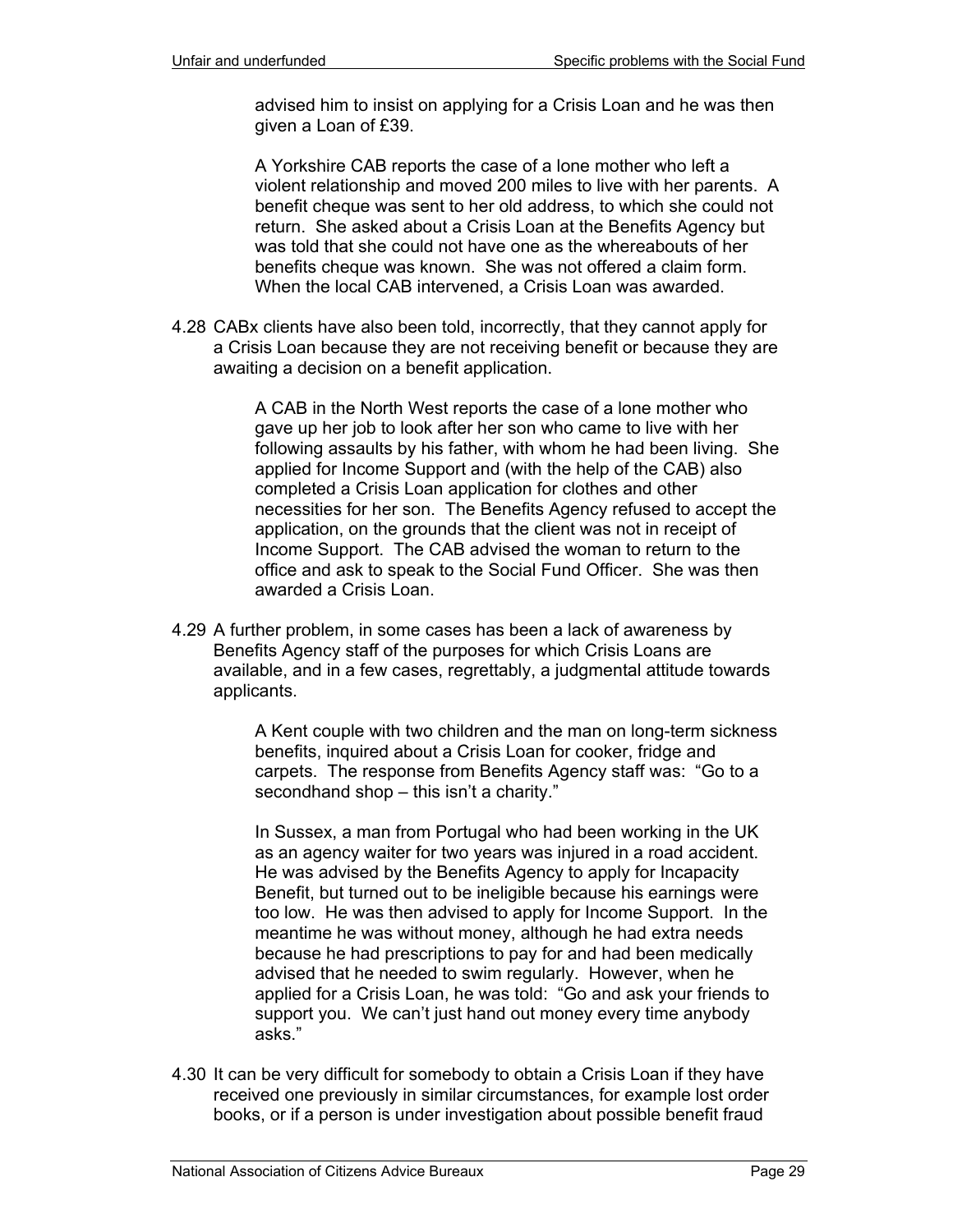advised him to insist on applying for a Crisis Loan and he was then given a Loan of £39.

A Yorkshire CAB reports the case of a lone mother who left a violent relationship and moved 200 miles to live with her parents. A benefit cheque was sent to her old address, to which she could not return. She asked about a Crisis Loan at the Benefits Agency but was told that she could not have one as the whereabouts of her benefits cheque was known. She was not offered a claim form. When the local CAB intervened, a Crisis Loan was awarded.

4.28 CABx clients have also been told, incorrectly, that they cannot apply for a Crisis Loan because they are not receiving benefit or because they are awaiting a decision on a benefit application.

> A CAB in the North West reports the case of a lone mother who gave up her job to look after her son who came to live with her following assaults by his father, with whom he had been living. She applied for Income Support and (with the help of the CAB) also completed a Crisis Loan application for clothes and other necessities for her son. The Benefits Agency refused to accept the application, on the grounds that the client was not in receipt of Income Support. The CAB advised the woman to return to the office and ask to speak to the Social Fund Officer. She was then awarded a Crisis Loan.

4.29 A further problem, in some cases has been a lack of awareness by Benefits Agency staff of the purposes for which Crisis Loans are available, and in a few cases, regrettably, a judgmental attitude towards applicants.

> A Kent couple with two children and the man on long-term sickness benefits, inquired about a Crisis Loan for cooker, fridge and carpets. The response from Benefits Agency staff was: "Go to a secondhand shop – this isn't a charity."

In Sussex, a man from Portugal who had been working in the UK as an agency waiter for two years was injured in a road accident. He was advised by the Benefits Agency to apply for Incapacity Benefit, but turned out to be ineligible because his earnings were too low. He was then advised to apply for Income Support. In the meantime he was without money, although he had extra needs because he had prescriptions to pay for and had been medically advised that he needed to swim regularly. However, when he applied for a Crisis Loan, he was told: "Go and ask your friends to support you. We can't just hand out money every time anybody asks."

4.30 It can be very difficult for somebody to obtain a Crisis Loan if they have received one previously in similar circumstances, for example lost order books, or if a person is under investigation about possible benefit fraud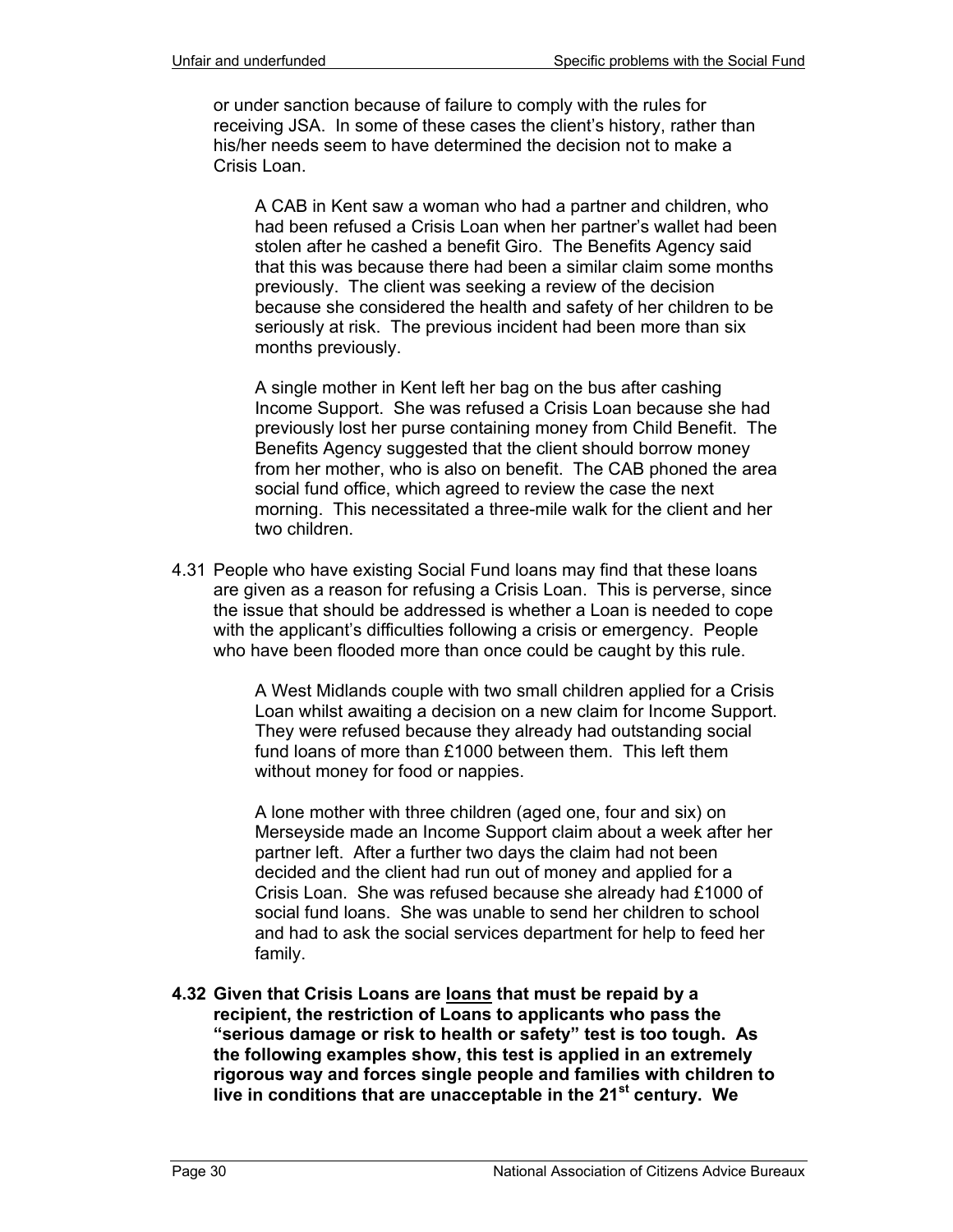or under sanction because of failure to comply with the rules for receiving JSA. In some of these cases the client's history, rather than his/her needs seem to have determined the decision not to make a Crisis Loan.

A CAB in Kent saw a woman who had a partner and children, who had been refused a Crisis Loan when her partner's wallet had been stolen after he cashed a benefit Giro. The Benefits Agency said that this was because there had been a similar claim some months previously. The client was seeking a review of the decision because she considered the health and safety of her children to be seriously at risk. The previous incident had been more than six months previously.

A single mother in Kent left her bag on the bus after cashing Income Support. She was refused a Crisis Loan because she had previously lost her purse containing money from Child Benefit. The Benefits Agency suggested that the client should borrow money from her mother, who is also on benefit. The CAB phoned the area social fund office, which agreed to review the case the next morning. This necessitated a three-mile walk for the client and her two children.

4.31 People who have existing Social Fund loans may find that these loans are given as a reason for refusing a Crisis Loan. This is perverse, since the issue that should be addressed is whether a Loan is needed to cope with the applicant's difficulties following a crisis or emergency. People who have been flooded more than once could be caught by this rule.

> A West Midlands couple with two small children applied for a Crisis Loan whilst awaiting a decision on a new claim for Income Support. They were refused because they already had outstanding social fund loans of more than £1000 between them. This left them without money for food or nappies.

> A lone mother with three children (aged one, four and six) on Merseyside made an Income Support claim about a week after her partner left. After a further two days the claim had not been decided and the client had run out of money and applied for a Crisis Loan. She was refused because she already had £1000 of social fund loans. She was unable to send her children to school and had to ask the social services department for help to feed her family.

**4.32 Given that Crisis Loans are loans that must be repaid by a recipient, the restriction of Loans to applicants who pass the "serious damage or risk to health or safety" test is too tough. As the following examples show, this test is applied in an extremely rigorous way and forces single people and families with children to live in conditions that are unacceptable in the 21st century. We**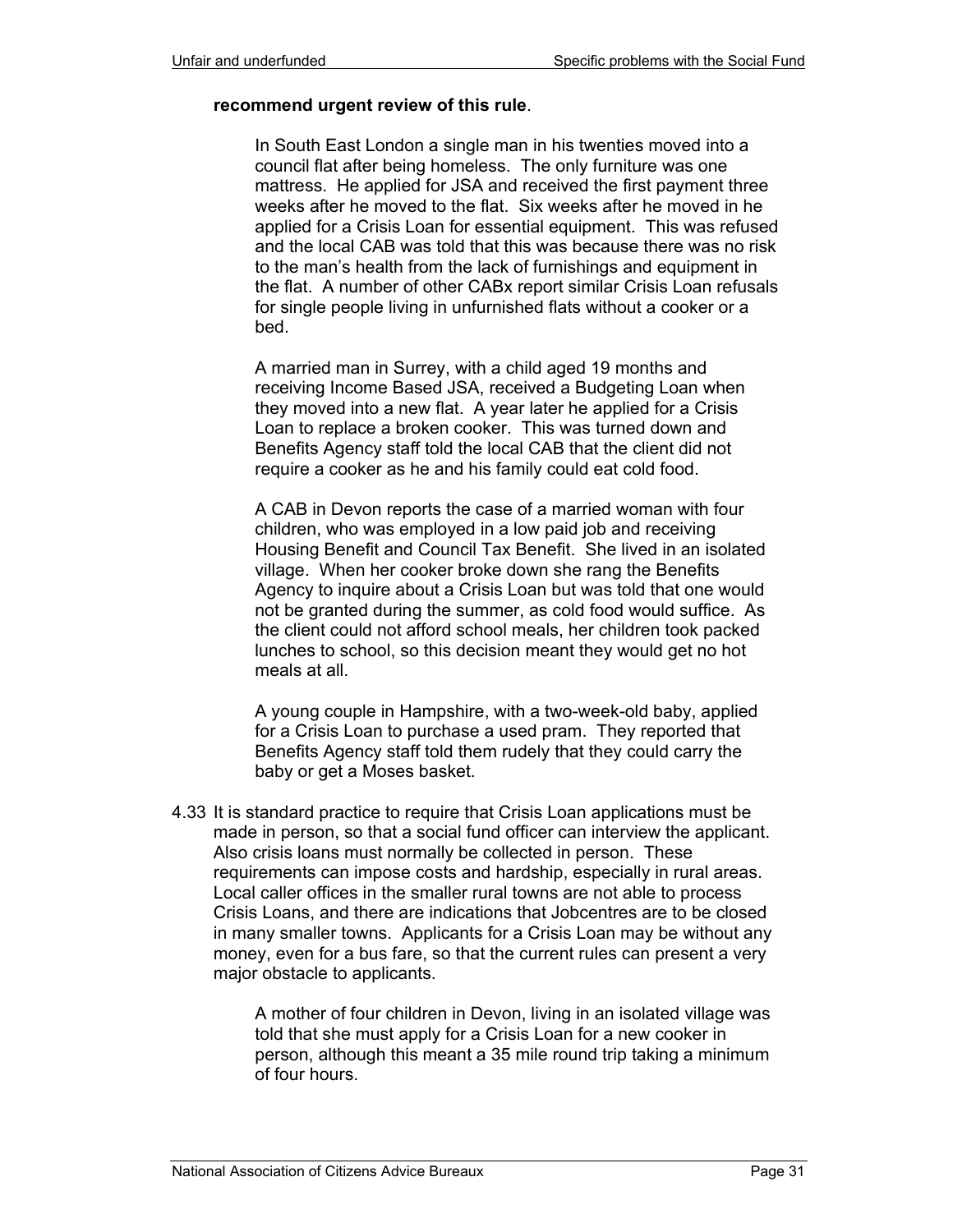#### **recommend urgent review of this rule**.

In South East London a single man in his twenties moved into a council flat after being homeless. The only furniture was one mattress. He applied for JSA and received the first payment three weeks after he moved to the flat. Six weeks after he moved in he applied for a Crisis Loan for essential equipment. This was refused and the local CAB was told that this was because there was no risk to the man's health from the lack of furnishings and equipment in the flat. A number of other CABx report similar Crisis Loan refusals for single people living in unfurnished flats without a cooker or a bed.

A married man in Surrey, with a child aged 19 months and receiving Income Based JSA, received a Budgeting Loan when they moved into a new flat. A year later he applied for a Crisis Loan to replace a broken cooker. This was turned down and Benefits Agency staff told the local CAB that the client did not require a cooker as he and his family could eat cold food.

A CAB in Devon reports the case of a married woman with four children, who was employed in a low paid job and receiving Housing Benefit and Council Tax Benefit. She lived in an isolated village. When her cooker broke down she rang the Benefits Agency to inquire about a Crisis Loan but was told that one would not be granted during the summer, as cold food would suffice. As the client could not afford school meals, her children took packed lunches to school, so this decision meant they would get no hot meals at all.

A young couple in Hampshire, with a two-week-old baby, applied for a Crisis Loan to purchase a used pram. They reported that Benefits Agency staff told them rudely that they could carry the baby or get a Moses basket.

4.33 It is standard practice to require that Crisis Loan applications must be made in person, so that a social fund officer can interview the applicant. Also crisis loans must normally be collected in person. These requirements can impose costs and hardship, especially in rural areas. Local caller offices in the smaller rural towns are not able to process Crisis Loans, and there are indications that Jobcentres are to be closed in many smaller towns. Applicants for a Crisis Loan may be without any money, even for a bus fare, so that the current rules can present a very major obstacle to applicants.

> A mother of four children in Devon, living in an isolated village was told that she must apply for a Crisis Loan for a new cooker in person, although this meant a 35 mile round trip taking a minimum of four hours.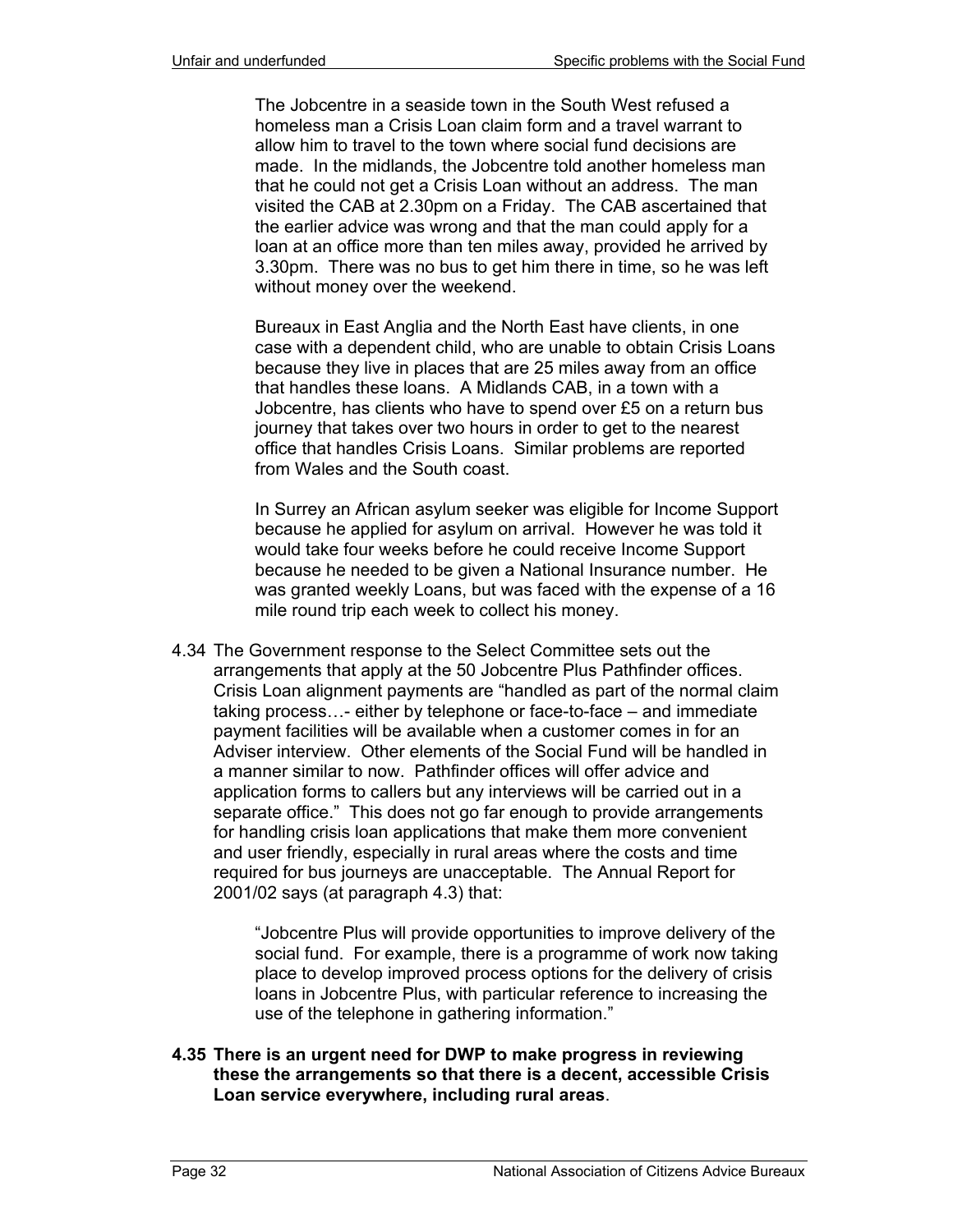The Jobcentre in a seaside town in the South West refused a homeless man a Crisis Loan claim form and a travel warrant to allow him to travel to the town where social fund decisions are made. In the midlands, the Jobcentre told another homeless man that he could not get a Crisis Loan without an address. The man visited the CAB at 2.30pm on a Friday. The CAB ascertained that the earlier advice was wrong and that the man could apply for a loan at an office more than ten miles away, provided he arrived by 3.30pm. There was no bus to get him there in time, so he was left without money over the weekend.

Bureaux in East Anglia and the North East have clients, in one case with a dependent child, who are unable to obtain Crisis Loans because they live in places that are 25 miles away from an office that handles these loans. A Midlands CAB, in a town with a Jobcentre, has clients who have to spend over £5 on a return bus journey that takes over two hours in order to get to the nearest office that handles Crisis Loans. Similar problems are reported from Wales and the South coast.

In Surrey an African asylum seeker was eligible for Income Support because he applied for asylum on arrival. However he was told it would take four weeks before he could receive Income Support because he needed to be given a National Insurance number. He was granted weekly Loans, but was faced with the expense of a 16 mile round trip each week to collect his money.

4.34 The Government response to the Select Committee sets out the arrangements that apply at the 50 Jobcentre Plus Pathfinder offices. Crisis Loan alignment payments are "handled as part of the normal claim taking process…- either by telephone or face-to-face – and immediate payment facilities will be available when a customer comes in for an Adviser interview. Other elements of the Social Fund will be handled in a manner similar to now. Pathfinder offices will offer advice and application forms to callers but any interviews will be carried out in a separate office." This does not go far enough to provide arrangements for handling crisis loan applications that make them more convenient and user friendly, especially in rural areas where the costs and time required for bus journeys are unacceptable. The Annual Report for 2001/02 says (at paragraph 4.3) that:

> "Jobcentre Plus will provide opportunities to improve delivery of the social fund. For example, there is a programme of work now taking place to develop improved process options for the delivery of crisis loans in Jobcentre Plus, with particular reference to increasing the use of the telephone in gathering information."

**4.35 There is an urgent need for DWP to make progress in reviewing these the arrangements so that there is a decent, accessible Crisis Loan service everywhere, including rural areas**.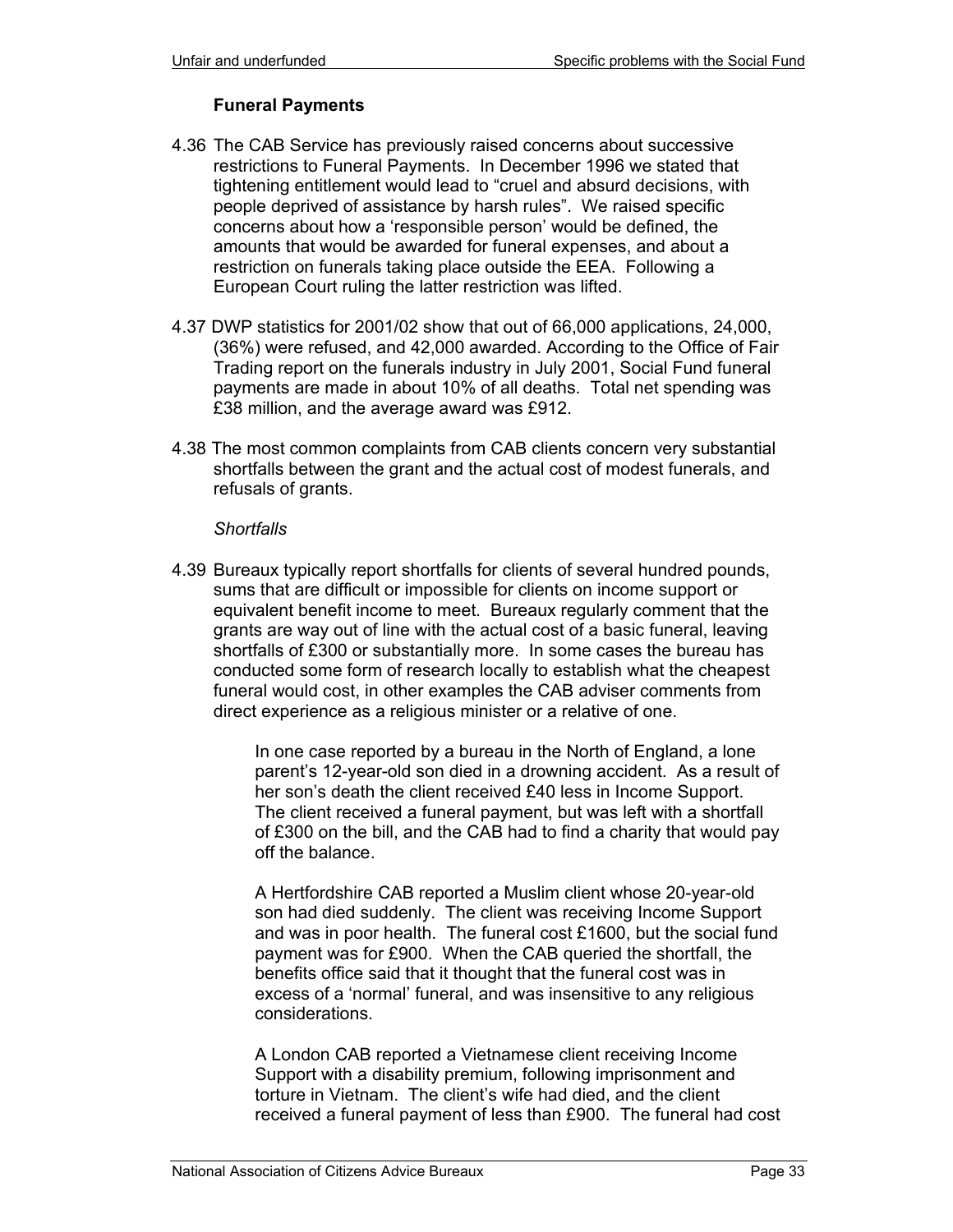#### **Funeral Payments**

- 4.36 The CAB Service has previously raised concerns about successive restrictions to Funeral Payments. In December 1996 we stated that tightening entitlement would lead to "cruel and absurd decisions, with people deprived of assistance by harsh rules". We raised specific concerns about how a 'responsible person' would be defined, the amounts that would be awarded for funeral expenses, and about a restriction on funerals taking place outside the EEA. Following a European Court ruling the latter restriction was lifted.
- 4.37 DWP statistics for 2001/02 show that out of 66,000 applications, 24,000, (36%) were refused, and 42,000 awarded. According to the Office of Fair Trading report on the funerals industry in July 2001, Social Fund funeral payments are made in about 10% of all deaths. Total net spending was £38 million, and the average award was £912.
- 4.38 The most common complaints from CAB clients concern very substantial shortfalls between the grant and the actual cost of modest funerals, and refusals of grants.

#### *Shortfalls*

4.39 Bureaux typically report shortfalls for clients of several hundred pounds, sums that are difficult or impossible for clients on income support or equivalent benefit income to meet. Bureaux regularly comment that the grants are way out of line with the actual cost of a basic funeral, leaving shortfalls of £300 or substantially more. In some cases the bureau has conducted some form of research locally to establish what the cheapest funeral would cost, in other examples the CAB adviser comments from direct experience as a religious minister or a relative of one.

> In one case reported by a bureau in the North of England, a lone parent's 12-year-old son died in a drowning accident. As a result of her son's death the client received £40 less in Income Support. The client received a funeral payment, but was left with a shortfall of £300 on the bill, and the CAB had to find a charity that would pay off the balance.

> A Hertfordshire CAB reported a Muslim client whose 20-year-old son had died suddenly. The client was receiving Income Support and was in poor health. The funeral cost £1600, but the social fund payment was for £900. When the CAB queried the shortfall, the benefits office said that it thought that the funeral cost was in excess of a 'normal' funeral, and was insensitive to any religious considerations.

> A London CAB reported a Vietnamese client receiving Income Support with a disability premium, following imprisonment and torture in Vietnam. The client's wife had died, and the client received a funeral payment of less than £900. The funeral had cost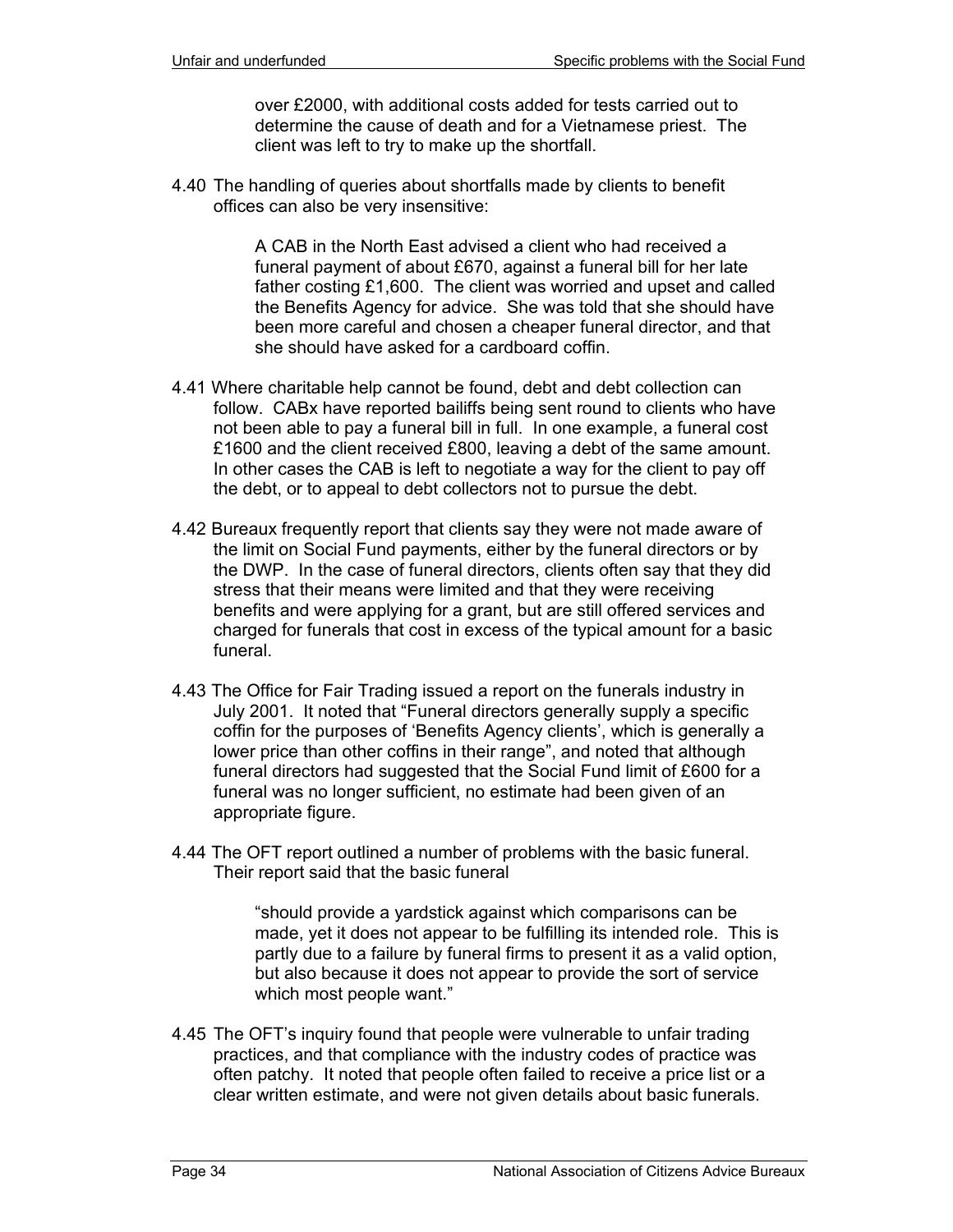over £2000, with additional costs added for tests carried out to determine the cause of death and for a Vietnamese priest. The client was left to try to make up the shortfall.

4.40 The handling of queries about shortfalls made by clients to benefit offices can also be very insensitive:

> A CAB in the North East advised a client who had received a funeral payment of about £670, against a funeral bill for her late father costing £1,600. The client was worried and upset and called the Benefits Agency for advice. She was told that she should have been more careful and chosen a cheaper funeral director, and that she should have asked for a cardboard coffin.

- 4.41 Where charitable help cannot be found, debt and debt collection can follow. CABx have reported bailiffs being sent round to clients who have not been able to pay a funeral bill in full. In one example, a funeral cost £1600 and the client received £800, leaving a debt of the same amount. In other cases the CAB is left to negotiate a way for the client to pay off the debt, or to appeal to debt collectors not to pursue the debt.
- 4.42 Bureaux frequently report that clients say they were not made aware of the limit on Social Fund payments, either by the funeral directors or by the DWP. In the case of funeral directors, clients often say that they did stress that their means were limited and that they were receiving benefits and were applying for a grant, but are still offered services and charged for funerals that cost in excess of the typical amount for a basic funeral.
- 4.43 The Office for Fair Trading issued a report on the funerals industry in July 2001. It noted that "Funeral directors generally supply a specific coffin for the purposes of 'Benefits Agency clients', which is generally a lower price than other coffins in their range", and noted that although funeral directors had suggested that the Social Fund limit of £600 for a funeral was no longer sufficient, no estimate had been given of an appropriate figure.
- 4.44 The OFT report outlined a number of problems with the basic funeral. Their report said that the basic funeral

"should provide a yardstick against which comparisons can be made, yet it does not appear to be fulfilling its intended role. This is partly due to a failure by funeral firms to present it as a valid option, but also because it does not appear to provide the sort of service which most people want."

4.45 The OFT's inquiry found that people were vulnerable to unfair trading practices, and that compliance with the industry codes of practice was often patchy. It noted that people often failed to receive a price list or a clear written estimate, and were not given details about basic funerals.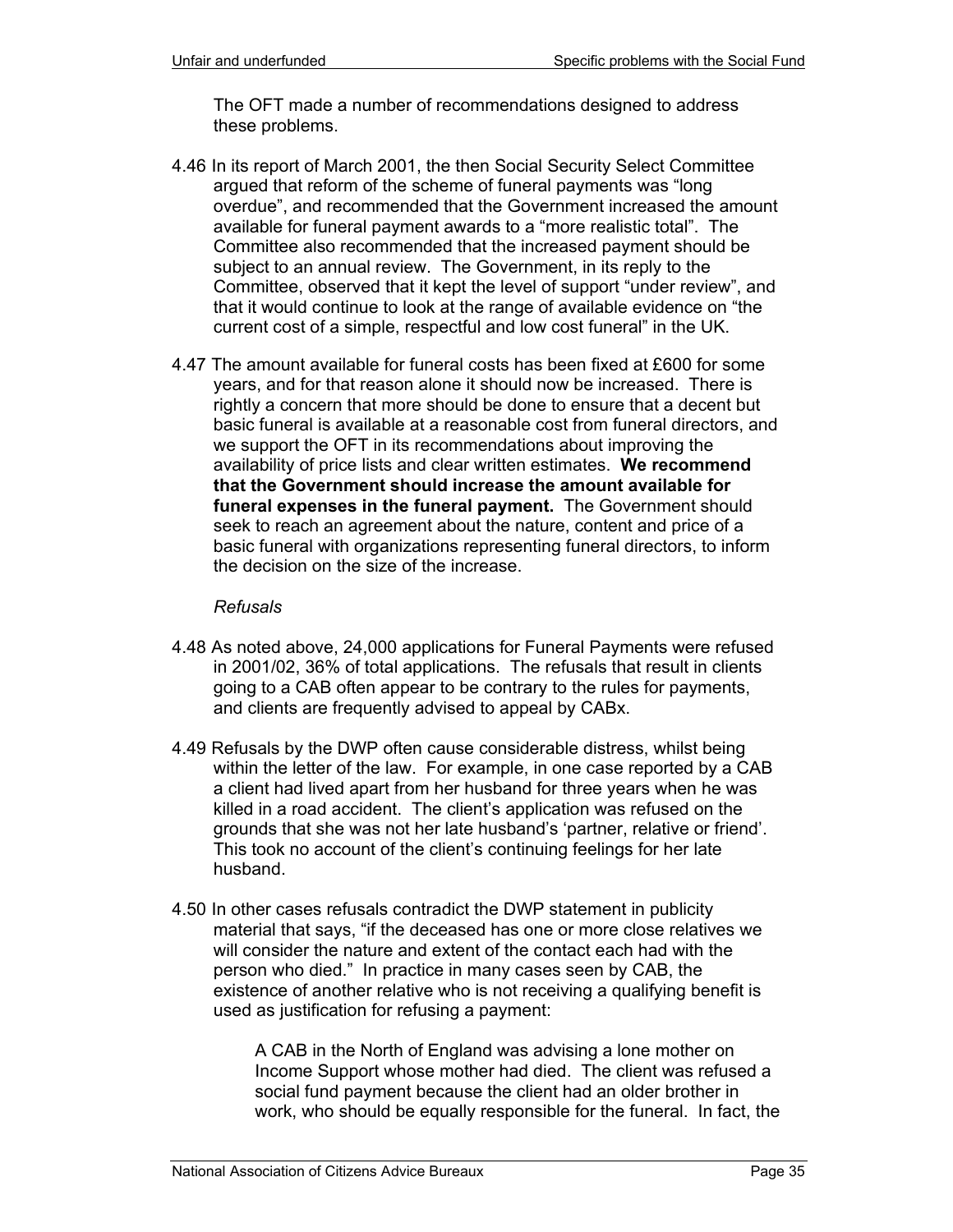The OFT made a number of recommendations designed to address these problems.

- 4.46 In its report of March 2001, the then Social Security Select Committee argued that reform of the scheme of funeral payments was "long overdue", and recommended that the Government increased the amount available for funeral payment awards to a "more realistic total". The Committee also recommended that the increased payment should be subject to an annual review. The Government, in its reply to the Committee, observed that it kept the level of support "under review", and that it would continue to look at the range of available evidence on "the current cost of a simple, respectful and low cost funeral" in the UK.
- 4.47 The amount available for funeral costs has been fixed at £600 for some years, and for that reason alone it should now be increased. There is rightly a concern that more should be done to ensure that a decent but basic funeral is available at a reasonable cost from funeral directors, and we support the OFT in its recommendations about improving the availability of price lists and clear written estimates. **We recommend that the Government should increase the amount available for funeral expenses in the funeral payment.** The Government should seek to reach an agreement about the nature, content and price of a basic funeral with organizations representing funeral directors, to inform the decision on the size of the increase.

#### *Refusals*

- 4.48 As noted above, 24,000 applications for Funeral Payments were refused in 2001/02, 36% of total applications. The refusals that result in clients going to a CAB often appear to be contrary to the rules for payments, and clients are frequently advised to appeal by CABx.
- 4.49 Refusals by the DWP often cause considerable distress, whilst being within the letter of the law. For example, in one case reported by a CAB a client had lived apart from her husband for three years when he was killed in a road accident. The client's application was refused on the grounds that she was not her late husband's 'partner, relative or friend'. This took no account of the client's continuing feelings for her late husband.
- 4.50 In other cases refusals contradict the DWP statement in publicity material that says, "if the deceased has one or more close relatives we will consider the nature and extent of the contact each had with the person who died." In practice in many cases seen by CAB, the existence of another relative who is not receiving a qualifying benefit is used as justification for refusing a payment:

A CAB in the North of England was advising a lone mother on Income Support whose mother had died. The client was refused a social fund payment because the client had an older brother in work, who should be equally responsible for the funeral. In fact, the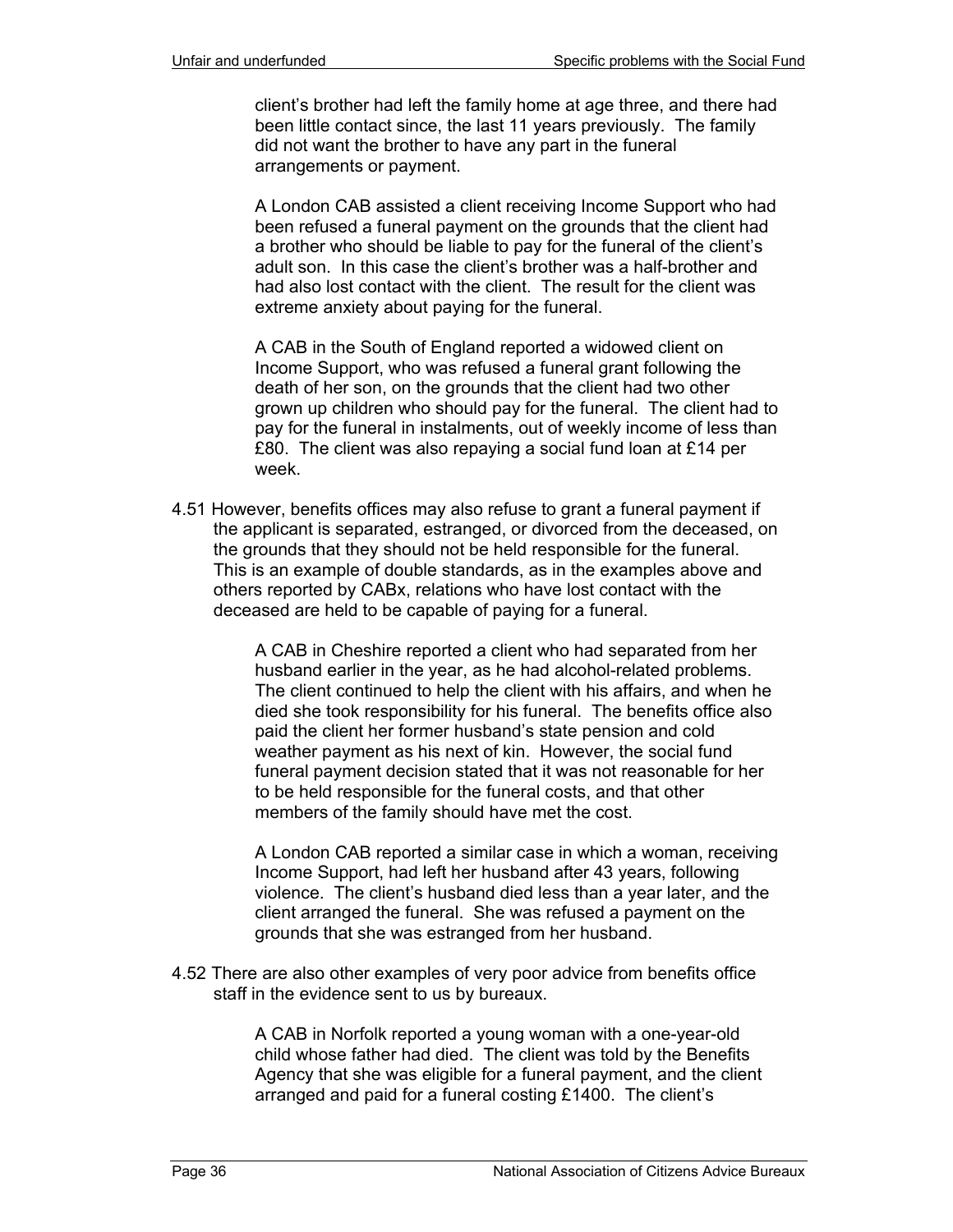client's brother had left the family home at age three, and there had been little contact since, the last 11 years previously. The family did not want the brother to have any part in the funeral arrangements or payment.

A London CAB assisted a client receiving Income Support who had been refused a funeral payment on the grounds that the client had a brother who should be liable to pay for the funeral of the client's adult son. In this case the client's brother was a half-brother and had also lost contact with the client. The result for the client was extreme anxiety about paying for the funeral.

A CAB in the South of England reported a widowed client on Income Support, who was refused a funeral grant following the death of her son, on the grounds that the client had two other grown up children who should pay for the funeral. The client had to pay for the funeral in instalments, out of weekly income of less than £80. The client was also repaying a social fund loan at £14 per week.

4.51 However, benefits offices may also refuse to grant a funeral payment if the applicant is separated, estranged, or divorced from the deceased, on the grounds that they should not be held responsible for the funeral. This is an example of double standards, as in the examples above and others reported by CABx, relations who have lost contact with the deceased are held to be capable of paying for a funeral.

> A CAB in Cheshire reported a client who had separated from her husband earlier in the year, as he had alcohol-related problems. The client continued to help the client with his affairs, and when he died she took responsibility for his funeral. The benefits office also paid the client her former husband's state pension and cold weather payment as his next of kin. However, the social fund funeral payment decision stated that it was not reasonable for her to be held responsible for the funeral costs, and that other members of the family should have met the cost.

A London CAB reported a similar case in which a woman, receiving Income Support, had left her husband after 43 years, following violence. The client's husband died less than a year later, and the client arranged the funeral. She was refused a payment on the grounds that she was estranged from her husband.

4.52 There are also other examples of very poor advice from benefits office staff in the evidence sent to us by bureaux.

> A CAB in Norfolk reported a young woman with a one-year-old child whose father had died. The client was told by the Benefits Agency that she was eligible for a funeral payment, and the client arranged and paid for a funeral costing £1400. The client's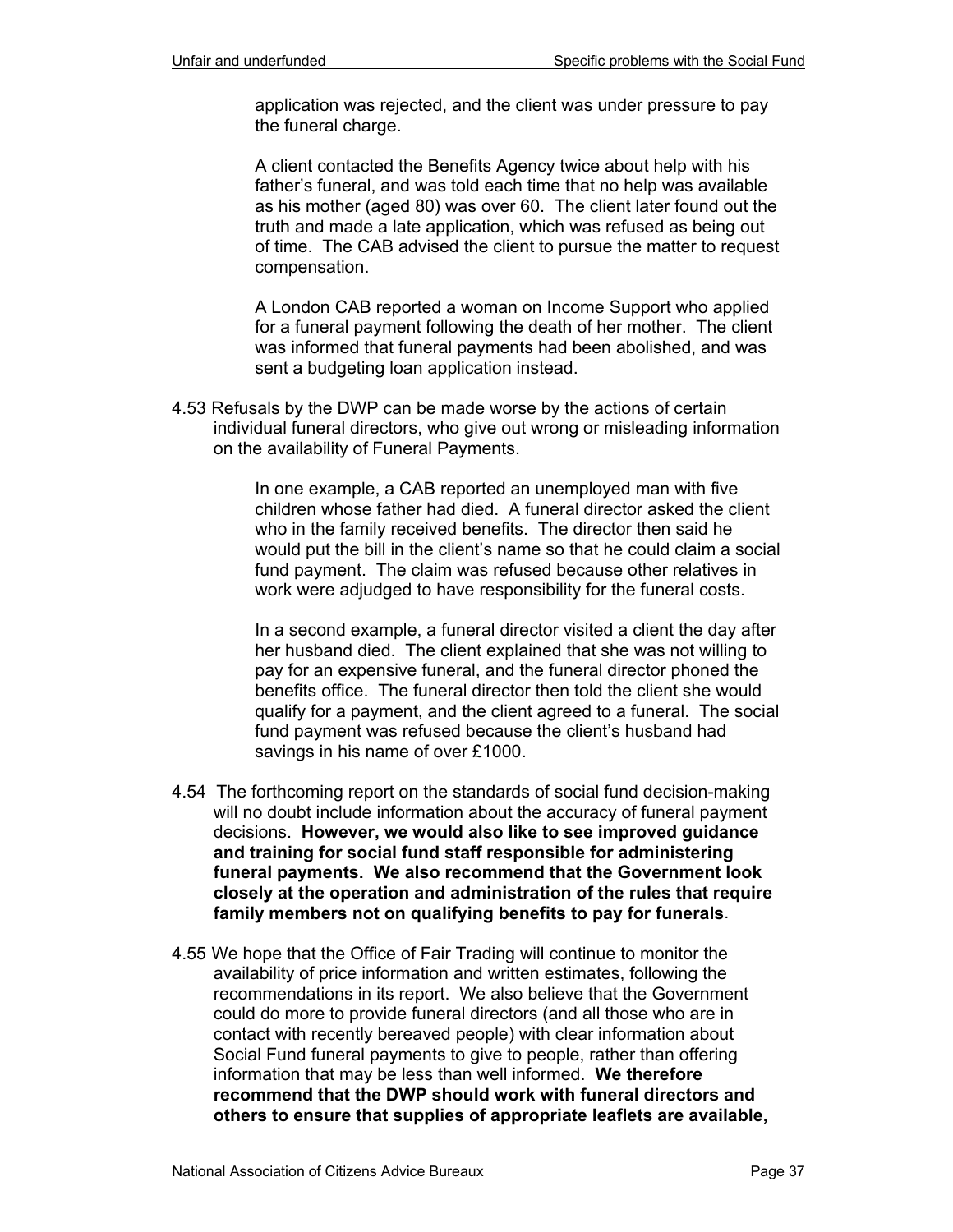application was rejected, and the client was under pressure to pay the funeral charge.

A client contacted the Benefits Agency twice about help with his father's funeral, and was told each time that no help was available as his mother (aged 80) was over 60. The client later found out the truth and made a late application, which was refused as being out of time. The CAB advised the client to pursue the matter to request compensation.

A London CAB reported a woman on Income Support who applied for a funeral payment following the death of her mother. The client was informed that funeral payments had been abolished, and was sent a budgeting loan application instead.

4.53 Refusals by the DWP can be made worse by the actions of certain individual funeral directors, who give out wrong or misleading information on the availability of Funeral Payments.

> In one example, a CAB reported an unemployed man with five children whose father had died. A funeral director asked the client who in the family received benefits. The director then said he would put the bill in the client's name so that he could claim a social fund payment. The claim was refused because other relatives in work were adjudged to have responsibility for the funeral costs.

> In a second example, a funeral director visited a client the day after her husband died. The client explained that she was not willing to pay for an expensive funeral, and the funeral director phoned the benefits office. The funeral director then told the client she would qualify for a payment, and the client agreed to a funeral. The social fund payment was refused because the client's husband had savings in his name of over £1000.

- 4.54 The forthcoming report on the standards of social fund decision-making will no doubt include information about the accuracy of funeral payment decisions. **However, we would also like to see improved guidance and training for social fund staff responsible for administering funeral payments. We also recommend that the Government look closely at the operation and administration of the rules that require family members not on qualifying benefits to pay for funerals**.
- 4.55 We hope that the Office of Fair Trading will continue to monitor the availability of price information and written estimates, following the recommendations in its report. We also believe that the Government could do more to provide funeral directors (and all those who are in contact with recently bereaved people) with clear information about Social Fund funeral payments to give to people, rather than offering information that may be less than well informed. **We therefore recommend that the DWP should work with funeral directors and others to ensure that supplies of appropriate leaflets are available,**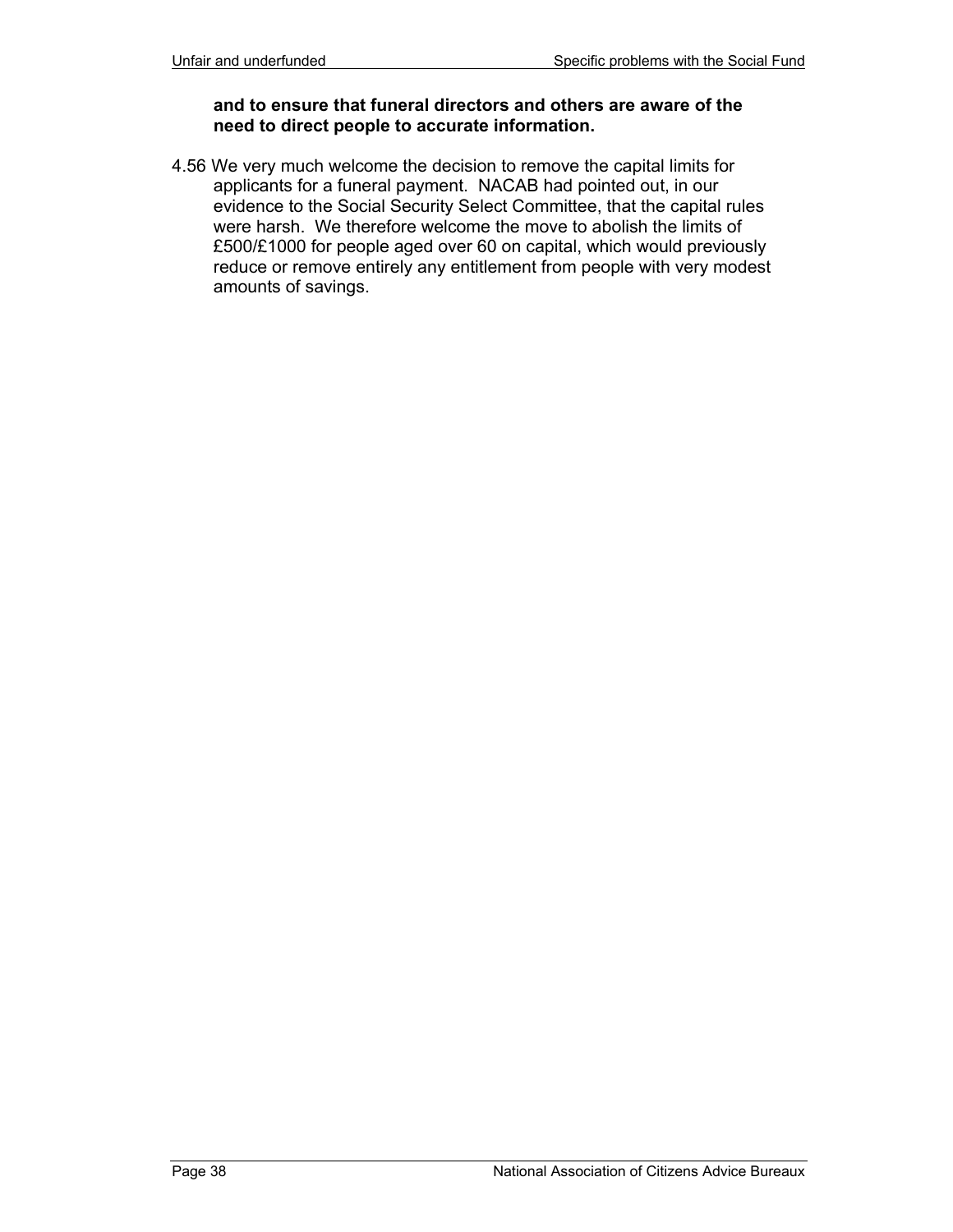#### **and to ensure that funeral directors and others are aware of the need to direct people to accurate information.**

4.56 We very much welcome the decision to remove the capital limits for applicants for a funeral payment. NACAB had pointed out, in our evidence to the Social Security Select Committee, that the capital rules were harsh. We therefore welcome the move to abolish the limits of £500/£1000 for people aged over 60 on capital, which would previously reduce or remove entirely any entitlement from people with very modest amounts of savings.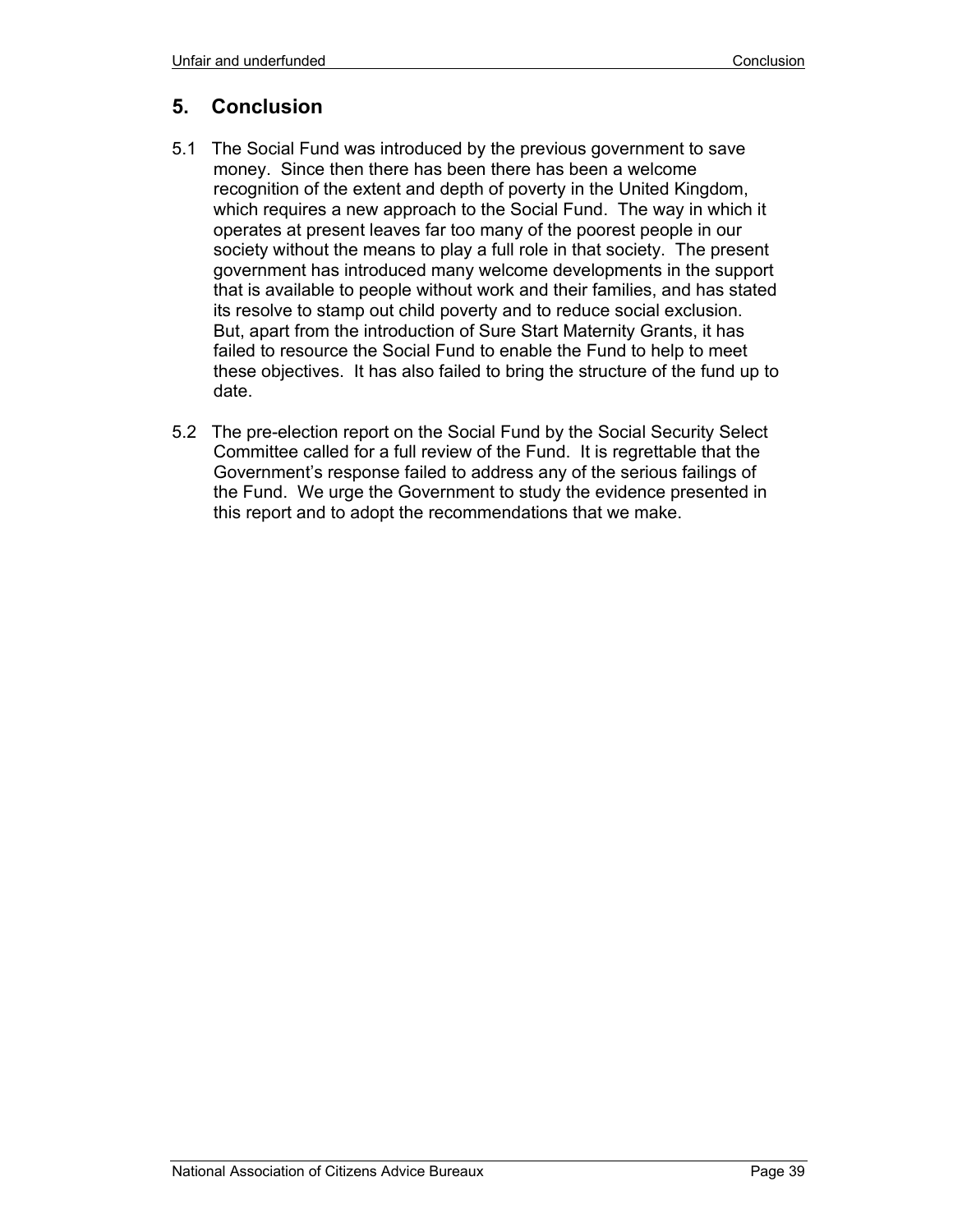# **5. Conclusion**

- 5.1 The Social Fund was introduced by the previous government to save money. Since then there has been there has been a welcome recognition of the extent and depth of poverty in the United Kingdom, which requires a new approach to the Social Fund. The way in which it operates at present leaves far too many of the poorest people in our society without the means to play a full role in that society. The present government has introduced many welcome developments in the support that is available to people without work and their families, and has stated its resolve to stamp out child poverty and to reduce social exclusion. But, apart from the introduction of Sure Start Maternity Grants, it has failed to resource the Social Fund to enable the Fund to help to meet these objectives. It has also failed to bring the structure of the fund up to date.
- 5.2 The pre-election report on the Social Fund by the Social Security Select Committee called for a full review of the Fund. It is regrettable that the Government's response failed to address any of the serious failings of the Fund. We urge the Government to study the evidence presented in this report and to adopt the recommendations that we make.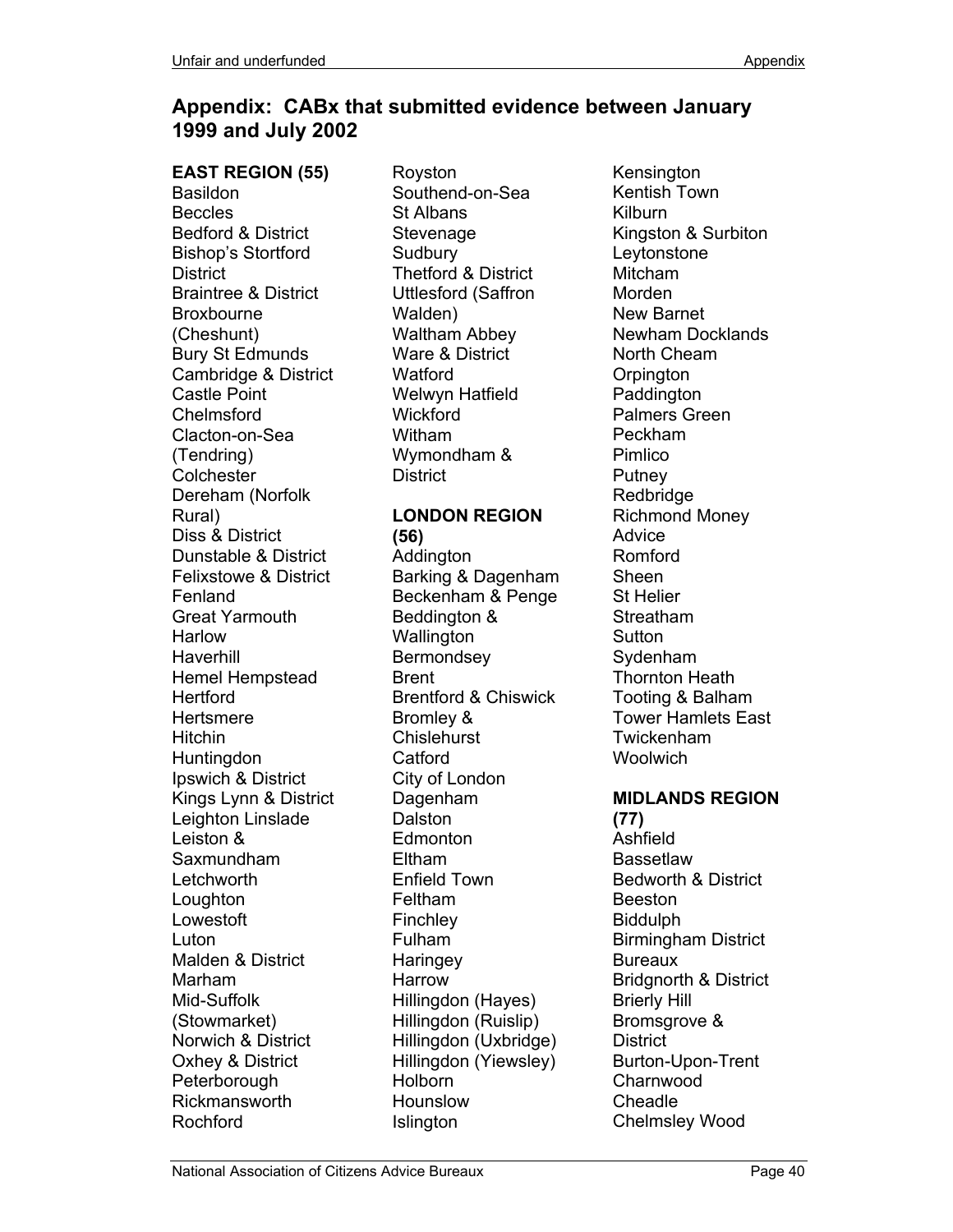# **Appendix: CABx that submitted evidence between January 1999 and July 2002**

**EAST REGION (55)**  Basildon **Beccles** Bedford & District Bishop's Stortford **District** Braintree & District Broxbourne (Cheshunt) Bury St Edmunds Cambridge & District Castle Point Chelmsford Clacton-on-Sea (Tendring) **Colchester** Dereham (Norfolk Rural) Diss & District Dunstable & District Felixstowe & District Fenland Great Yarmouth Harlow Haverhill Hemel Hempstead **Hertford Hertsmere** Hitchin Huntingdon Ipswich & District Kings Lynn & District Leighton Linslade Leiston & Saxmundham Letchworth Loughton Lowestoft Luton Malden & District Marham Mid-Suffolk (Stowmarket) Norwich & District Oxhey & District Peterborough Rickmansworth Rochford

Royston Southend-on-Sea St Albans **Stevenage Sudbury** Thetford & District Uttlesford (Saffron Walden) Waltham Abbey Ware & District **Watford** Welwyn Hatfield **Wickford** Witham Wymondham & **District** 

#### **LONDON REGION (56)**

Addington Barking & Dagenham Beckenham & Penge Beddington & **Wallington** Bermondsey Brent Brentford & Chiswick Bromley & **Chislehurst Catford** City of London Dagenham Dalston **Edmonton** Eltham Enfield Town Feltham Finchley Fulham **Haringey** Harrow Hillingdon (Hayes) Hillingdon (Ruislip) Hillingdon (Uxbridge) Hillingdon (Yiewsley) **Holborn** Hounslow Islington

Kensington Kentish Town Kilburn Kingston & Surbiton Leytonstone Mitcham Morden New Barnet Newham Docklands North Cheam **Orpington Paddington** Palmers Green Peckham Pimlico Putney Redbridge Richmond Money Advice Romford Sheen St Helier **Streatham Sutton** Sydenham Thornton Heath Tooting & Balham Tower Hamlets East Twickenham Woolwich

# **MIDLANDS REGION**

**(77)** Ashfield Bassetlaw Bedworth & District Beeston Biddulph Birmingham District Bureaux Bridgnorth & District Brierly Hill Bromsgrove & **District** Burton-Upon-Trent Charnwood Cheadle Chelmsley Wood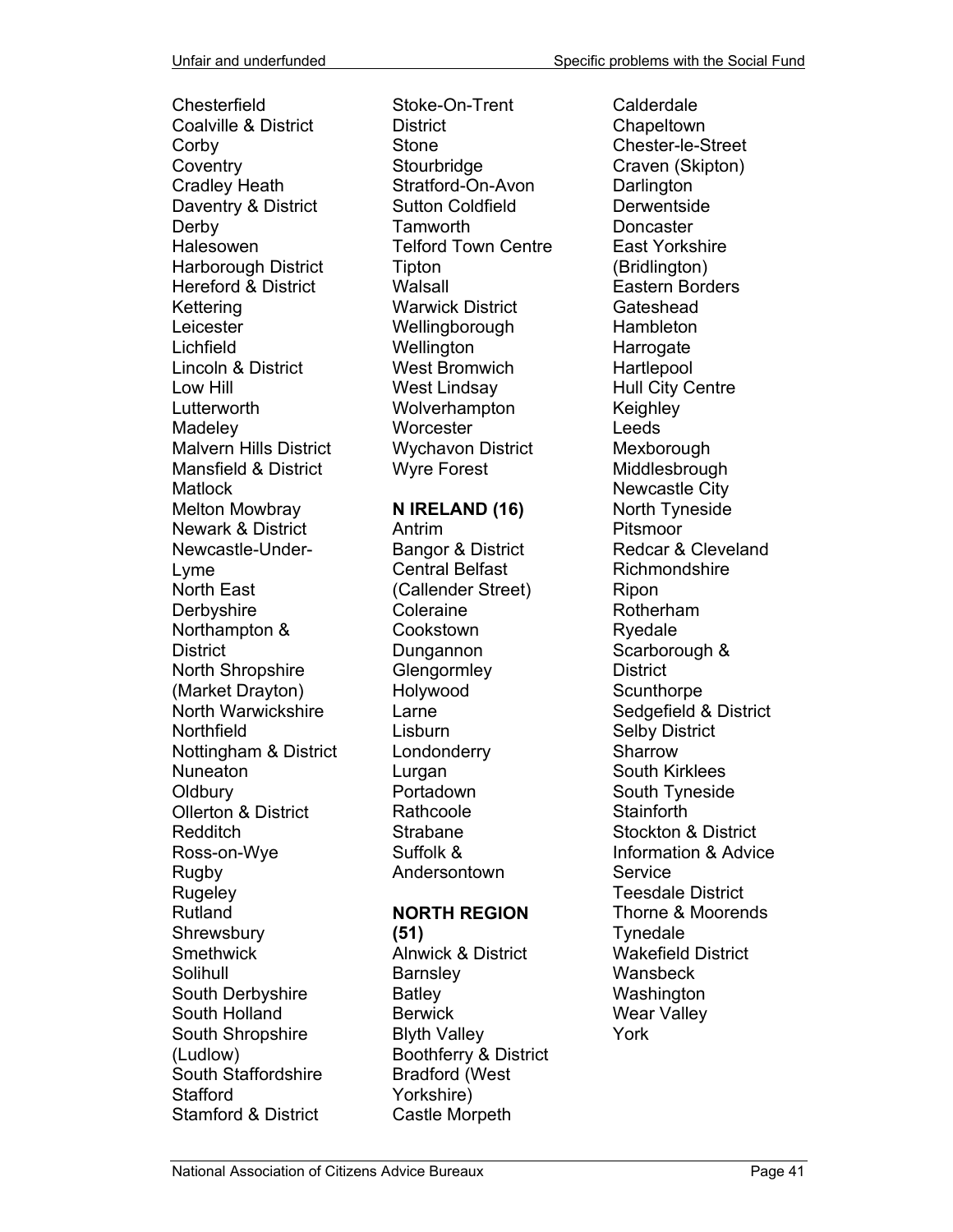**Chesterfield** Coalville & District **Corby Coventry** Cradley Heath Daventry & District **Derby** Halesowen Harborough District Hereford & District **Kettering** Leicester Lichfield Lincoln & District Low Hill Lutterworth **Madeley** Malvern Hills District Mansfield & District **Matlock** Melton Mowbray Newark & District Newcastle-Under-Lyme North East **Derbyshire** Northampton & **District** North Shropshire (Market Drayton) North Warwickshire Northfield Nottingham & District Nuneaton **Oldbury** Ollerton & District Redditch Ross-on-Wye Rugby **Rugeley** Rutland **Shrewsbury Smethwick** Solihull South Derbyshire South Holland South Shropshire (Ludlow) South Staffordshire **Stafford** Stamford & District

Stoke-On-Trent District Stone **Stourbridge** Stratford-On-Avon Sutton Coldfield Tamworth Telford Town Centre Tipton Walsall Warwick District Wellingborough **Wellington** West Bromwich West Lindsay Wolverhampton **Worcester** Wychavon District Wyre Forest

#### **N IRELAND (16)**

Antrim Bangor & District Central Belfast (Callender Street) Coleraine **Cookstown** Dungannon **Glengormley** Holywood Larne Lisburn Londonderry Lurgan Portadown **Rathcoole** Strabane Suffolk & Andersontown

## **NORTH REGION**

**(51)**

Alnwick & District **Barnsley** Batley **Berwick** Blyth Valley Boothferry & District Bradford (West Yorkshire) Castle Morpeth

Calderdale **Chapeltown** Chester-le-Street Craven (Skipton) **Darlington Derwentside** Doncaster East Yorkshire (Bridlington) Eastern Borders **Gateshead** Hambleton Harrogate **Hartlepool** Hull City Centre Keighley Leeds Mexborough Middlesbrough Newcastle City North Tyneside Pitsmoor Redcar & Cleveland Richmondshire Ripon Rotherham Ryedale Scarborough & **District Scunthorpe** Sedgefield & District Selby District Sharrow South Kirklees South Tyneside **Stainforth** Stockton & District Information & Advice **Service** Teesdale District Thorne & Moorends **Tynedale** Wakefield District **Wansbeck** Washington Wear Valley York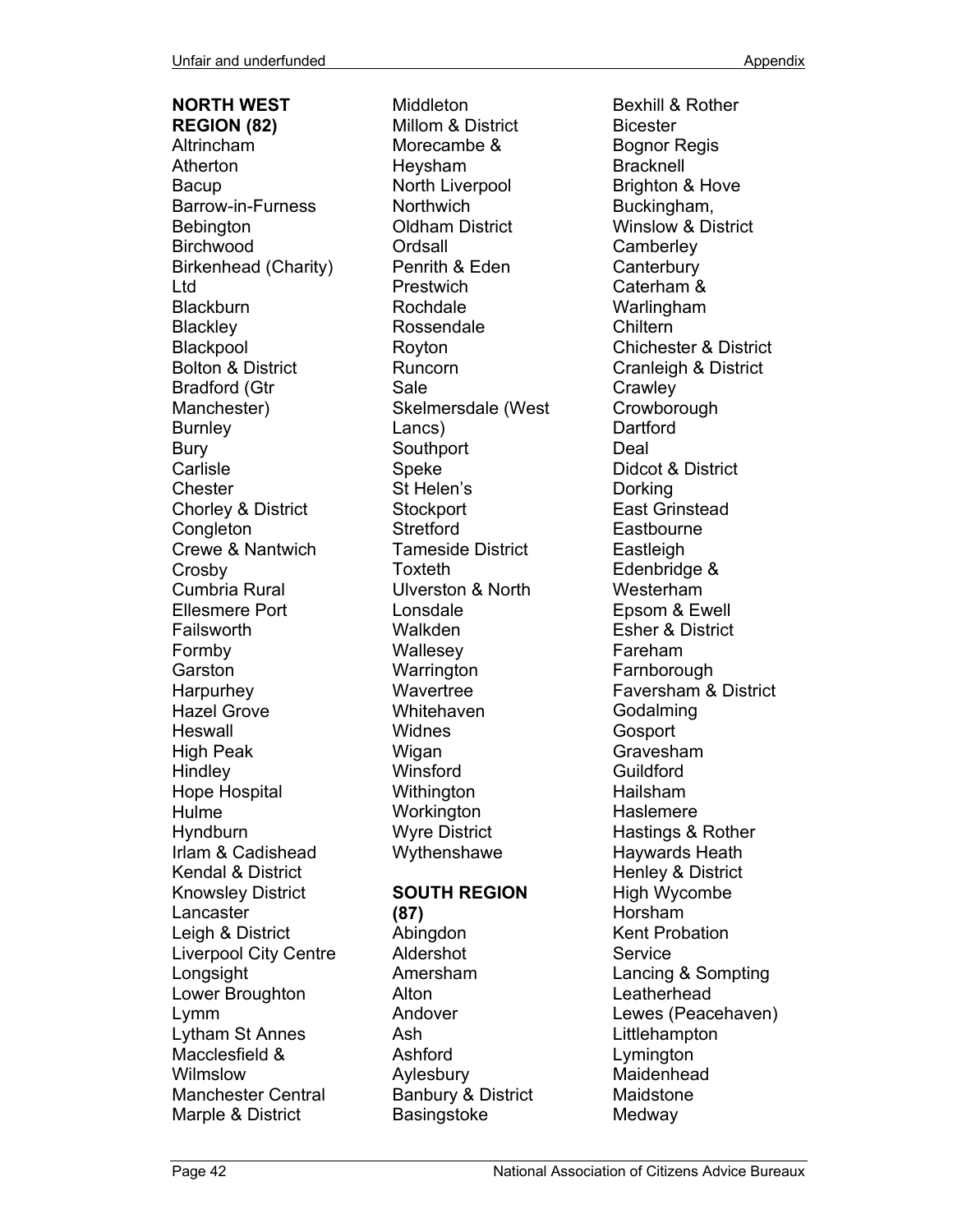# **NORTH WEST**

**REGION (82)** Altrincham Atherton Bacup Barrow-in-Furness **Bebington** Birchwood Birkenhead (Charity) Ltd **Blackburn Blackley** Blackpool Bolton & District Bradford (Gtr Manchester) **Burnley** Bury Carlisle **Chester** Chorley & District **Congleton** Crewe & Nantwich Crosby Cumbria Rural Ellesmere Port **Failsworth** Formby Garston **Harpurhey** Hazel Grove Heswall High Peak Hindley Hope Hospital Hulme **Hyndburn** Irlam & Cadishead Kendal & District Knowsley District Lancaster Leigh & District Liverpool City Centre Longsight Lower Broughton Lymm Lytham St Annes Macclesfield & Wilmslow Manchester Central Marple & District

Middleton Millom & District Morecambe & Heysham North Liverpool **Northwich** Oldham District **Ordsall** Penrith & Eden **Prestwich** Rochdale Rossendale Royton Runcorn Sale Skelmersdale (West Lancs) **Southport** Speke St Helen's **Stockport Stretford** Tameside District Toxteth Ulverston & North Lonsdale Walkden **Wallesey Warrington Wavertree Whitehaven** Widnes Wigan Winsford **Withington Workington** Wyre District Wythenshawe **SOUTH REGION (87)**  Abingdon Aldershot Amersham

Alton Andover Ash Ashford Aylesbury

Banbury & District **Basingstoke** 

Bexhill & Rother Bicester Bognor Regis **Bracknell** Brighton & Hove Buckingham, Winslow & District **Camberley Canterbury** Caterham & Warlingham **Chiltern** Chichester & District Cranleigh & District **Crawley Crowborough Dartford** Deal Didcot & District Dorking East Grinstead **Eastbourne Eastleigh** Edenbridge & Westerham Epsom & Ewell Esher & District Fareham Farnborough Faversham & District Godalming **Gosport** Gravesham **Guildford** Hailsham Haslemere Hastings & Rother Haywards Heath Henley & District High Wycombe Horsham Kent Probation **Service** Lancing & Sompting Leatherhead Lewes (Peacehaven) **Littlehampton** Lymington Maidenhead Maidstone Medway